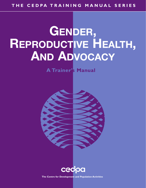# **GENDER, REPRODUCTIVE HEALTH, AND ADVOCACY**

**A Trainer's Manual**





**The Centre for Development and Population Activities**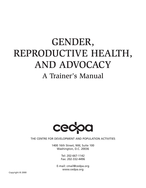## GENDER, REPRODUCTIVE HEALTH, AND ADVOCACY A Trainer's Manual



THE CENTRE FOR DEVELOPMENT AND POPULATION ACTIVITIES

1400 16th Street, NW, Suite 100 Washington, D.C. 20036

> Tel: 202-667-1142 Fax: 202-332-4496

E-mail: cmail@cedpa.org www.cedpa.org

Copyright © 2000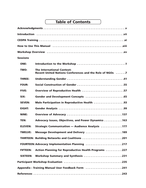## **Table of Contents**

| <b>Sessions</b>                                |                                                                                               |  |
|------------------------------------------------|-----------------------------------------------------------------------------------------------|--|
| <b>ONE:</b>                                    |                                                                                               |  |
| TWO:                                           | <b>The International Context:</b><br>Recent United Nations Conferences and the Role of NGOs 7 |  |
| <b>THREE:</b>                                  |                                                                                               |  |
| <b>FOUR:</b>                                   | Social Construction of Gender 55                                                              |  |
| <b>FIVE:</b>                                   | <b>Overview of Reproductive Health 57</b>                                                     |  |
| SIX:                                           |                                                                                               |  |
| <b>SEVEN:</b>                                  | Male Participation in Reproductive Health 93                                                  |  |
| <b>EIGHT:</b>                                  |                                                                                               |  |
| NINE:                                          |                                                                                               |  |
| <b>TEN:</b>                                    | Advocacy Issues, Objectives, and Power Dynamics 163                                           |  |
| <b>ELEVEN:</b>                                 | <b>Strategic Communication - Audience Analysis 177</b>                                        |  |
| <b>TWELVE:</b>                                 | Message Development and Delivery 189                                                          |  |
|                                                | THIRTEEN: Building Networks and Coalitions 201                                                |  |
| FOURTEEN: Advocacy Implementation Planning 217 |                                                                                               |  |
| <b>FIFTEEN:</b>                                | Action Planning for Reproductive Health Programs 227                                          |  |
| <b>SIXTEEN:</b>                                | Workshop Summary and Synthesis 231                                                            |  |
|                                                |                                                                                               |  |
|                                                | Appendix: Training Manual User Feedback Form 241                                              |  |
|                                                |                                                                                               |  |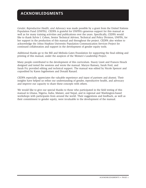### **ACKNOWLEDGMENTS**

*Gender, Reproductive Health, and Advocacy* was made possible by a grant from the United Nations Population Fund (UNFPA). CEDPA is grateful for UNFPA's generous support for this manual as well as for many training activities and publications over the years. Specifically, CEDPA would like to thank Sylvie I. Cohen, Senior Technical Advisor, Technical and Policy Division, UNFPA, for her support in the production of this manual and throughout the project. CEDPA also wishes to acknowledge the Johns Hopkins University Population Communication Services Project for continued collaboration and support in the development of gender equity tools.

Additional thanks go to the Bill and Melinda Gates Foundation for supporting the final editing and printing of this manual, under the auspices of the Women's Leadership Project.

Many people contributed to the development of this curriculum. Stacey Lissit and Frances Houck designed and tested the sessions and wrote the manual. Maryce Ramsey, Sarah Ford, and Sarah Fry provided editing and technical support. The manual was edited by Nicole Spencer and copyedited by Karen Ingebretsen and Donald Ranard.

CEDPA especially appreciates the valuable experience and input of partners and alumni. Their insights have helped us refine our understanding of gender, reproductive health, and advocacy and improve our capacity to share these concepts with others.

We would like to give our special thanks to those who participated in the field testing of this manual in Ghana, Nigeria, India, Malawi, and Nepal, and in regional and Washington-based workshops with participants from around the world. Their suggestions and feedback, as well as their commitment to gender equity, were invaluable to the development of the manual.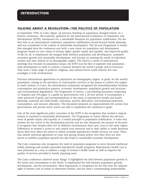#### **TALKING ABOUT A REVOLUTION—THE POLITICS OF POPULATION**

In September 1994, in Cairo, Egypt, all previous thinking on population changed forever. In a historic consensus, 180 countries, gathered for the International Conference on Population and Development (ICPD), hammered out a remarkable blueprint for population stabilization. For the first time at an international conference, population stabilization moved beyond family planning and was considered in the context of sustainable development. The 20-year Programme of Action that emerged from the conference sets forth a new vision for population and development programs based on core values of human rights, gender equity and equality, and improved quality of life for all. It emphasizes the integral links between population and development, sustained economic growth and sustainable development, and focuses on meeting the needs of individual women and men instead of on demographic targets. The third in a series of international meetings that focused on population issues, the ICPD was the first to explicitly link population with development in order to achieve a balance between the world's people and its resources. That such a wide range of political, religious, and cultural forces could endorse this new paradigm is truly revolutionary.

Previous international agreements on population set demographic targets, or goals, for the world's population, relying on the provision of contraceptive services as the means to achieve the targets. In stark contrast, in Cairo, the international community recognized the interrelationships between consumption and production patterns, economic development, population growth and structure, and environmental degradation. The Programme of Action, a non-binding document comprising 16 chapters and 118 pages, is a guide for governments over a 20-year period. It encompasses a wide spectrum of goals and recommendations in the areas of reproductive health and family planning, maternal and child health, education, poverty alleviation, environmental protection, consumption, and resource allocation. The document proposes an unprecedented 243 actions that governments and private sector actors can take to implement the conference's goals.

One of the most significant policy outcomes of the ICPD is the recognition that women's empowerment is essential to sustainable development. The Programme of Action affirms the advancement of gender equity and equality as a central principle in population stabilization. It notes that women are key actors in the development process and are also frequently the poorest of the poor. It recognizes that women often live in different circumstances than men, even in the same region. Differences in women's access to and control over resources and in their ability to make decisions about their lives affect the extent to which available reproductive health services are used. There was almost universal agreement in Cairo that giving women power over their lives not only serves to stabilize population growth but also leads to sustainable economic development.

The Cairo consensus also recognizes the need of population programs to move beyond traditional family planning and include expanded reproductive health programs. Reproductive health care is now promoted as a way to address a range of women's health needs as well as improve the quality of services provided to family planning users.

The Cairo conference achieved many things. It highlighted the link between population growth in the South and consumption in the North. It emphasized the link between population growth, development, and the environment. Most importantly, it recognized for the first time the ultimate right of women (not of states) to determine fertility, and the state's corresponding responsibility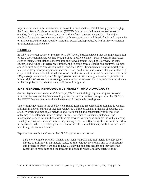to provide women with the resources to make informed choices. The following year in Beijing, the Fourth World Conference on Women (FWCW) focused on the interconnected issues of equality, development, and peace, analyzing them from a gender perspective. The Beijing Platform for Action asserts women's right "to have control over and decide freely and responsibly on matters related to their sexuality, including sexual and reproductive health, free of coercion, discrimination and violence."<sup>1</sup>

#### **CAIRO+5**

In 1999, a five-year review of progress by a UN Special Session showed that the implementation of the Cairo recommendations had brought about positive changes. Many countries had taken steps to integrate population concerns into their development strategies. However, for some countries and regions, progress was limited, and in some cases setbacks had occurred. Women and girls continued to face discrimination, and the HIV/AIDS pandemic increased mortality in many countries. Adolescents remain vulnerable to reproductive and sexual risks, and millions of couples and individuals still lacked access to reproductive health information and services. In the 106-paragraph review text, the UN urged governments to take strong measures to promote the human rights of women and encouraged them to pay more attention to reproductive health care in their population and development policies and programs.

#### **WHY GENDER, REPRODUCTIVE HEALTH, AND ADVOCACY?**

*Gender, Reproductive Health, and Advocacy* (GRAD) is a training program designed to assist program planners and implementers in putting into action the key concepts from the ICPD and the FWCW that are central to the achievement of sustainable development.

The term *gender* refers to the socially constructed roles and responsibilities assigned to women and men in a given culture or location. Gender is a basic organizing principle of societies that affects women and men in all activities and relationships and consequently influences the outcomes of development interventions. Unlike sex, which is universal, biological, and unchanging, gender roles and relationships are learned, vary among cultures (as well as among social groups within the same culture), and change over time. Gender is often misunderstood to mean *women*, when, in reality, gender refers to the roles and relationships of both women and men in a given cultural context.

Reproductive health is defined in the ICPD Programme of Action as

a state of complete physical, mental and social wellbeing and not merely the absence of disease or infirmity, in all matters related to the reproductive system and to its functions and processes. People are able to have a satisfying and safe sex life and they have the capability to reproduce and the freedom to decide if, when and how often to do so.

 $\overline{\phantom{a}}$ 

<sup>&</sup>lt;sup>1</sup> International Conference on Population and Developoment (ICPD) Programme of Action (Cairo, 1994), para 96.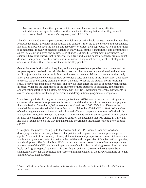Men and women have the right to be informed and have access to safe, effective, affordable and acceptable methods of their choice for the regulation of fertility, as well as access to health care for safe pregnancy and childbirth.<sup>2</sup>

The ICPD validated the complex context in which reproductive health exists. It reemphasized that reproductive health programs must address this context if they are to be effective and sustainable. Ensuring that people have the means and resources to protect their reproductive health and rights is complicated. It involves behavior change in individuals, families, institutions, and communities, as well as a shift in norms and values. Such change is difficult. Development practitioners, for example, have long known that in order to effect true and lasting behavior change, projects must do more than provide health services and information. They must develop explicit strategies to address the factors that serve as obstacles to healthy practices.

Gender issues—discrimination, inequities, and stereotypes—often impede behavior change and put people's reproductive health at risk. Gender issues must be systematically considered and addressed in all project activities. For example, how do the roles and responsibilities of men within the family affect their acceptance of condoms? How do women's roles and status in the family affect their ability to discuss the use of family planning or select a method? What are the cultural norms regarding sexual behavior for men and for women, and how do these affect the spread of sexually transmitted diseases? What are the implications of the answers to these questions in designing, implementing, and evaluating effective and sustainable programs? The GRAD workshop will enable participants to ask relevant questions related to gender issues and design rational programmatic responses.

The advocacy efforts of non-governmental organizations (NGOs) have been vital in creating a new consensus that women's empowerment is central to social and economic development and population stabilization. More than 4,000 representatives of well over 1,500 NGOs from 100 countries attended the issues-oriented NGO Forum that ran parallel to the official ICPD in 1994. NGO leaders offered a pragmatic view of international policy and of how to respond to the needs of individuals and families—especially women and the poor—who are frequently underrepresented in international forums. The presence of NGOs had a decided effect on the document that was drafted in Cairo and has had a lasting effect on the way multilateral and government institutions relate to actors in civil society.

Throughout the process leading up to the FWCW and the ICPD, women from developed and developing countries effectively advocated for policies that empower women and promote gender equity. As a result of the exchange of many different ideas and perspectives and much information, a viable action plan was created that reflects the realities and complexities of families, national policies, and development. The fact that both NGOs and women leaders were able to influence the planning and outcome of the ICPD reveals the important role of civil society in bringing issues of reproductive health and rights to global attention. It is clear that an active NGO sector will continue to be a significant catalyst for the complete and successful implementation of the ICPD Programme of Action and the FWCW Plan of Action.

 $\overline{\phantom{a}}$ 

<sup>&</sup>lt;sup>2</sup> Quoted in Family Care International, *Action for the 21st Century: Reproductive Health and Rights for All* (New York: Author, 1994).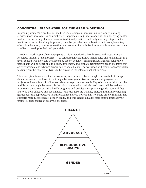#### **CONCEPTUAL FRAMEWORK FOR THE GRAD WORKSHOP**

Improving women's reproductive health is more complex than just making family planning services more accessible. A comprehensive approach is required to address the underlying contextual factors, including illiteracy, harmful traditional practices, and early marriage. Reproductive health services, while vitally important, must be provided in combination with complementary efforts in education, income generation, and community mobilization to enable women and their families to develop to their full potentials.

The GRAD workshop enables participants to view reproductive health issues and programmatic responses through a "gender lens" — to ask questions about how gender roles and relationships in a given context will affect and be affected by project activities. Having gained a gender perspective, participants will be better able to design, implement, and evaluate reproductive health programs that actively promote and advance gender equity and equality. The workshop will provide advocacy skills to strengthen the capacity of NGOs to be players in the international policy arena.

The conceptual framework for the workshop is represented by a triangle, the symbol of change. Gender makes up the base of the triangle because gender issues permeate all programs and projects and are a factor in all issues related to reproductive health. Reproductive health forms the middle of the triangle because it is the primary area within which participants will be seeking to promote change. Reproductive health programs and policies must promote gender equity if they are to be both effective and sustainable. Advocacy tops the triangle, indicating that implementing gender-sensitive reproductive health programs alone is not enough. To create an environment that supports reproductive rights, gender equity, and true gender equality, participants must actively promote social change at all levels of society.

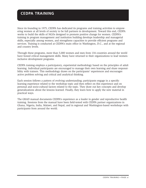#### **CEDPA TRAINING**

Since its founding in 1975, CEDPA has dedicated its programs and training activities to empowering women at all levels of society to be full partners in development. Toward this end, CEDPA works to build the skills of NGOs designed to promote positive change for women. CEDPA's training in program management and institution building develops leadership and managerial skills, especially among women, and strengthens capacities to provide efficient programs and services. Training is conducted at CEDPA's main office in Washington, D.C., and at the regional and country levels.

Through these programs, more than 5,000 women and men from 134 countries around the world have honed critical management skills. Many have returned to their organizations to lead womeninclusive development programs.

CEDPA training employs a participatory, experiential methodology based on the principles of adult learning. Individual participants are encouraged to manage their own learning and share responsibility with trainers. This methodology draws on the participants' experiences and encourages active problem solving and critical and analytical thinking.

Each session follows a pattern of evolving understanding; participants engage in a specific learning experience related to the workshop topic and then reflect on this experience and on personal and socio-cultural factors related to the topic. They draw out key concepts and develop generalizations about the lessons learned. Finally, they learn how to apply the new material in practical ways.

The GRAD manual documents CEDPA's experience as a leader in gender and reproductive health training. Sessions from the manual have been field-tested with CEDPA partner organizations in Ghana, Nigeria, India, Malawi, and Nepal, and in regional and Washington-based workshops with participants from around the world.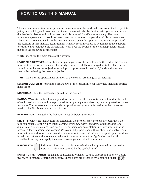This manual was written for experienced trainers around the world who are committed to participatory methodologies. It assumes that these trainers will also be familiar with gender and reproductive health issues and will possess the skills required for effective advocacy. The manual provides a systematic approach for participants to acquire or sharpen their skills in these areas. The trainer's role is to facilitate the learning process using the approach and materials provided in the sessions of this manual. Team training is highly recommended, as is administrative support, to capture and reproduce the participants' work over the course of the workshop. Each session includes the following components:

**TITLE—**identifies the main topic of the session.

**LEARNER OBJECTIVES—describes what participants will be able to do by the end of the session** in order to demonstrate increased knowledge, improved skills, or changed attitudes. The trainer should write the learner objectives on a flipchart prior to each session. S/he should open each session by reviewing the learner objectives.

**TIME—**indicates the approximate duration of the session, assuming 20 participants.

**SESSION OVERVIEW—**provides a breakdown of the session into sub-activities, including approximate times.

**MATERIALS—**lists the materials required for the session.

**HANDOUTS—**lists the handouts required for the session. The handouts can be found at the end of each session and should be reproduced for all participants unless they are designated as trainer resources. Trainer resources are intended to provide background information to the trainer and need not be distributed among participants.

**PREPARATION—**lists tasks the facilitator must do before the session.

**STEPS—**provides the instructions for conducting the session. Most sessions are built upon the four components of the experiential learning cycle: *experience, reflection, generalization,* and *application.* The *experience* is an exercise or participatory presentation in which information is presented for discussion and learning. *Reflection* helps participants think about and analyze new information and develop their own ideas about a topic. *Generalization* allows participants to draw broad conclusions and lessons learned about the new information. *Application* enables them to visualize how they may apply their new knowledge and skills in the future.

**FLIPCHART—** indicates information that is most effective when presented or captured on a flipchart. This is represented by the symbol at left.

**NOTES TO THE TRAINER—**highlights additional information, such as background notes or alternative ways to manage a particular activity. These notes are preceded by a pointing finger.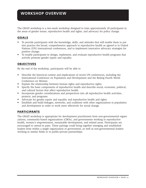### **WORKSHOP OVERVIEW**

The GRAD workshop is a two-week workshop designed to train approximately 20 participants in the areas of gender issues, reproductive health and rights, and advocacy for policy change.

#### **GOALS**

- To provide participants with the knowledge, skills, and attitudes that will enable them to put into practice the broad, comprehensive approach to reproductive health as agreed to in United Nations (UN) international conferences, and to implement innovative advocacy strategies for positive change.
- To enable participants to design, implement, and evaluate reproductive health programs that actively promote gender equity and equality.

#### **OBJECTIVES**

By the end of the workshop, participants will be able to

- Describe the historical context and implications of recent UN conferences, including the International Conference on Population and Development and the Beijing Fourth World Conference on Women.
- Explain the relationship between human rights and reproductive rights.
- Specify the basic components of reproductive health and describe social, economic, political, and cultural factors that affect reproductive health.
- Incorporate gender considerations and perspectives into all reproductive health activities, projects, and programs.
- Advocate for gender equity and equality and reproductive health and rights.
- Establish and build linkages, networks, and coalitions with other organizations in population and development in order to work more effectively for social change.

#### **PARTICIPANTS**

The GRAD workshop is appropriate for development practitioners from non-governmental organizations, community-based organizations (CBOs), and governments working in reproductive health, women's empowerment, sustainable development, and related areas. Participants are encouraged to attend in pairs. These pairings could bring together emerging and established leaders from within a single organization or government, as well as non-governmental leaders working in similar fields or in public/private partnerships.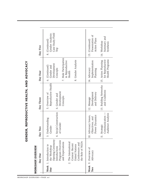|        | i    |
|--------|------|
| ı<br>I |      |
|        |      |
|        |      |
|        |      |
|        |      |
|        |      |
|        |      |
|        | ֚֚֚֬ |
| I      |      |
| I      |      |
| ı<br>I |      |
|        |      |
| I      |      |
| é      | ֚֘֝  |
|        |      |
|        |      |
|        |      |
| I      |      |
|        |      |
|        |      |
|        |      |
| ļ      |      |
|        |      |
|        |      |
|        |      |
|        |      |
|        |      |
|        |      |
|        | l    |
|        | l    |
|        | ׇ֚֘֡ |
|        | ٦    |
|        |      |
|        |      |
|        |      |
|        |      |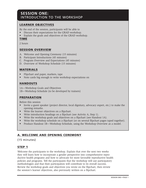#### **SESSION ONE:**  INTRODUCTION TO THE WORKSHOP

#### **LEARNER OBJECTIVES**

By the end of the session, participants will be able to

- Discuss their expectations for the GRAD workshop.
- Explain the goals and objectives of the GRAD workshop.

#### **TIME**

2 hours

#### **SESSION OVERVIEW**

- A. Welcome and Opening Ceremony (15 minutes)
- B. Participant Introductions (45 minutes)
- C. Program Overview and Expectations (45 minutes)
- D. Overview of Workshop Schedule (15 minutes)

#### **MATERIALS**

- Flipchart and paper, markers, tape
- Note cards big enough to write workshop expectations on

#### **HANDOUTS**

1A—Workshop Goals and Objectives

1B—Workshop Schedule (to be developed by trainers)

#### **PREPARATION**

Before this session

- Invite a guest speaker (project director, local dignitary, advocacy expert, etc.) to make the opening remarks.
- Write the learner objectives on a flipchart.
- Write introduction headings on a flipchart (see Activity A, Step 1).
- Write the workshop goals and objectives on a flipchart (see Handout 1A).
- Write the workshop schedule on a flipchart (or on several flipchart pages taped together).
- Produce Handout 1B—Workshop Schedule, using the Workshop Overview as a model.

#### **A. WELCOME AND OPENING CEREMONY**

(15 minutes)

#### **STEP 1**

Welcome the participants to the workshop. Explain that over the next two weeks they will learn how to incorporate a gender perspective into comprehensive reproductive health programs and how to advocate for more favorable reproductive health policies and programs. Tell the participants that the workshop will use participatory methodologies and that their participation will contribute to its overall success. Review the workshop goals and objectives you wrote on the flipchart, then review the session's learner objectives, also previously written on a flipchart.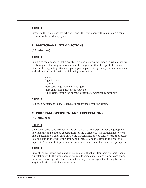#### **STEP 2**

Introduce the guest speaker, who will open the workshop with remarks on a topic relevant to the workshop goals.

#### **B. PARTICIPANT INTRODUCTIONS**

(45 minutes)

#### **STEP 1**

Explain to the attendees that since this is a participatory workshop in which they will be sharing and learning from one other, it is important that they get to know each other in the beginning. Give each participant a piece of flipchart paper and a marker and ask her or him to write the following information:

> Name Organization Job title Most satisfying aspects of your job Most challenging aspects of your job A key gender issue facing your organization/project/community

#### **STEP 2**

Ask each participant to share her/his flipchart page with the group.

#### **C. PROGRAM OVERVIEW AND EXPECTATIONS**

(45 minutes)

#### **STEP 1**

Give each participant two note cards and a marker and explain that the group will now identify and share its expectations for the workshop. Ask participants to write one expectation on each card. Invite the participants, one by one, to read their expectations aloud to the rest of the group, and then to tape the cards to the wall or a flipchart. Ask them to tape similar expectations near each other to create groupings.

#### **STEP 2**

Present the workshop goals and objectives on a flipchart. Compare the participants' expectations with the workshop objectives. If some expectations do not correspond to the workshop agenda, discuss how they might be incorporated. It may be necessary to adjust the objectives somewhat.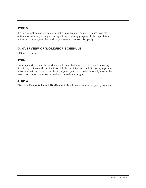#### **STEP 3**

If a participant has an expectation that cannot feasibly be met, discuss possible options for fulfilling it, maybe during a future training program. If the expectation is not within the scope of the workshop's agenda, discuss this openly.

#### **D. OVERVIEW OF WORKSHOP SCHEDULE**

(15 minutes)

#### **STEP 1**

On a flipchart, present the workshop schedule that you have developed, allowing time for questions and clarifications. Ask the participants to select a group representative who will serve as liaison between participants and trainers to help ensure that participants' needs are met throughout the training program.

#### **STEP 2**

Distribute Handouts 1A and 1B. (Handout 1B will have been developed by trainers.)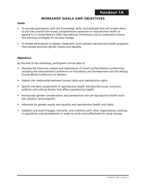#### **WORKSHOP GOALS AND OBJECTIVES**

#### **Goals**

- To provide participants with the knowledge, skills, and attitudes that will enable them to put into practice the broad, comprehensive approach to reproductive health as agreed to in United Nations (UN) international conferences and to implement innovative advocacy strategies for positive change.
- To enable participants to design, implement, and evaluate reproductive health programs that actively promote gender equity and equality.

#### **Objectives**

By the end of the workshop, participants will be able to:

- Describe the historical context and implications of recent United Nations conferences, including the International Conference on Population and Development and the Beijing Fourth World Conference on Women.
- Explain the relationship between human rights and reproductive rights.
- Specify the basic components of reproductive health and describe social, economic, political, and cultural factors that affect reproductive health.
- Incorporate gender considerations and perspectives into all reproductive health activities, projects, and programs.
- Advocate for gender equity and equality and reproductive health and rights.
- Establish and build linkages, networks, and coalitions with other organizations working in population and development in order to work more effectively for social change.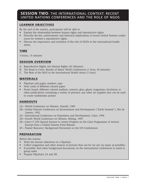#### **SESSION TWO**: THE INTERNATIONAL CONTEXT: RECENT UNITED NATIONS CONFERENCES AND THE ROLE OF NGOS

#### **LEARNER OBJECTIVES**

By the end of the session, participants will be able to

- Explain the relationship between human rights and reproductive rights.
- Describe the key achievements and historical implications of recent United Nations conferences for women's reproductive rights.
- Discuss the importance and evolution of the role of NGOs in the international health arena.

#### **TIME**

3 hours, 15 minutes

#### **SESSION OVERVIEW**

- A. Reproductive Rights Are Human Rights (45 Minutes)
- B. The Road to Cairo: Results of Major World Conferences (1 hour, 30 minutes)
- C. The Role of the NGO in the International Health Arena (1 hour)

#### **MATERIALS**

- Flipchart and paper, markers, tape
- Note cards of different colored paper
- Poster board; different colored markers; scissors; glue; glossy magazines, brochures or other publications containing a variety of pictures; any other art supplies that can be used to create multimedia posters

#### **HANDOUTS**

- 2A—World Conference on Women, Nairobi, 1985
- 2B—United Nations Conference on Environment and Development ("Earth Summit"), Rio de Janeiro, 1992
- 2C—International Conference on Population and Development, Cairo, 1994
- 2D—Fourth World Conference on Women, Beijing, 1995
- 2E—Cairo+5 (UN Special Session to Assess Progress on the Cairo Programme of Action) Excerpt from a United Nations Press Release
- 2F—Trainer Resource: Background Document on the UN Conferences

#### **PREPARATION**

Before this session

- Write the learner objectives on a flipchart.
- Collect magazines and other sources of pictures that can be cut out (as many as possible).
- If possible, find other background documents on the international conferences to assist in group tasks.
- Prepare Flipcharts 2A and 2B.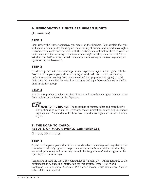#### **A. REPRODUCTIVE RIGHTS ARE HUMAN RIGHTS**

(45 minutes)

#### **STEP 1**

First, review the learner objectives you wrote on the flipchart. Next, explain that you will spend a few minutes focusing on the meaning of human and reproductive rights. Distribute note cards and markers to all the participants. Ask half of them to write on their note cards the meaning of the term *human rights* as they understand it. Then ask the other half to write on their note cards the meaning of the term *reproductive rights* as they understand it.

#### **STEP 2**

Divide a flipchart with two headings: *human right*s and *reproductive rights.* Ask the first half of the participants (human rights) to read their cards and tape them up under the correct heading. Next ask the second half (reproductive rights) to read their cards. Note similarities with human rights and tape those cards next to similar ones in the first group.

#### **STEP 3**

Ask the group what conclusions about human and reproductive rights they can draw from looking at the ideas on the flipchart.

**NOTE TO THE TRAINER:** The meanings of human rights and reproductive rights should be very similar—freedom, choice, protection, safety, health, respect, equality, etc. The chart should show how reproductive rights are, in fact, human rights.

#### **B. THE ROAD TO CAIRO: RESULTS OF MAJOR WORLD CONFERENCES**

(1 hour, 30 minutes)

#### **STEP 1**

Explain to the participants that it has taken decades of meetings and negotiations for countries to officially agree that reproductive rights are human rights and that they are worth promoting and protecting through the Programme of Action signed at the ICPD held in Cairo in 1994.

Paraphrase or read the first three paragraphs of Handout 2F—Trainer Resource to the participants as background information for this session. Write "First World Conference on Population, Bucharest, 1972" and "Second World Conference, Mexico City, 1984" on a flipchart.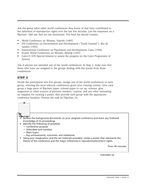Ask the group what other world conferences they know of that have contributed to the definition of reproductive rights over the last few decades. List the responses on a flipchart. Add any that are not mentioned. The final list should contain:

- World Conference on Women, Nairobi (1985)
- UN Conference on Environment and Development ("Earth Summit"), Rio de Janeiro (1992)
- International Conference on Population and Development, Cairo (1994)
- Fourth World Conference on Women, Beijing (1995)
- Cairo+5 (UN Special Session to assess the progress on the Cairo Programme of Action)

Ask if anyone has attended any of the world conferences. In Step 2, make sure that those who have are assigned to the groups dealing with the results from those conferences.

#### **STEP 2**

Divide the participants into five groups. Assign one of the world conferences to each group, selecting the most relevant conferences given your training context. Give each group a large piece of flipchart paper, colored paper to cut up, scissors, glue, magazines or other sources of pictures, markers, crayons, and any other interesting art supplies for creating a poster. Also provide each group with the appropriate conference handout. Present the task on Flipchart 2A.

- Review the background documents on your assigned conference and share any firsthand knowledge of its proceedings.
- Identify the following (if possible):
	- Conference purpose
	- Attendees and numbers
	- Main topics
	- Key achievements, outcomes, and milestones
- Using your imagination and the art materials provided, create a poster that represents the theme of the conference and the major milestones in reproductive/women's rights.

Time: 45 minutes

**FLIPCHART 2A**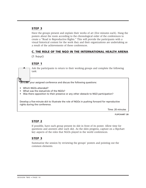#### **STEP 3**

Have the groups present and explain their works of art (five minutes each). Hang the posters about the room according to the chronological order of the conferences to create a "Road to Reproductive Rights." This will provide the participants with a visual historical context for the work they and their organizations are undertaking as a result of the achievements of these conferences.

#### **C. THE ROLE OF THE NGO IN THE INTERNATIONAL HEALTH ARENA**

(1 hour)

#### **STEP 1**

Ask the participants to return to their working groups and complete the following task:

**Consider** your assigned conference and discuss the following questions:

- Which NGOs attended?
- What was the status/role of the NGOs?
- Was there opposition to their presence or any other obstacle to NGO participation?

Develop a five-minute skit to illustrate the role of NGOs in pushing forward for reproductive rights during the conference.

Time: 20 minutes

**FLIPCHART 2B**

#### **STEP 2**

If possible, have each group present its skit in front of its poster. Allow time for questions and answers after each skit. As the skits progress, capture on a flipchart key aspects of the roles that NGOs played in the world conferences.

#### **STEP 3**

Summarize the session by reviewing the groups' posters and pointing out the common elements.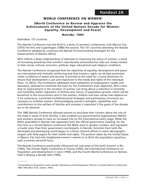#### **WORLD CONFERENCE ON WOMEN3**

#### **(World Conference to Review and Appraise the Achievements of the United Nations Decade for Women: Equality, Development and Peace)**

#### **Nairobi, 1985**

Attendees: 157 countries

 $\overline{\phantom{a}}$ 

The Nairobi Conference was the third in a series of women's conferences, with Mexico City (1975) the first and Copenhagen (1980) the second. The 157 countries attending the Nairobi Conference adopted by consensus the Nairobi Forward-looking Strategies for the Advancement of Women (NFLS).

NFLS reflects a deep understanding of obstacles to improving the status of women, a result of increasing awareness that women's reproductive and productive roles are closely related to their social, cultural, economic, political, legal, educational and religious conditions.

The Nairobi Conference recognized that the objectives of equality, development and peace are interrelated and mutually reinforcing and that women's rights can be best promoted under conditions of peace and security. It pointed to the need for a moral dimension to ensure that development is just and responsive to the needs and rights of the individual (Para. 12, NFLS). The Conference addressed three subthemes of employment, health and education, deemed to constitute the basis for the Conference's main objectives. NFLS notes that an improvement in the situation of women can bring about a reduction in mortality and morbidity, better regulation of fertility and, hence, of population growth, which will be beneficial to the environment and to the women, children and men whose lives depend on it for sustenance. Concerted multidimensional strategies and participatory structures are necessary to mobilize women. Acknowledging women's strengths, capabilities and contributions to the welfare of families and societies is important if the goals of the decade are to be attained.

The 1985 Nairobi Conference allowed women to articulate their concern about the role of the state in issues of their fertility. It also enabled non-governmental organizations (NGOs) and women's groups to have an increased role on the international policy stage. While the NGOs assembled in Nairobi met separately from the official government meeting, for the first time at a United Nations conference the NGOs were in greater numbers and expressed a louder voice than their government counterparts. In Nairobi, feminists from both the developed and developing world began to criticize national efforts to reach demographic targets with little regard for their health and rights. The position taken by the United States in Mexico City had only heightened women's resolve to re-think the population equations with a women-centered focus.

The Nairobi Conference profoundly influenced the outcomes of the Earth Summit in Rio (1992), The Human Rights Conference in Vienna (1993), the International Conference on Population and Development in Cairo (1994), and the Fourth World Conference on Women held in Beijing a decade later (1995).

<sup>3</sup> United Nations Population Fund, *Gender, Population and Development Themes in United Nations Conferences* 1985-1995 *(*New York: Author, 1995).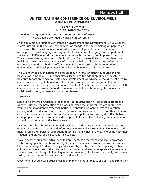#### **UNITED NATIONS CONFERENCE ON ENVIRONMENT AND DEVELOPMENT4**

#### **"Earth Summit" Rio de Janeiro, 1992**

Attendees: 172 governments and 2,400 representatives of NGOs 17,000 people attended the parallel NGO forum

At the 1992 United Nations Conference on Environment and Development (UNCED), or the "Earth Summit" in Rio de Janeiro, the seeds of change in the new thinking on population were sown. The role of population in sustainable development was actively debated, although no official language was agreed to. This absence of language was in part due to the force of NGOs who refused to accept demographic-targeting. An important network, The Women's Caucus, emerged as the focal point for women's NGOs to strengthen their individual voices. As a result, the lack of population being included in the conference document, Agenda 21, had the effect of opening the discussion about population, environment, and development as inter-linked with women's rights at the core.

The Summit was a culmination of a process begun in 1989 of planning, education and negotiations among all UN member states, leading to the adoption of "Agenda 21," a blueprint for action to achieve sustainable development worldwide. Although weakened by compromise and negotiation, it was still the most comprehensive program of action ever sanctioned by the international community. The Earth Summit influenced all subsequent UN conferences, which have examined the relationship between human rights, population, social development, women and human settlements.

#### **Agenda 21**

Some key elements of Agenda 21 related to reproductive health, reproductive rights and gender issues are the promotion of linkages between the improvement of the status of women and demographic dynamics, particularly through women's access to education, primary and reproductive health care programs, economic independence and their effective, equitable participation in all levels of decision-making. It claims a synergistic effect between demographic trends and sustainable development. It makes the following recommendations for action in the reproductive health area:

"Reproductive health programmes and services, should, as appropriate, be developed and enhanced to reduce maternal and infant mortality from all causes and enable women and men to fulfill their personal aspirations in terms of family size, in a way in keeping with their freedom and dignity and personally held values.

Governments should take active steps to implement, as a matter of urgency, in accordance with country-specific conditions and legal systems, measures to ensure that women and men have the same right to decide freely and responsibly on the number and spacing of their children, to have access to the information, education and means, as appropriate, to enable them to exercise this right in keeping with their freedom, dignity and personally held values, taking into account ethical and cultural considerations.

Governments should take active steps to implement programmes to establish and strengthen

<sup>4</sup> ibid.

 $\overline{\phantom{a}}$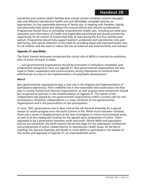preventive and curative health facilities that include women-centered, women-managed, safe and effective reproductive health care and affordable, accessible services, as appropriate, for the responsible planning of family size, in keeping with freedom, dignity and personally held values and taking into account ethical and cultural considerations. Programmes should focus on providing comprehensive health care, including pre-natal care, education and information on health and responsible parenthood and should provide the opportunity for all women to breast-feed fully, at least during the first four months postpartum. Programmes should fully support women's productive and reproductive roles and well being, with special attention to the need for providing equal and improved health care for all children and the need to reduce the risk of maternal and child mortality and sickness."

#### *Agenda 21 and NGOs*

The Earth Summit document recognized the critical role of NGOs in moving the ambitious plan of action forward. It states:

"... non-governmental organizations should be promoted in institutions mandated, and programmes designed to carry out Agenda 21. Non-governmental organizations will also need to foster cooperation and communication among themselves to reinforce their effectiveness as actors in the implementation of sustainable development."

#### *Rio+5*

Non-governmental organizations play a vital role in the shaping and implementation of participatory democracy. Their credibility lies in the responsible and constructive role they play in society. Formal and informal organizations, as well as grass-roots movements, should be recognized as partners in the implementation of Agenda 21. The nature of the independent role played by non-governmental organizations within a society calls for real participation; therefore, independence is a major attribute of non-governmental organizations and is the precondition of real participation.

In June, 1997, governments met in New York at the UN General Assembly for a special session to review progress since the Earth Summit in Rio. While much had been initiated, there was a sense of disappointment at the lack of progress in critical environmental areas, as well as at the inadequate funding for the agreed upon programme of action. There appeared to be a polarization between north and south. Where NGOs and population policies are concerned, the Earth Summit did set the stage for the subsequent conferences and programmes of action related directly to reproductive health issues. At the Rio+5 meeting, the General Assembly did decide to invite NGOs to participate in the debate of the review and appraisal of Agenda 21, an unprecedented action.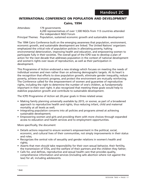#### **INTERNATIONAL CONFERENCE ON POPULATION AND DEVELOPMENT5**

#### **Cairo, 1994**

Attendees: 179 governments 4,200 representatives of over 1,500 NGOs from 113 countries attended the independent NGO Forum Principal Themes: Population, sustained economic growth and sustainable development

The 1994 Cairo Conference built on the emerging awareness that population, environment, economic growth, and sustainable development are linked. The United Nations' organizers emphasized the critical role of population policies in alleviating poverty, halting environmental deterioration, improving health and education, and empowering women to participate fully in their societies. The overall goal of the ICPD was to develop a plan of action for the next decade that addresses population in the context of national development and women's rights over issues of reproduction, as well as their participation in development.

This Programme of Action endorsed a new strategy which focuses on meeting the needs of individual women and men rather than on achieving demographic targets. At its heart is the recognition that efforts to slow population growth, eliminate gender inequality, reduce poverty, achieve economic progress, and protect the environment are mutually reinforcing. The Conference called for the empowerment of women and guarantee of reproductive rights, including the right to determine the number of one's children, as fundamentally important in their own right; it also recognized that meeting these goals would help to stabilize population growth and contribute to sustainable development.

The ICPD Programme of Action set 20-year goals in three related areas:

- Making family planning universally available by 2015, or sooner, as part of a broadened approach to reproductive health and rights, thus reducing infant, child and maternal mortality at all levels as well;
- Integrating population concerns into all policies and programs aimed at achieving sustainable development;
- Empowering women and girls and providing them with more choices through expanded access to education and health services and to employment opportunities.

More specifically, the document

- Details actions required to ensure women's empowerment in the political, social, economic, and cultural lives of their communities, not simply improvements in their status and roles;
- Recognizes the central role of sexuality and gender relations in women's health and rights:
- Asserts that men should take responsibility for their own sexual behavior, their fertility, the transmission of STDs, and the welfare of their partners and the children they father;
- Calls for, and defines, reproductive and sexual health care that provides quality, comprehensive information and services (including safe abortion where not against the law) for all, including adolescents.

<sup>5</sup> ibid.

 $\overline{\phantom{a}}$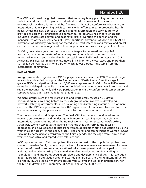The ICPD reaffirmed the global consensus that voluntary family planning decisions are a basic human right of all couples and individuals, and that coercion in any form is unacceptable. Within this human rights framework, the Cairo Conference advocated the integration of family planning activities into a wider effort to meet reproductive health needs. Under this new approach, family planning information and services are to be provided as part of a comprehensive approach to reproductive health care which also includes prenatal, safe delivery and post-natal care; prevention of abortion and the management of the consequences of unsafe abortions; prevention of STDs and HIV/AIDS; prevention of infertility; screening for reproductive tract infections and cervical and breast cancer; and active discouragement of harmful practices, such as female genital mutilation.

At Cairo, delegates agreed to specific resource targets for international population assistance, based on estimates of what is required to enable all countries to make reproductive health and family planning accessible to all individuals no later than 2015. Achieving this goal will require an estimated \$17 billion for the year 2000 and more than \$21 billion per year by 2015, one third of which, it was agreed, must come from the international community.

#### **Role of NGOs**

Non-governmental organizations (NGOs) played a major role at the ICPD. The work begun in Nairobi and carried through at the Rio de Janeiro "Earth Summit" set the stage for greater NGO participation. More than 1,200 were represented in Cairo. Some NGOs were on national delegations, while many others lobbied their country delegates in corridors and separate meetings. Not only did NGO participation make the conference document more comprehensive, but it also made it more legitimate.

Women's groups were the most organized and strategically focused NGO groups participating in Cairo. Long before Cairo, such groups were involved in developing networks, lobbying governments, and developing and distributing materials. The women's caucus at the ICPD comprised more than 400 organizations from 62 countries and took the lead in representing the priorities and perspectives of women around the world.

The success of their work is apparent. The final ICPD Programme of Action addresses women's empowerment and gender equity in more far-reaching ways than did any international document, including the Nairobi Women's Conference, *Forward Looking Strategies.* Women served as the agents of change that transformed the focus of population and development policies from women as targets of state population policies to women as participants in the policy process. The energy and commitment of women's NGOs successfully harnessed and transformed the Cairo agenda. The message from Cairo is that women's productive and reproductive roles are one.

NGO representatives in Cairo recognized the social context of the population problem and strove to broaden family planning approaches to include women's empowerment, increased access to information and services, vocational skills development, and participation in local and national decision-making. This remarkable plan broadens our understanding of "population" and integrates population-related and development policies. This revolution in our approach to population programs was due in large part to the significant influence exerted by NGOs, especially women's groups from all over the world, in preparations for the ICPD, in drafting the Programme of Action, and at the ICPD itself.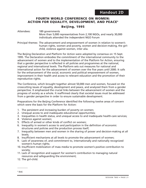#### **FOURTH WORLD CONFERENCE ON WOMEN: ACTION FOR EQUALITY, DEVELOPMENT, AND PEACE6**

#### **Beijing, 1995**

#### Attendees: 189 governments More than 5,000 representatives from 2,100 NGOs, and nearly 30,000 individuals attended the independent NGO Forum

Principal themes: The advancement and empowerment of women in relation to women's human rights, women and poverty, women and decision-making, the girlchild, violence against women, inter alia.

The Beijing Declaration and Platform for Action were adopted by consensus on 15 Sept. 1995. The Declaration embodies the commitment of the international community to the advancement of women and to the implementation of the Platform for Action, ensuring that a gender perspective is reflected in all policies and programmes at the national, regional and international levels. The Platform sets out measures for national and international action for the advancement of women over the five years until 2000. It calls for the enhancement of the social, economic and political empowerment of women, improvement in their health and access to relevant education and the promotion of their reproductive rights.

The Conference, which brought together almost 50,000 men and women, focused on the crosscutting issues of equality, development and peace, and analyzed them from a gender perspective. It emphasized the crucial links between the advancement of women and the progress of society as a whole. It reaffirmed clearly that societal issues must be addressed from a gender perspective in order to ensure sustainable development.

Preparations for the Beijing Conference identified the following twelve areas of concern which were the basis for the Platform for Action:

- 1. The persistent and increasing burden of poverty on women;
- 2. Unequal access to and inadequate educational opportunities;
- 3. Inequalities in health status, and unequal access to and inadequate health-care services;
- 4. Violence against women;
- 5. Effects of armed or other kinds of conflict on women;
- 6. Inequality in women's access to and participation in the definition of economic structures and policies and the production process itself;
- 7. Inequality between men and women in the sharing of power and decision-making at all levels;
- 8. Insufficient mechanisms at all levels to promote the advancement of women;
- 9. Lack of awareness of, and commitment to, internationally and nationally recognized women's human rights;
- 10. Insufficient mobilization of mass media to promote women's positive contribution to society;
- 11. Lack of recognition and support for women's contribution to managing natural resources and safeguarding the environment;
- 12. The girl-child.

 $\overline{\phantom{a}}$ 

<sup>6</sup> ibid.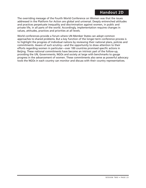The overriding message of the Fourth World Conference on Women was that the issues addressed in the Platform for Action are global and universal. Deeply entrenched attitudes and practices perpetuate inequality and discrimination against women, in public and private life, in all parts of the world. Accordingly, implementation requires changes in values, attitudes, practices and priorities at all levels.

World conferences provide a forum where UN Member States can adopt common approaches to shared problems. But a key function of the longer-term conference process is to highlight the progress of individual nations by reviewing their national plans, policies and commitments. Aware of such scrutiny—and the opportunity to draw attention to their efforts regarding women in particular—over 100 countries promised specific actions in Beijing. These national commitments have become an intrinsic part of the follow-up, providing the UN, Governments, NGOs and society at large with benchmarks to gauge progress in the advancement of women. These commitments also serve as powerful advocacy tools the NGOs in each country can monitor and discuss with their country representatives.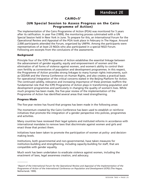#### **CAIRO+57**

#### **(UN Special Session to Assess Progress on the Cairo Programme of Action)**

The implementation of the Cairo Programme of Action (POA) was monitored for 5 years after its ratification. In year five (1999), the monitoring process culminated with a UN Special Session held in New York in June. To prepare for this, an International Forum for the Operational Review and Appraisal of the POA took place in February in The Hague. Around 2,000 participants attended the Forum, organized by UNFPA. Among the participants were representatives of at least 23 NGOs who also participated in a special NGO Forum. Following are excerpts from the conclusions of the assessments.

#### **Background**

Principle four of the ICPD Programme of Action establishes the essential linkage between the advancement of gender equality, equity and empowerment of women and the elimination of all forms of violence against women, and women's ability to control their own fertility as cornerstones of population and development programmes. In this respect, the Programme of Action provides strong linkages to many human rights instruments, such as CEDAW and the Vienna Conference on Human Rights, and also creates a practical basis for operational integration of the critical concerns stated in the Beijing Platform for Action. The continued validity, relevance and increasing importance of these premises reaffirm the fundamental role that the ICPD Programme of Action plays in transforming population and development programmes and particularly in changing the quality of women's lives. While much progress has been made, the five-year review of the implementation of the Programme of Action has identified several areas that need strengthening.

#### **Progress Made**

 $\overline{\phantom{a}}$ 

The five-year review has found that progress has been made in the following areas:

The momentum created by the Cairo Conference has been used to establish or reinforce initiatives that promote the integration of a gender perspective into policies, programmes and activities.

Many countries have reviewed their legal systems and instituted reforms in accordance with international mandates to remove laws that discriminate against women and girls and enact those that protect them.

Initiatives have been taken to promote the participation of women at policy- and decisionmaking levels.

Institutions, both governmental and non-governmental, have taken measures for institution-building and strengthening, including capacity-building for staff, that are compatible with gender equality.

Much work has been undertaken to eradicate violence against women, including the enactment of laws, legal awareness creation, and advocacy.

<sup>7</sup>*Report of the International Forum for the Operational Review and Appraisal of the Implementation of the Programme of Action of the International Conference on Population and Development (ICPD) (*The Hague, Netherlands: 1999).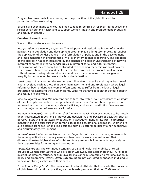Progress has been made in advocating for the protection of the girl-child and the promotion of her well-being.

Efforts have been made to encourage men to take responsibility for their reproductive and sexual behaviour and health and to support women's health and promote gender equality and equity in general.

#### **Constraints and Issues**

Some of the constraints and issues are:

*Incorporation of a gender perspective.* The adoption and institutionalization of a gender perspective in population and development programmes is a long-term process. It requires the application of gender analysis in the formulation of policies and in the development and implementation of programmes as well as in international cooperation. The adoption of this approach has been hampered by the absence of a proper understanding of how to interpret concepts related to gender issues in different social and cultural contexts. Globalization of the economy has contributed to deepening the feminization of poverty, while privatization of social and health sectors has increased the proportion of women without access to adequate social services and health care. In many countries, gender inequity is compounded by race and ethnic discrimination.

*Legal context.* In many countries women are still unable to exercise their rights because of legal provisions, such as those that deny them access to land and credit. Even where legal reform has been undertaken, women often continue to suffer from the lack of legal protection for exercising their human rights. Legal mechanisms to monitor gender equality and equity are still weak.

*Violence against women.* Women continue to face intolerable levels of violence at all stages of their life cycle, and in both their private and public lives. Feminization of poverty has increased new forms of violence, such as trafficking and forced prostitution. Women are also the major victims of wars and civil conflict.

*Women in leadership, and policy and decision-making levels.* Women continue to be grossly under-represented in positions of power and decision-making, because of obstacles, such as poverty, illiteracy, limited access to education, inadequate financial resources, patriarchal mentality and the dual burden of domestic tasks and occupational obligations. Women are also deterred from decision-making positions, such as electoral politics by a non-supportive and discriminatory environment.

*Women's participation in the labour market.* Regardless of their occupations, women with the same qualifications normally earn less than men for work of equal value. Their disproportionately higher share of social and family responsibilities impacts negatively on their opportunities for training and promotion.

*Vulnerable groups.* The continued economic, social and health vulnerability of certain groups of women, such as those who are older, widowed, displaced, indigenous, rural poor, migrant, adolescent, refugee, or slum-dweller makes them susceptible to marginalization in policy and programme efforts. Often such groups are not consulted or engaged in dialogue to develop strategies that meet their needs.

*Protection of the girl-child.* The prevalence of cultural attitudes that promote the low value of girls, harmful traditional practices, such as female genital mutilation (FGM), use of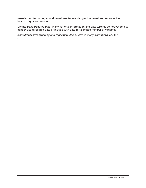sex-selection technologies and sexual servitude endanger the sexual and reproductive health of girls and women.

*Gender-disaggregated data.* Many national information and data systems do not yet collect gender-disaggregated data or include such data for a limited number of variables.

*Institutional strengthening and capacity building.* Staff in many institutions lack the r gendeg aalysils andto design, impleomets ane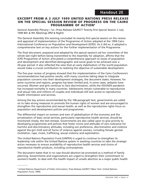#### **EXCERPT FROM A 2 JULY 1999 UNITED NATIONS PRESS RELEASE ON THE SPECIAL SESSION REVIEW OF PROGRESS ON THE CAIRO PROGRAMME OF ACTION8**

General Assembly Plenary—1a—Press Release GA/9577 Twenty-first Special Session 2 July 1999 8th & 9th Meetings (PM & Night)

The General Assembly this evening concluded its twenty-first special session on the review and appraisal of implementation of the Programme of Action adopted at the 1994 Cairo International Conference on Population and Development (ICPD). As it did so, it adopted a comprehensive text on key actions for the further implementation of the Programme.

The final document, prepared and adopted by the special session's ad hoc committee of the whole last night before being transmitted to the Assembly for adoption, affirms that the ICPD Programme of Action articulated a comprehensive approach to issues of population and development and identified demographic and social goals to be achieved over a 20-year period. It also reflected the view that an early stabilization of the world population would make a crucial contribution to realizing the objective of sustainable development.

The five-year review of progress showed that the implementation of the Cairo Conference's recommendations had positive results, with many countries taking steps to integrate population concerns into their development strategies, the document states. However, for some countries and regions, progress has been limited and, in some cases, setbacks have occurred. Women and girls continue to face discrimination, while the HIV/AIDS pandemic has increased mortality in many countries. Adolescents remain vulnerable to reproductive and sexual risks and millions of couples and individuals still lack access to reproductive health information and services.

Among the key actions recommended by the 106-paragraph text, governments are called on to take strong measures to promote the human rights of women and are encouraged to strengthen the reproductive and sexual health, as well as the reproductive rights focus on population and development policies and programmes.

The differential impact on women and men of globalization of the economy and the privatization of basic social services, particularly reproductive health services, should be monitored closely, the text stresses. Governments are also called upon to give priority to developing programmes and policies that foster norms and attitudes of zero tolerance for harmful and discriminatory attitudes, including son preference, discrimination and violence against the-girl child and all forms of violence against women, including female genital mutilation, rape, incest, trafficking, sexual violence and exploitation.

The United Nations Population Fund (UNFPA) is urged to continue to strengthen its leadership role within the United Nations system in assisting countries to take the strategic action necessary to ensure availability of reproductive health services and choice of reproductive health products, including contraceptives.

The document states that in no case should abortion be promoted as a method of family planning. Governments and organizations are urged to strengthen their commitment to women's health, to deal with the health impact of unsafe abortion as a major public health

 $\overline{\phantom{a}}$ 

<sup>8</sup> United Nations Department of Public Information, Press Release GA/9577 (New York: United Nations Population Fund, 1999).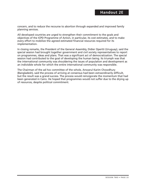concern, and to reduce the recourse to abortion through expanded and improved family planning services.

All developed countries are urged to strengthen their commitment to the goals and objectives of the ICPD Programme of Action, in particular, its cost estimates, and to make every effort to mobilize the agreed estimated financial resources required for its implementation.

In closing remarks, the President of the General Assembly, Didier Opertti (Uruguay), said the special session had brought together government and civil society representatives to report on programmes, ideas and plans. That was a significant act of democratization. The special session had contributed to the goal of developing the human being. Its triumph was that the international community was shouldering the issues of population and development as an indivisible whole for which the entire international community was responsible.

The Chairman of the ad hoc committee of the whole, Anwarul Karim Chowdhury (Bangladesh), said the process of arriving at consensus had been extraordinarily difficult, but the result was a grand success. The process would reinvigorate the momentum that had been generated in Cairo. He hoped that programmes would not suffer due to the drying up of resources, despite political commitment.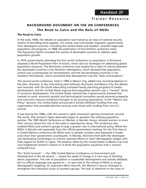### **BACKGROUND DOCUMENT ON THE UN CONFERENCES The Road to Cairo and the Role of NGOs**

#### **The Road to Cairo**

In the early 1960s, the debate on population was framed as an issue of national security. Fearful of dwindling food supplies, civil unrest, and cross-border migration, governments from developed countries—including the United States and Sweden—enacted large-scale population aid programs. In 1968, the publication of Paul Ehrlich's cautionary tome *The Population Bomb* increased the resolve of developed countries to address rapid population growth.

In 1974, governments attending the first world conference on population in Bucharest adopted a World Population Plan of Action, which laid out strategies for addressing global population pressures. The Bucharest conference was marked by a clash of cultures between the developed countries in the Northern Hemisphere, which declared that population control was a prerequisite for development, and the less-developed countries in the Southern Hemisphere, which countered that development was the "best contraceptive."

The second world conference, held in 1984 in Mexico City, added new recommendations to the plan. However, in the intervening years between Bucharest and Mexico City, the debate was reversed, with the South advocating increased family planning programs to hasten development, and the United States arguing that population growth was a "neutral" factor in economic development. The United States claimed that if governments allowed free markets to work, economic growth and technological innovation would promote prosperity and overcome resource limitations brought on by growing populations. In the "Mexico City Policy" decision, the United States announced it would withdraw funding from any organization that provided abortion services, even those with funding from non-U.S. sources.

It was during the 1980s, with the women's rights movement gaining momentum around the world, that women's rights advocates began to question the existing population policies. The 1985 World Conference on Women in Nairobi, Kenya, allowed women to voice their concern about the role of the state in reproductive issues. The conference also enabled NGOs and women's groups to play a greater role in international policy. While the NGOs in Nairobi met separately from the official government meeting, for the first time at a United Nations conference the NGOs were in greater numbers and expressed a louder voice than their government counterparts. In Nairobi, feminists from both the developed and developing world began to criticize national efforts to reach demographic targets with little regard for health or rights. The position taken by the United States in Mexico City had only heightened women's resolve to re-think the population equations with a womencentered focus.

The "Earth Summit" — the 1992 United Nations Conference on Environment and Development in Rio de Janeiro — sowed the seeds of change in a new way of thinking about population. The role of population in sustainable development was actively debated, but no official language was agreed to — in part due to the refusal of NGOs to accept demographic targeting. An important NGO network, the Women's Caucus, emerged to strengthen the individual voices of women's groups. The lack of attention to the issue of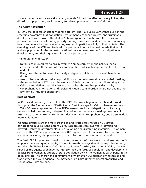population in the conference document, Agenda 21, had the effect of closely linking the disussion of population, environment, and development with women's rights.

#### **The Cairo Revolution**

In 1994, the political landscape was far different. The 1994 Cairo Conference built on the emerging awareness that population, environment, economic growth, and sustainable development were linked. The United Nations organizers emphasized the critical role of population policies in alleviating poverty, halting environmental deterioration, improving health and education, and empowering women to participate fully in their societies. The overall goal of the ICPD was to develop a plan of action for the next decade that would address population in the context of national development, women's participation in development, and their rights over issues of reproduction.

The Programme of Action:

- Details actions required to ensure women's empowerment in the political, social, economic, and cultural lives of their communities, not simply improvements in their status and roles.
- Recognizes the central role of sexuality and gender relations in women's health and rights.
- Asserts that men should take responsibility for their own sexual behavior, their fertility, the transmission of STDs, and the welfare of their partners and the children they father.
- Calls for and defines reproductive and sexual health care that provides quality, comprehensive information and services (including safe abortion where not against the law) for all, including adolescents.

#### **Role of NGOs**

NGOs played an even greater role at the ICPD. The work begun in Nairobi and carried through at the Rio de Janeiro "Earth Summit" set the stage for Cairo, where more than 1,200 NGOs were represented. Some NGOs were on national delegations, while many others lobbied their country delegates in corridors and separate meetings. Not only did NGO participation make the conference document more comprehensive, but it also made it more legitimate.

Women's groups were the most organized and strategically focused NGO groups participating in Cairo. Long before Cairo, such groups were involved in developing networks, lobbying governments, and developing and distributing materials. The women's caucus at the ICPD comprised more than 400 organizations from 62 countries and took the lead in representing the priorities and perspectives of women around the world.

The final ICPD Programme of Action proves the success of their work. It addresses women's empowerment and gender equity in more far-reaching ways than does any other report , including the Nairobi Women's Conference, *Forward-Looking Strategies.* In Cairo, women served as the agents of change that transformed the focus of population and development policies from women as targets of state population policies to women as participants in the policy process. The energy and commitment of women's NGOs successfully harnessed and transformed the Cairo agenda. The message from Cairo is that women's productive and reproductive roles are one.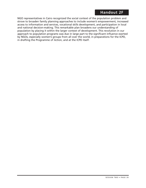#### **Handout 2F**

NGO representatives in Cairo recognized the social context of the population problem and strove to broaden family planning approaches to include women's empowerment, increased access to information and services, vocational skills development, and participation in local and national decision-making. This remarkable plan broadens our understanding of population by placing it within the larger context of development. This revolution in our approach to population programs was due in large part to the significant influence exerted by NGOs, especially women's groups from all over the world, in preparations for the ICPD, in drafting the Programme of Action, and at the ICPD itself.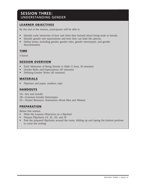#### **SESSION THREE:**  UNDERSTANDING GENDER

#### **LEARNER OBJECTIVES**

By the end of the session, participants will be able to

- Identify early memories of how and what they learned about being male or female.
- Identify gender role expectations and how they can limit life options.
- Define terms, including gender, gender roles, gender stereotypes, and gender discrimination.

#### **TIME**

3 hours

#### **SESSION OVERVIEW**

- Early Memories of Being Female or Male (1 hour, 30 minutes)
- Gender Roles and Expectations (45 minutes)
- Defining Gender Terms (45 minutes)

#### **MATERIALS**

• Flipchart and paper, markers, tape

#### **HANDOUTS**

3A—Sex and Gender

3B—Common Gender Stereotypes

3C—Trainer Resource: Statements About Men and Women

#### **PREPARATION**

Before this session

- Write the Learner Objectives on a flipchart
- Prepare Flipcharts 3A, 3C, 3D, and 3F
- Post the prepared flipcharts around the room, folding up and taping the bottom portions to cover the writing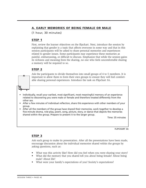# **A. EARLY MEMORIES OF BEING FEMALE OR MALE**

(1 hour, 30 minutes)

# **STEP 1**

First, review the learner objectives on the flipchart. Next, introduce the session by explaining that gender is a topic that affects everyone in some way and that in this session participants will be asked to share personal memories and experiences related to gender issues. Some participants may experience these memories as painful, embarrassing, or difficult to discuss. Emphasize that while the session gains its richness and meaning from the sharing, no one who feels uncomfortable sharing a memory will be required to so.

# **STEP 2**

Ask the participants to divide themselves into small groups of 4 to 5 members. It is important to allow them to form their own groups to ensure they will feel comfortable sharing personal experiences. Introduce the task on Flipchart 3A.

- Individually, recall your earliest, most significant, most meaningful memory of an experience related to discovering you were male or female and therefore treated differently from the other sex.
- After a few minutes of individual reflection, share this experience with other members of your group.
- After all the members of the group have shared their memories, work together to develop a five-minute drama, role-play, poem, song, picture, story, or dance that depicts the memories shared within the group. Prepare to present it to the larger group.

Time: 35 minutes

**FLIPCHART 3A**

## **STEP 3**

Ask each group to make its presentation. After all the presentations have been made, encourage discussion about the individual memories shared within the groups by asking questions, such as:

- What was this activity like? How did you feel when you were sharing your story?
- What did the memory that you shared tell you about being female? About being male? About life?
- What were your family's expectations of you? Society's expectations?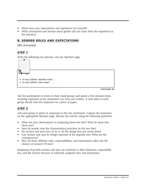- What were your expectations and aspirations for yourself?
- What conclusions and lessons about gender did you draw from the experience in the memory?

# **B. GENDER ROLES AND EXPECTATIONS**

(45 minutes)

# **STEP 1**

Write the following two phrases, one per flipchart page.



**FLIPCHART 3B**

Ask the participants to return to their small groups and spend a few minutes brainstorming responses to the statements you have just written. A note-taker in each group should note the responses on a piece of paper.

# **STEP 2**

Ask each group to share its responses to the two statements. Capture the responses on the appropriate flipchart page. Discuss the activity using the following questions:

- What are your observations in comparing these two lists? What do these lists show you?
- How do people view the characteristics/activities on the two lists?
- Do women and men have to be or do the things that you wrote down?
- Can women and men do things expected of the opposite sex? What are the consequences?
- How do these different roles, responsibilities, and expectations affect the life choices of women? Of men?

Emphasize that both women and men are restricted in their behaviors, responsibilities, and life choices because of culturally assigned roles and stereotypes.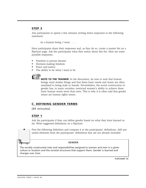Ask participants to spend a few minutes writing down responses to the following statement:

As a human being, I want . . . .

Have participants share their responses and, as they do so, create a master list on a flipchart page. Ask the participants what they notice about this list. Here are some possible responses:

- Freedom to pursue dreams
- Decision-making freedom
- Peace and justice
- The ability to be what I want to be



**NOTE TO THE TRAINER:** In the discussion, be sure to note that human beings want similar things and that these basic needs and wants are often unrelated to being male or female. Nevertheless, the social construction of gender has, in many societies, restricted women's ability to achieve these basic human wants more than men. This is why it is often said that gender issues are human rights issues.

## **C. DEFINING GENDER TERMS**

(45 minutes)

#### **STEP 1**

Ask the participants if they can define gender based on what they have learned so far. Write suggested definitions on a flipchart.



Post the following definition and compare it to the participants' definitions. Add any useful elements from the participants' definitions that are not already included.

#### **GENDER**

The socially constructed roles and responsibilities assigned to women and men in a given culture or location and the societal structures that support them. Gender is learned and changes over time.

**FLIPCHART 3C**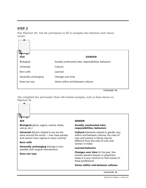Post Flipchart 3D. Ask the participants to fill in examples that illustrate each characteristic.



**FLIPCHART 3D**

The completed Sex and Gender Chart will include examples, such as those shown on Flipchart 3E.

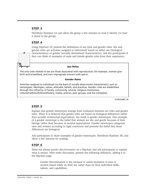Distribute Handout 3A and allow the group a few minutes to read it silently (or read it aloud to the group).

#### **STEP 4**

Using Flipchart 3F, present the definitions of sex roles and gender roles. Sex and gender roles are activities assigned to individuals based on either sex (biological characteristics) or gender (socially determined characteristics). Ask the participants if they can think of examples of male and female gender roles from their experience.

#### **Sex Roles**

The only roles related to sex are those associated with reproduction; for example, women give birth and breastfeed, and men impregnate women with sperm.

#### **Gender Roles**

Activities assigned to individuals on the basis of socially determined characteristics, such as stereotypes, ideologies, values, attitudes, beliefs, and practices. Gender roles are established through the influence of family, community, schools, religious institutions, culture/tradition/folklore/history, media, policies, peer groups, and the workplace.

**FLIPCHART 3F**

## **STEP 5**

Explain that gender stereotypes emerge from confusion between sex roles and gender roles. When it is believed that gender roles are based on biological differences rather than socially constructed expectations, the result is gender stereotypes. One example of a gender stereotype is the belief that women are shy and gentle because of their biology rather than because of societal expectations. Gender stereotypes categorize men and women according to rigid constructs and promote the belief that these differences are biological.

Ask participants to share examples of gender stereotypes. Distribute Handout 3B, and allow a few minutes for reading.

#### **STEP 6**

Write the phrase *gender discrimination* on a flipchart and ask participants to explain what it means. After some discussion, present the following definition, adding it to the flipchart page.

Gender discrimination is the unequal or unfair treatment of men or women based solely on their sex rather than on their individual skills, talents, and capabilities.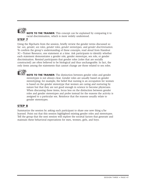

**NOTE TO THE TRAINER:** This concept can be explained by comparing it to racial discrimination, which is more widely understood.

# **STEP 7**

Using the flipcharts from the session, briefly review the gender terms discussed so far: *sex, gender, sex roles, gender roles, gender stereotypes,* and *gender discrimination.* To confirm the group's understanding of these concepts, read aloud from Handout 3C—Trainer Resource, one statement at a time. Ask participants to identify whether each statement demonstrates a gender role, gender stereotype, sex role, or gender discrimination. Remind participants that gender roles (roles that are socially constructed) are often believed to be biological and thus unchangeable. In fact, the only items among the statements that cannot change are those related to sex roles.



**NOTE TO THE TRAINER:** The distinction between gender roles and gender stereotypes is not always clear. Gender roles are usually based on gender stereotyping; for example, the belief that nursing is an occupation for women is based on the gender stereotype that women are caring and nurturing by nature but that they are not good enough in science to become physicians. When discussing these items, focus less on the distinction between gender roles and gender stereotypes and probe instead for the reasons the activity is assigned to a particular sex. Reinforce that the reasons usually relate to gender stereotypes.

# **STEP 8**

Summarize the session by asking each participant to share one new thing s/he learned. Point out that this session highlighted existing gender roles and stereotypes. Tell the group that the next session will explore the societal factors that generate and maintain these behavioral expectations for men, women, girls, and boys.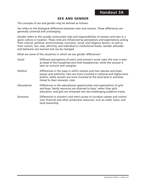# **SEX AND GENDER**

The concepts of *sex* and *gender* may be defined as follows:

*Sex* refers to the biological differences between men and women. These differences are generally universal and unchanging.

*Gender* refers to the socially constructed roles and responsibilities of women and men in a given culture or location. These roles are influenced by perceptions and expectations arising from cultural, political, environmental, economic, social, and religious factors, as well as from custom, law, class, ethnicity, and individual or institutional biases. Gender attitudes and behaviors are learned and can be changed.

What are some of the situations in which we see gender differences?

| Social           | Different perceptions of men's and women's social roles: the man is seen<br>as head of the household and chief breadwinner, while the woman is<br>seen as nurturer and caregiver.                                                                         |
|------------------|-----------------------------------------------------------------------------------------------------------------------------------------------------------------------------------------------------------------------------------------------------------|
| <b>Political</b> | Differences in the ways in which women and men assume and share<br>power and authority: men are more involved in national and higher-level<br>politics, while women are more involved at the local level in activities<br>linked to their domestic roles. |
| Educational      | Differences in the educational opportunities and expectations of girls<br>and boys: family resources are directed to boys' rather than girls'<br>education, and girls are streamed into less-challenging academic tracks.                                 |
| Economic         | Differences in women's and men's access to lucrative careers and control<br>over financial and other productive resources, such as credit, loans, and<br>land ownership.                                                                                  |
|                  |                                                                                                                                                                                                                                                           |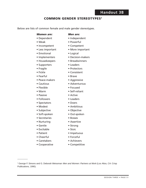# **Handout 3B**

### **COMMON GENDER STEREOTYPES<sup>9</sup>**

Below are lists of common female and male gender stereotypes.

#### *Women are: Men are:*

- 
- 
- Incompetent Competent
- 
- Emotional Logical
- 
- Housekeepers Breadwinners
- Supporters Leaders
- 
- 
- Fearful Brave
- Peace-makers Aggressive
- 
- 
- 
- Passive Active
- Followers Leaders
- Spectators Doers
- 
- Subjective Objective
- Soft-spoken Out-spoken
- Secretaries Bosses
- Nurturing Assertive
- 
- Excitable Stoic
- 

 $\overline{\phantom{a}}$ 

Publications, 1990).

- Cheerful Forceful
- Caretakers Achievers
- 
- Dependent Independent
- Weak Powerful
	-
- Less important More important
	-
- Implementers Decision-makers
	-
	-
	-
	-
	-
	-
- Cautious Adventurous
	-
- Warm Self-reliant
	-
	-
	-
	-
	-
	-
	-
- Gentle Strong
	-
- Patient Impetuous
	-
	-
	-
- -
- Fragile Protectors
- Fickle Consistent
	-
- Flexible Focused
	-
	-
	-
- Modest Ambitious
	-
	-
	-
	-
	-
	-
	-
	-
	-
	-
- Cooperative Competitive

<sup>9</sup> George F. Simons and G. Deborah Weissman Men and Women: Partners at Work (Los Altos, CA: Crisp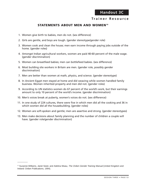# **Trainer Resource**

# **STATEMENTS ABOUT MEN AND WOMEN10**

- 1. Women give birth to babies, men do not. (sex difference)
- 2. Girls are gentle, and boys are tough. (gender stereotype/gender role)
- 3. Women cook and clean the house; men earn income through paying jobs outside of the home. (gender roles)
- 4. Amongst Indian agricultural workers, women are paid 40-60 percent of the male wage. (gender discrimination)
- 5. Women can breastfeed babies; men can bottlefeed babies. (sex difference)
- 6. Most building site workers in Britain are men. (gender role, possibly gender discrimination)
- 7. Men are better than women at math, physics, and science. (gender stereotype)
- 8. In Ancient Egypt men stayed at home and did weaving while women handled family business. Women inherited property and men did not. (gender roles)
- 9. According to UN statistics women do 67 percent of the world's work, but their earnings amount to only 10 percent of the world's income. (gender discrimination)
- 10. Men's voices break at puberty, women's voices do not. (sex difference)
- 11. In one study of 224 cultures, there were five in which men did all the cooking and 36 in which women did all the housebuilding. (gender roles)
- 12. Women are soft-spoken and gentle; men are assertive and strong. (gender stereotypes)
- 13. Men make decisions about family planning and the number of children a couple will have. (gender role/gender discrimination)

 $\overline{\phantom{a}}$ 

<sup>&</sup>lt;sup>10</sup> Suzanne Williams, Janet Seed, and Adelina Mwau, The Oxfam Gender Training Manual (United Kingdom and Ireland: Oxfam Publications, 1994).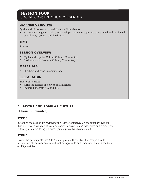# **SESSION FOUR:**  SOCIAL CONSTRUCTION OF GENDER

# **LEARNER OBJECTIVE**

By the end of the session, participants will be able to

• Articulate how gender roles, relationships, and stereotypes are constructed and reinforced by cultures, systems, and institutions.

#### **TIME**

3 hours

#### **SESSION OVERVIEW**

- A. Myths and Popular Culture (1 hour, 30 minutes)
- B. Institutions and Systems (1 hour, 30 minutes)

#### **MATERIALS**

• Flipchart and paper, markers, tape

## **PREPARATION**

Before this session

- Write the learner objectives on a flipchart.
- Prepare Flipcharts 4-A and 4-B.

# **A. MYTHS AND POPULAR CULTURE**

(1 hour, 30 minutes)

## **STEP 1**

Introduce the session by reviewing the learner objectives on the flipchart. Explain that one way in which cultures and societies perpetuate gender roles and stereotypes is through folklore (songs, stories, games, proverbs, rhymes, etc.).

## **STEP 2**

Divide the participants into 4 to 5 small groups. If possible, the groups should include members from diverse cultural backgrounds and traditions. Present the task on Flipchart 4A.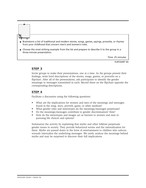- Brainstorm a list of traditional and modern stories, songs, games, sayings, proverbs, or rhymes from your childhood that concern men's and women's roles.
- Choose the most striking example from the list and prepare to describe it to the group in a three-minute presentation.

Time: 25 minutes

**FLIPCHART 4A**

#### **STEP 3**

Invite groups to make their presentations, one at a time. As the groups present their findings, write brief descriptions of the stories, songs, games, or proverbs on a flipchart. After all of the presentations, ask participants to identify the gender meanings or messages transmitted in each. Record these on the flipchart opposite the corresponding descriptions.

#### **STEP 4**

Facilitate a discussion using the following questions:

- What are the implications for women and men of the meanings and messages found in the song, story, proverb, game, or other medium?
- What gender roles and stereotypes do the meanings/messages perpetuate?
- Do the meanings/messages contribute to gender discrimination? How?
- How do the stereotypes and images act as barriers to women and men in pursuing life choices and options?

Summarize the activity by explaining that myths and other folklore perpetuate gender issues in society. They provide behavioral norms and the rationalization for them. Myths are passed down in the form of entertainment to children who subconsciously internalize the underlying messages. We rarely analyze the meanings behind myths and may be surprised to discover their full implications.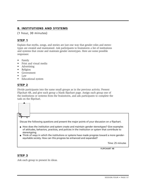# **B. INSTITUTIONS AND SYSTEMS**

(1 hour, 30 minutes)

# **STEP 1**

Explain that myths, songs, and stories are just one way that gender roles and stereotypes are created and maintained. Ask participants to brainstorm a list of institutions and systems that create and maintain gender stereotypes. Here are some possible responses:

- Family
- Print and visual media
- Advertising
- Religion
- Government
- Law
- Educational system

# **STEP 2**

Divide participants into the same small groups as in the previous activity. Present Flipchart 4B, and give each group a blank flipchart page. Assign each group one of the institutions or systems from the brainstorm, and ask participants to complete the task on the flipchart.



- How does the institution and system create and maintain gender stereotypes? Give examples of attitudes, behaviors, practices, and policies in the institution or system that contribute to stereotyping.
- Think of ways in which the institutions or systems have made progress toward a more genderequitable society. How can this progress be enhanced and expanded?

Time: 25 minutes

**FLIPCHART 4B**

# **STEP 3**

Ask each group to present its ideas.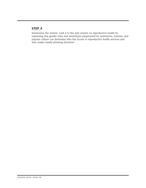Summarize the session. Link it to the next session on reproductive health by explaining that gender roles and stereotypes perpetuated by institutions, systems, and popular culture can determine who has access to reproductive health services and who makes family-planning decisions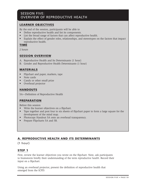# SESSION FIVE: OVERVIEW OF REPRODUCTIVE HEALTH

# **LEARNER OBJECTIVES**

By the end of the session, participants will be able to

- Define reproductive health and list its components.
- List the broad range of factors that can affect reproductive health.
- Explain the effect of gender roles, relationships, and stereotypes on the factors that impact reproductive health.

#### **TIME**

2 hours

#### **SESSION OVERVIEW**

- A. Reproductive Health and Its Determinants (1 hour)
- B. Gender and Reproductive Health Determinants (1 hour)

#### **MATERIALS**

- Flipchart and paper, markers, tape
- Note cards
- Candy or other small prize
- Overhead projector

## **HANDOUTS**

5A—Definition of Reproductive Health

## **PREPARATION**

Before this session

- Write the learner objectives on a flipchart.
- Tape together and post four to six sheets of flipchart paper to form a large square for the development of the mind map.
- Photocopy Handout 5A onto an overhead transparency.
- Prepare Flipcharts 5A and 5B.

# **A. REPRODUCTIVE HEALTH AND ITS DETERMINANTS**

(1 hour)

#### **STEP 1**

First, review the learner objectives you wrote on the flipchart. Next, ask participants to brainstorm briefly their understanding of the term *reproductive health*. Record their input on a flipchart.

Using an overhead projector, present the definition of reproductive health that emerged from the ICPD: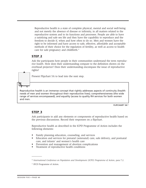Reproductive health is a state of complete physical, mental and social well-being and not merely the absence of disease or infirmity, in all matters related to the reproductive system and to its functions and processes. People are able to have a satisfying and safe sex life and they have the capability to reproduce and the freedom to decide if, when and how often to do so. Men and women have the right to be informed and have access to safe, effective, affordable and acceptable methods of their choice for the regulation of fertility, as well as access to health care for safe pregnancy and childbirth.<sup>11</sup>

#### **STEP 2**

Ask the participants how people in their communities understand the term *reproductive health*. How does their understanding compare to the definition shown on the overhead projector? Does their understanding encompass the issue of reproductive rights?

Present Flipchart 5A to lead into the next step.

Reproductive health is an immense concept that rightly addresses aspects of continuity (health needs of men and women throughout their reproductive lives); comprehensiveness (the wide range of services encompassed); and equality (access to quality RH services for both women and men.

**FLIPCHART 5A12**

#### **STEP 3**

 $\overline{\phantom{a}}$ 

Ask participants to add any elements or components of reproductive health based on the previous discussions. Record their responses on a flipchart.

Reproductive health as described in the ICPD Programme of Action includes the following elements:

- Family planning education, counseling, and services
- Education and services for prenatal (antenatal) care, safe delivery, and postnatal care, and infants' and women's health care
- Prevention and management of abortion complications Treatment of reproductive health conditions
- 

<sup>&</sup>lt;sup>11</sup> International Conference on Population and Development (ICPD) Programme of Action, para 7.2.

<sup>&</sup>lt;sup>12</sup> IPCD Programme of Action.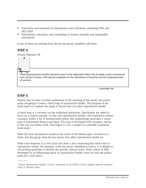- Prevention and treatment of reproductive tract infections, including STDs and HIV/AIDS
- Information, education, and counseling on human sexuality and responsible parenthood

If any of these are missing from the list the group compiled, add them.

# **STEP 4**

Present Flipchart 5B.



**FLIPCHART 5B13**

# **STEP 5**

 $\overline{\phantom{a}}$ 

Explain that in order to better understand of the meaning of this quote, the participants are going to create a mind map of reproductive health. The purpose of the mind map is to explore the range of factors that can affect reproductive health.

A mind map is a variation on the traditional brainstorm. Participants are asked to focus on a central concept—in this case reproductive health—and brainstorm related concepts. Unlike a list of brainstormed points, this methodology generates a visual map of interrelated themes and ideas. The map is developed with synapses, similar to the way our brains work. (See Figure 5-1 for a sample of a partially completed mind map.)

Write the term *reproductive health* in the center of the blank paper, enclosed in a circle. Ask the group what the key factors that affect reproductive health are.

Write each response in a new circle and draw a line connecting this circle back to *reproductive health.* For example, if the first factor identified is *culture,* it is helpful to ask probing questions to identify the specific cultural issues. Once culture is fully developed as an influencing factor on reproductive health, move on and ask participants for a new factor.

<sup>13 &</sup>quot;Focus: Reproductive Health," *Contact: Newsletter of the UNFPA Country Support Team for Southern Africa* 5 (October 1995).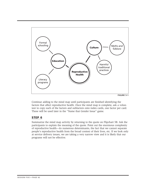

**FIGURE 5-1**

Continue adding to the mind map until participants are finished identifying the factors that affect reproductive health. Once the mind map is complete, ask a volunteer to copy each of the factors and subfactors onto index cards, one factor per card. These will be used later in the "Name that Gender Issue" game.

## **STEP 6**

Summarize the mind map activity by returning to the quote on Flipchart 5B. Ask the participants to explain the meaning of the quote. Point out the enormous complexity of reproductive health—its numerous determinants, the fact that we cannot separate people's reproductive health from the broad context of their lives, etc. If we look only at service delivery issues, we are taking a very narrow view and it is likely that our programs will not be effective.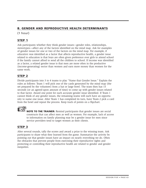# **B. GENDER AND REPRODUCTIVE HEALTH DETERMINANTS**

(1 hour)

# **STEP 1**

Ask participants whether they think gender issues—gender roles, relationships, stereotypes—affect any of the factors identified on the mind map. Ask for examples of gender issues for one or two of the factors on the mind map. For example, if *education* was identified as a factor that affects reproductive health, a gender issue related to education is that boys are often given preference over girls to attend school if the family cannot afford to send all the children to school. If income was identified as a factor, a related gender issue is that men are more often in the productive (income-generating) sector than women and earn more money than women for the same work.

# **STEP 2**

Divide participants into 3 to 4 teams to play "Name that Gender Issue." Explain the rules as follows: Team 1 will pick one of the cards generated by the mind map (the set prepared by the volunteer) from a hat or large bowl. The team then has 15 seconds (or an agreed-upon amount of time) to come up with gender issues related to that factor. Award one point for each accurate gender issue identified. If Team 1 cannot think of any gender issues, the remaining teams will each have an opportunity to name one issue. After Team 1 has completed its turn, have Team 2 pick a card from the bowl and repeat the process. Keep track of points on a flipchart.



**NOTE TO THE TRAINER:** Remind participants that gender issues are social constructs that can affect men as well as women. For example, lack of access to information on family planning may be a gender issue for men since service providers tend to target women as their clients.

# **STEP 3**

After several rounds, tally the scores and award a prize to the winning team. Ask participants to share what they learned from the game. Summarize the activity by pointing out that gender issues have an impact on nearly everything we do. Often the obstacles that prevent people from exercising their reproductive rights and protecting or controlling their reproductive health are related to gender and gender inequities.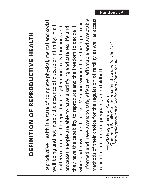# DEFINITION OF REPRODUCTIVE HEALTH **DEFINITION OF REPRODUCTIVE HEALTH**

informed and have access to safe, effective, affordable and acceptable informed and have access to safe, effective, affordable and acceptable methods of their choice for the regulation of fertility, as well as access methods of their choice for the regulation of fertility, as well as access Reproductive Health is a state of complete physical, mental and social Reproductive Health is a state of complete physical, mental and social when and how often to do so. Men and women have the right to be when and how often to do so. Men and women have the right to be they have the capability to reproduce and the freedom to decide if, they have the capability to reproduce and the freedom to decide if, well-being and not merely the absence of disease or infirmity, in all processes. People are able to have a satisfying and safe sex life and well-being and not merely the absence of disease or infirmity, in all matters related to the reproductive system and to its functions and matters related to the reproductive system and to its functions and processes. People are able to have a satisfying and safe sex life and to health care for safe pregnancy and childbirth. to health care for safe pregnancy and childbirth.

Quoted in Family Care International, Action for the 21st Quoted in Family Care International, *Action for the 21st* Century/Reproductive Health and Rights for All *Century/Reproductive Health and Rights for All* -ICPD Programme of Action —ICPD Programme of Action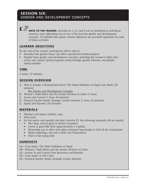# **SESSION SIX:**  GENDER AND DEVELOPMENT CONCEPTS



**NOTE TO THE TRAINER:** Activities B, C, D, and E can be facilitated as individual sessions, each addressing one or two of the four key gender and development concepts. To facilitate this option, learner objectives are provided separately for each of those activities.

### **LEARNER OBJECTIVES**

By the end of the session, participants will be able to

- Describe how gender issues can affect reproductive health projects.
- Explain basic gender and development concepts, including the women's triple roles, access and control, practical gender needs/strategic gender interests, and gender equity/equality.

## **TIME**

5 hours, 15 minutes

## **SESSION OVERVIEW**

A. Why Is Gender a Development Issue? The Water Buffaloes of Nepal Case Study (45 minutes)

Key Gender and Development Concepts

- B. Women's Triple Roles and the Gender Division of Labor (1 hour)
- C. Access and Control (1 hour, 30 minutes)
- D. Practical Gender Needs, Strategic Gender Interests (1 hour, 30 minutes)
- E. Equity and Equality (30 minutes)

## **MATERIALS**

- Flipchart and paper, markers, tape
- Note cards
- For the equity and equality role play (Activity E), the following materials will be needed:
	- Two long, narrow glass or plastic containers
	- Cereal or grain-like food (approximately 3 cupfuls)
	- Measuring cup or other clear glass container big enough to hold all the cereal/grain
	- Masks depicting a fox and a stork (see Preparation)
	- Plate or flat eating dish

# **HANDOUTS**

- 6A—Case Study: The Water Buffaloes of Nepal
- 6B—Women's Triple Roles and the Gender Division of Labor
- 6C—Access To and Control Over Resources and Benefits
- 6D—Case Study: A Girl's Life?
- 6E—Practical Gender Needs, Strategic Gender Interests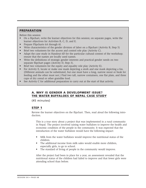#### **PREPARATION**

Before this session

- On a flipchart, write the learner objectives for this session; on separate pages, write the learner objectives for Activities B, C, D, and E.
- Prepare Flipcharts 6A through 6I.
- Write characteristics of the gender division of labor on a flipchart (Activity B, Step 5)
- Brief two volunteers for the access and control role play (Activity C).
- Adapt the case study in Handout 6D for the particular cultural context of the workshop; ensure that the names are locally used names.
- Write the definitions of strategic gender interests and practical gender needs on two separate flipchart pages (Activity D, Step 3).
- Brief two volunteers for the equity and equality role play (Activity E).
- For Activity E, locate or make one mask depicting a stork and one mask depicting a fox. (Different animals can be substituted, but one must have a long, narrow snout or beak for feeding and the other must not.) Find two tall, narrow containers, one flat plate, and three cups of dry cereal or other grainlike food.
- See Activity C for additional preparation to carry out at the start of that activity.

## **A. WHY IS GENDER A DEVELOPMENT ISSUE? THE WATER BUFFALOES OF NEPAL CASE STUDY**

(45 minutes)

## **STEP 1**

Review the learner objectives on the flipchart. Then, read aloud the following introduction.

This is a true story about a project that was implemented in a rural community in Nepal. The project involved raising water buffaloes to improve the health and economic condition of the people in the community. It was expected that the introduction of the water buffaloes would have the following impact:

- Milk from the water buffaloes would improve the nutritional status of the children.
- The additional income from milk sales would enable more children, especially girls, to go to school.
- The standard of living of people in the community would improve.

After the project had been in place for a year, an assessment revealed that the nutritional status of the children had failed to improve and that fewer girls were attending school than before.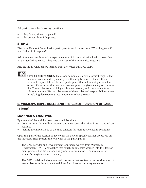Ask participants the following questions:

- What do you think happened?
- Why do you think it happened?

# **STEP 2**

Distribute Handout 6A and ask a participant to read the sections "What happened?" and "Why did it happen?"

Ask if anyone can think of an experience in which a reproductive health project had an unintended outcome. What was the cause of the unintended outcome?

Ask the group what can be learned from the Water Buffaloes story.



**NOTE TO THE TRAINER:** This story demonstrates how a project might affect men and women and boys and girls differently because of their different roles and responsibilities. Remind participants that talk about gender refers to the different roles that men and women play in a given society or community. These roles are not biological but are learned, and they change from culture to culture. We must be aware of these roles and responsibilities when formulating development interventions or other projects.

#### **B. WOMEN'S TRIPLE ROLES AND THE GENDER DIVISION OF LABOR**

(1 hour)

## **LEARNER OBJECTIVES**

By the end of the activity, participants will be able to

- Conduct an analysis of how women and men spend their time in rural and urban settings.
- Identify the implications of the time analysis for reproductive health programs.

Open this part of the session by reviewing the activity-specific learner objectives on the flipchart. Then present the following to the participants:

The GAD (Gender and Development) approach evolved from Women in Development (WID) approaches that sought to integrate women into the development process, but did not address gender discrimination—the root cause of women's marginalization in society.

The GAD model includes some basic concepts that are key to the consideration of gender issues in development activities. Let's look at these key concepts.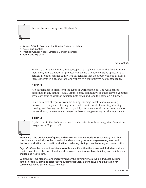

• Equity and Equality

**FLIPCHART 6A**

Explain that understanding these concepts and applying them in the design, implementation, and evaluation of projects will ensure a gender-sensitive approach that actively promotes gender equity. Tell participants that the group will look at each of these concepts in turn and then apply them to a reproductive health case study.

#### **STEP 1**

Ask participants to brainstorm the types of work people do. The work can be performed in any setting—rural, urban, home, community, or other. Have a volunteer write each type of work on separate note cards and tape the cards on a flipchart.

Some examples of types of work are fishing, farming, construction, collecting firewood, fetching water, trading in the market, office work, harvesting, cleaning, cooking, and feeding the children. If participants name specific professions, such as lawyer, doctor, or accountant, categorize these as *wage-earning* or other equivalent.

## **STEP 2**

Explain that in the GAD model, work is classified into three categories. Present the categories on Flipchart 6B.

*Productive*—the production of goods and services for income, trade, or subsistence; tasks that contribute economically to the household and community. Includes wage-earning, crop and livestock production, handicraft production, marketing, fishing, manufacturing, and construction.

*Reproductive*—the care and maintenance of human life within the household. Includes childcare, food preparation, collection of water and firewood, cleaning, washing, building and maintaining shelter, and health care.

*Community*—maintenance and improvement of the community as a whole. Includes building schools or clinics, planning celebrations, judging disputes, making laws, and advocating for community needs, such as access to water.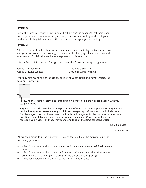Write the three categories of work on a flipchart page as headings. Ask participants to group the note cards from the preceding brainstorm according to the category under which they fall and retape the cards under the appropriate headings.

## **STEP 4**

This exercise will look at how women and men divide their days between the three categories of work. Draw two large circles on a flipchart page. Label one *men* and one *women.* Explain that each circle represents a 24-hour day.

Divide the participants into four groups. Make the following group assignments:

Group 1: Rural Men Group 3: Urban Men

Group 2: Rural Women Group 4: Urban Women

You may also want one of the groups to look at youth (girls and boys). Assign the task on Flipchart 6C.

Following the example, draw one large circle on a sheet of flipchart paper. Label it with your assigned group.

Segment each circle according to the percentage of time that the group in question spends on productive/reproductive/community work in an average day. *Leisure* should be included as a fourth category. You can break down the four broad categories further to show in more detail how time is spent. For example, the rural women may spend 75 percent of their time on reproductive activities, and they may spend one-third of that time collecting water.

Time: 20 minutes

**FLIPCHART 6C**

Allow each group to present its work. Discuss the results of the activity using the following questions:

- What do you notice about how women and men spend their time? Their leisure time?
- What do you notice about how rural women and men spend their time versus urban women and men (versus youth if there was a youth group)?
- What conclusions can you draw based on what you noticed?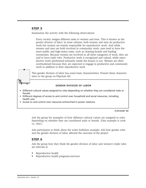Summarize the activity with the following observations:

Every society assigns different tasks to women and men. This is known as the *gender division of labor.* In most cultures, both women and men do productive work but women are mainly responsible for reproductive work. And while women and men are both involved in community work, men tend to have the more public and high-status tasks, such as chairing boards and leading ceremonies. Because women are involved in all three categories of work, they are said to have *triple roles.* Productive work is recognized and valued, while reproductive work (performed primarily inside the house) is not. Women are often overburdened because they are expected to engage in productive and community work in addition to their reproductive work.

This gender division of labor has some basic characteristics. Present these characteristics to the group on Flipchart 6D.

#### **GENDER DIVISION OF LABOR**

- Different cultural values assigned to roles depending on whether they are considered male or female
- Different degrees of access to and control over household and social resources, including health care
- Access to and control over resources entrenched in power relations

#### **FLIPCHART 6D**

Ask the group for examples of how different cultural values are assigned to roles depending on whether they are considered male or female. (One example is cook vs. chef.)

Ask participants to think about the water buffaloes example. Ask how gender roles and the gender division of labor affected the outcome of the project.

#### **STEP 6**

Ask the group how they think the gender division of labor and women's triple roles are relevant to

- Reproductive health
- Reproductive health programs/services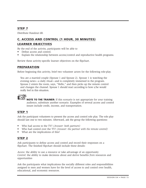Distribute Handout 6B.

# **C. ACCESS AND CONTROL (1 HOUR, 30 MINUTES) LEARNER OBJECTIVES**

By the end of the activity, participants will be able to

- Define access and control.
- Explain the relationship between access/control and reproductive health programs.

Review these activity-specific learner objectives on the flipchart.

## **PREPARATION**

Before beginning this activity, brief two volunteer actors for the following role-play.

You are a married couple (Spouse 1 and Spouse 2). Spouse 1 is watching the evening news—a daily ritual—and is completely immersed in the program. Spouse 2 enters the room, says, "Hello," and then picks up the remote control and changes the channel. Spouse 1 should react according to how s/he would really feel in this situation.

**NOTE TO THE TRAINER:** If this scenario is not appropriate for your training audience, substitute another scenario. Examples of several access and control issues include credit, income, and transportation.

## **STEP 1**

Ask the participant volunteers to present the access and control role play. The role play should last one to two minutes. Afterward, ask the group the following questions:

- Who had access to the TV? *(Answer: both partners)*
- Who had control over the TV? *(Answer: the partner with the remote control)*
- What are the implications of this?

## **STEP 2**

Ask participants to define access and control and record their responses on a flipchart. The finished flipchart should include these details:

*Access:* the ability to use a resource or take advantage of an opportunity *Control:* the ability to make decisions about and derive benefits *from* resources and opportunities

Ask the participants what implications the socially different roles and responsibilities assigned to men and women have for the level of access to and control over health, educational, and economic resources.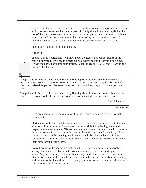Explain that the access to and control over certain resources is important because the ability to use a resource does not necessarily imply the ability to define/decide the use of that same resource, and vice versa. For example, women and men may have access to condoms to protect themselves from STDs, but, at the time of sexual relations, women may not have the ability to decide or control condom use.

Elicit other examples from participants.

#### **STEP 3**

Explain that the participants will now illustrate access and control issues in the context of reproductive health programs by developing and presenting role-plays. Divide the participants into four groups. Label the groups 1, 2, 3, and 4. Assign the task on Flipchart 6E.

Groups 1 and 3: Develop a five-minute role play that depicts a situation in which both sexes *appear* to have access to a reproductive health service, activity, or opportunity, but, because of constraints related to gender roles, stereotypes, and responsibilities, they do not have genuine access.

Groups 2 and 4: Develop a five-minute role play that depicts a situation in which both sexes have access to a reproductive health service, activity, or opportunity, but only one sex has control.

Time: 20 minutes

**FLIPCHART 6E**

Here are examples for the role plays that have been generated by past workshop participants.

**First scenario:** Prenatal clinics are offered in a community twice a week in the late afternoon. In this community, women are responsible for collecting water and preparing the evening meal. Women are unable to attend the prenatal clinic because the water source is too far away for them to have time to attend the clinic, collect water, and prepare the evening meal. Even though the clinic is located in the community and offered twice a week, the women's role in the household prevents them from having true access.

**Second scenario:** Condoms are distributed freely in a community in a variety of settings that are accessible to both women and men—markets, sporting events, women's group meetings, community meetings, and other venues. In this community, however, cultural norms dictate that men make the decisions about the timing and number of births and the use of family planning. Women, therefore, do not have control over use of the condoms.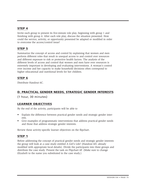Invite each group to present its five-minute role play, beginning with group 1 and finishing with group 4. After each role play, discuss the situation presented. How could the service, activity, or opportunity presented be adapted or modified in order to overcome the access/control issue?

# **STEP 5**

Summarize the concept of access and control by explaining that women and men perform different roles that result in unequal access to and control over resources and different exposure to risk or protective health factors. The analysis of the different levels of access and control that women and men have over resources is extremely important in developing and evaluating interventions. A woman's control over income and her capacity to make household decisions often correspond to higher educational and nutritional levels for her children.

# **STEP 6**

Distribute Handout 6C.

# **D. PRACTICAL GENDER NEEDS, STRATEGIC GENDER INTERESTS**

(1 hour, 30 minutes)

# **LEARNER OBJECTIVES**

By the end of the activity, participants will be able to

- Explain the difference between practical gender needs and strategic gender interests.
- Give examples of programmatic interventions that address practical gender needs and those that address strategic gender interests.

Review these activity-specific learner objectives on the flipchart.

# **STEP 1**

Before addressing the concept of practical gender needs and strategic gender interests the group will look at a case study entitled A Girl's Life? (Handout 6D, already modified with appropriate local details). Divide the participants into three groups and distribute the case study. Present the task on Flipchart 6F. (Make sure to change *Elizabeth* to the name you substituted in the case study.)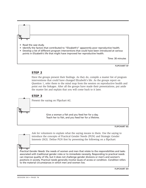#### • Read the case study.

- Identify the factors that contributed to "Elizabeth's" apparently poor reproductive health.
- Develop a list of different program interventions that could have been introduced at various points in Elizabeth's life that might have improved her reproductive health.

Time: 30 minutes

**FLIPCHART 6F**

#### **STEP 2**

Have the groups present their findings. As they do, compile a master list of program interventions that could have changed Elizabeth's life. As the groups report on Question 1, refer them to the mind map from the session on reproductive health and point out the linkages. After all the groups have made their presentations, put aside the master list and explain that you will come back to it later.



#### **STEP 3**

Present the saying on Flipchart 6G.

Give a woman a fish and you feed her for a day. Teach her to fish, and you feed her for a lifetime.

**FLIPCHART 6G**

Ask for volunteers to explain what the saying means to them. Use the saying to introduce the concepts of Practical Gender Needs (PGN) and Strategic Gender Interests (SGI). Define PGN first by presenting the following on a flipchart:

*Practical Gender Needs:* the needs of women and men that relate to the responsibilities and tasks associated with traditional gender roles or to immediate necessity. Responding to practical needs can improve quality of life, but it does not challenge gender divisions or men's and women's positions in society. Practical needs generally involve issues of access or condition. *Condition* refers to the material circumstances in which men and women live.

**FLIPCHART 6H**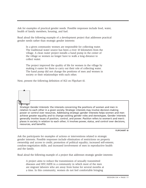Ask for examples of practical gender needs. Possible responses include food, water, health of family members, housing, and fuel.

Read aloud the following example of a development project that addresses practical gender needs rather than strategic gender interests:

In a given community women are responsible for collecting water. The traditional water source has been a river 10 kilometers from the village. A clean water project installs a hand pump in the center of the village so women no longer have to walk a long distance to collect water.

The project improved the quality of life for women in the village by making it easier for them to carry out their role of collecting water. The hand pump did not change the positions of men and women in society or their relationships with each other.

Next, present the following definition of SGI on Flipchart 6I.

*Strategic Gender Interests:* the interests concerning the positions of women and men in relation to each other in a given society. Strategic interests may involve decision-making power or control over resources. Addressing strategic gender interests helps women and men achieve greater equality and to change existing gender roles and stereotypes. Gender interests generally involve issues of position, control, and power. *Position* refers to women's and men's places in society in relation to each other; it involves power, status, and control over decisions, resources, and benefits.

**FLIPCHART 6I**

Ask the participants for examples of actions or interventions related to strategic gender interests. Possible responses include elimination of restrictions on property ownership and access to credit; promotion of political equality; increased self-esteem; condom-negotiation skills; and increased involvement of men in reproductive health and the family.

Read aloud the following example of a project that addresses strategic gender interests:

A project aims to reduce the transmission of sexually transmitted diseases and HIV/AIDS in a community in which most of the men are migrant laborers who are away from home for several months at a time. In this community, women do not feel comfortable bringing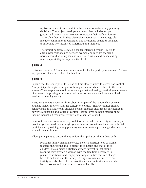up issues related to sex, and it is the men who make family-planning decisions. The project develops a strategy that includes support groups and mentoring for women to increase their self-confidence and enable them to initiate discussions about sex. The strategy also includes community mobilization and awareness activities designed to introduce new norms of fatherhood and manhood.

The project addresses strategic gender interests because it seeks to alter power relationships between women and men by changing norms about discussing sex and sex-related issues and by increasing male responsibility for reproductive health.

#### **STEP 4**

Distribute Handout 6E, and allow a few minutes for the participants to read. Answer any questions they have about the handout.

## **STEP 5**

Explain that the concepts of PGN and SGI are closely linked to access and control. Ask participants to give examples of how practical needs are related to the issue of access. (Their responses should acknowledge that addressing practical gender needs often means improving access to a basic need or resource, such as water, health services, or employment.)

Next, ask the participants to think about examples of the relationship between strategic gender interests and the concept of control. (Their responses should acknowledge that addressing strategic gender interests often results in changes in power relationships and issues of control—control over decision-making about income, household resources, fertility, and other key issues.)

Point out that it is not always easy to determine whether an activity is meeting a practical gender need or a strategic gender interest; sometimes it can do both. Ask participants if providing family planning services meets a practical gender need or a strategic gender interest.

Allow participants to debate this question, then point out that it does both:

Providing family planning services meets a practical need of women to space their births and to protect their health and that of their children. It also meets a strategic gender interest in that family planning may provide a woman with the free time necessary to pursue educational and employment opportunities that can change her role and status in the family. Giving a woman control over her fertility can also boost her self-confidence and self-esteem and enable her to take control over other aspects of her life.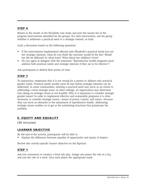Return to the results of the Elizabeth case study and post the master list of the program interventions identified by the groups. For each intervention, ask the group whether it addresses a practical need or a strategic interest, or both.

Lead a discussion based on the following questions:

- If the interventions implemented affected only Elizabeth's practical needs but not her strategic interests, what do you think the outcome would be for her? Would her life be different? In what ways? What about her children's lives?
- Do you agree or disagree with the statement "Reproductive health programs must address both practical needs and strategic interests if they are to be effective"?

Ask participants to defend their points of view.

# **STEP 7**

To summarize, emphasize that it is not wrong for a project to address only practical gender needs. Practical needs usually must be met before strategic interests can be addressed. In some communities, meeting a practical need may serve as an entrée to addressing a more strategic issue; in other settings, an organization may determine that taking on strategic issues is not feasible. Why is it important to consider strategic gender issues? In order to implement effective and sustainable programs it is often necessary to consider strategic issues—issues of power, control, and status—because they can serve as obstacles to the attainment of reproductive health. Addressing strategic issues enables us to get at the underlying structures that perpetuate the problem.

# **E. EQUITY AND EQUALITY**

(30 minutes)

## **LEARNER OBJECTIVE**

By the end of the activity, participants will be able to

• Explain the difference between equality of opportunity and equity of impact.

Review this activity-specific learner objective on the flipchart.

#### **STEP 1**

Ask two volunteers to conduct a brief role play. Assign one player the role of a fox, and one the role of a stork. Give each player the appropriate mask.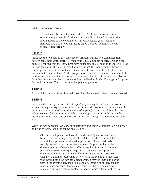Brief the actors as follows:

You will each be provided with a dish of food. Act out eating the food or attempting to eat the food. One of you will not be able to get to the food because of the container it is in; demonstrate your frustration non-verbally. One of you will really enjoy the food; demonstrate your pleasure non-verbally.

#### **STEP 2**

Introduce the role-play to the audience by bringing out the two containers (tall, narrow containers work best). Fill them with equal amounts of cereal. Make a big point of ensuring that the containers have equal amounts of food in them. Call to the fox and the stork. The stork begins happily "eating" the food. The fox, however, cannot get his face in the container (make sure of this before the role play!), and thus cannot reach the food. As the fox gets more frustrated, increase the amount of food in the fox's container and observe the results. The fox still cannot eat. Observe for a few minutes and then act out a sudden realization. Rush off and get a flat plate for the fox's cereal. The fox can now happily enjoy the food.

#### **STEP 3**

Ask participants what they observed. How does the scenario relate to gender issues?

## **STEP 4**

Introduce the concepts of *equality of opportunity* and *equity of impact.* A fox and a stork may be given equal opportunity to eat from a dish—the exact same dish with the same amount of food—but the equity of impact (the amount of food they are able to consume) is not the same. Which animal gets to eat depends on whether the feeding dishes are wide and shallow to suit the fox or deep and narrow to suit the stork.

Write the two concepts—*equality of opportunity and equity of impact*—on a flipchart and clarify them, using the following as a guide:

Often in development we look at two identical "plates of food" and believe that everything is equal. The "plate of food"—representative of an activity, a program, or the value placed on different tasks—is usually created based on the needs of men. Emphasize that while different physical characteristics affected equity of impact in the role play, when we discuss equity/equality issues we include physical differences as only one of many differences between the sexes. For example, a training course may be offered in the evening so that men who work during the day can attend; women may be unable to participate in the evening because of household responsibilities. Because not many attend, program planners may conclude that women are not interested or do not take advantage of opportunities offered to them. In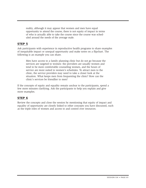reality, although it may appear that women and men have equal opportunity to attend the course, there is not equity of impact in terms of who is actually able to take the course since the course was scheduled around the needs of the average male.

# **STEP 5**

Ask participants with experience in reproductive health programs to share examples of inequitable impact or unequal opportunity and make notes on a flipchart. The following is an example you can share.

Men have access to a family planning clinic but do not go because the services are targeted to women: the providers are usually women and tend to be more comfortable counseling women, and the hours of service are more suited to women's schedules. To attract men to the clinic, the service providers may need to take a closer look at the situation. What keeps men from frequenting the clinic? How can the clinic's services be friendlier to men?

If the concepts of equity and equality remain unclear to the participants, spend a few more minutes clarifying. Ask the participants to help you explain and give more examples.

# **STEP 6**

Review the concepts and close the session by mentioning that equity of impact and equality of opportunity are closely linked to other concepts you have discussed, such as the triple roles of women and access to and control over resources.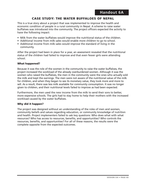# **CASE STUDY: THE WATER BUFFALOES OF NEPAL**

This is a true story about a project that was implemented to improve the health and economic condition of people in a rural community in Nepal. A scheme to raise water buffaloes was introduced into the community. The project officers expected the activity to have the following impact:

- Milk from the water buffaloes would improve the nutritional status of the children.
- Additional income from milk sales would enable more children to go to school.
- Additional income from milk sales would improve the standard of living in the community.

After the project had been in place for a year, an assessment revealed that the nutritional status of the children had failed to improve and that *even* fewer girls were attending school.

#### **What happened?**

Because it was the role of the women in the community to raise the water buffaloes, the project increased the workload of the already overburdened women. Although it was the women who raised the buffaloes, the men in the community were the ones who actually sold the milk and kept the earnings. The men were not aware of the nutritional value of the milk for children, and when they began to see its monetary value, they took more and more to sell. As a result, there was less milk available for community consumption. It was no longer given to children, and their nutritional levels failed to improve as had been expected.

Furthermore, the men used the new income from the milk to send their sons to better, more expensive schools. The girls had to stay home to help their mothers with the increased workload caused by the water buffaloes.

#### **Why did it happen?**

The project was designed without an understanding of the roles of men and women, community beliefs and values regarding education, or community knowledge of nutrition and health. Project implementers failed to ask key questions: Who does what with what resources? Who has access to resources, benefits, and opportunities? Who controls the resources, benefits, and opportunities? For all of these reasons, the results were the complete opposite from the expected outcomes.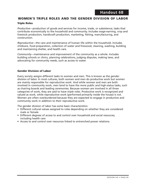# **WOMEN'S TRIPLE ROLES AND THE GENDER DIVISION OF LABOR**

#### **Triple Roles**

*Productive*—production of goods and services for income, trade, or subsistence; tasks that contribute economically to the household and community. Includes wage-earning, crop and livestock production, handicraft production, marketing, fishing, manufacturing, and construction.

*Reproductive*—the care and maintenance of human life within the household. Includes childcare, food preparation, collection of water and firewood, cleaning, washing, building and maintaining shelter, and health care.

*Community*—maintenance and improvement of the community as a whole. Includes building schools or clinics, planning celebrations, judging disputes, making laws, and advocating for community needs, such as access to water.

#### **Gender Division of Labor**

Every society assigns different tasks to women and men. This is known as the *gender division of labor.* In most cultures, both women and men do productive work but women are mainly responsible for reproductive work. And while women and men are both involved in community work, men tend to have the more public and high-status tasks, such as chairing boards and leading ceremonies. Because women are involved in all three categories of work, they are said to have *triple roles.* Productive work is recognized and valued as work, while reproductive work (performed primarily inside the house) is not. Women are often overburdened because they are expected to engage in productive and community work in addition to their reproductive work.

The gender division of labor has some basic characteristics:

- Different cultural values assigned to roles depending on whether they are considered male or female
- Different degrees of access to and control over household and social resources, including health care
- Access to and control over resources linked to entrenched power relations.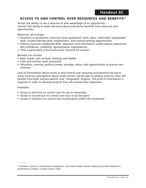## **ACCESS TO AND CONTROL OVER RESOURCES AND BENEFITS14**

*Access:* the ability to use a resource or take advantage of an opportunity *Control*: the ability to make decisions about and derive benefits from resources and opportunities

*Resources* can include:

- Economic or productive resources land, equipment, tools, labor, cash/credit, employable skills, income-earning skills, employment- and income-earning opportunities
- Political resources leadership skills, education and information, public-sphere experience, self-confidence, credibility, representative organizations
- Time a particularly critical and scarce resource for women

*Benefits* can include:

- Basic needs, such as food, clothing, and shelter
- Cash and income; asset ownership
- Education, training, political power, prestige, status, and opportunities to pursue new interests

Lack of information about access to and control over resources and benefits has led to many incorrect assumptions about what women will be able to achieve and how they will benefit from both women-specific and "integrated" projects. This kind of information is required in order to develop projects that will achieve their objectives.

#### Examples:

 $\overline{\phantom{a}}$ 

- Access to land but no control over its use or ownership
- Access to income but no control over how it can be spent
- Access to food but no control over its allocation within the household

<sup>&</sup>lt;sup>14</sup> Canadian Council for International Cooperation, Two Halves Make a Whole: Balancing Gender Relations in Development. (Ottawa, Canada: Author 1991).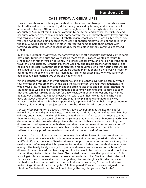## **CASE STUDY: A GIRL'S LIFE?**

Elizabeth was born into a family of six children—four boys and two girls—in which she was the fourth child and the youngest girl. Her family survived by farming and selling a small amount of cash crops. Often there was not enough food to feed everybody in the family adequately. As in most families in her community, her father and brothers ate first, she and her sister were fed after them, and her mother always ate last. Elizabeth grew slowly, but this was considered more or less normal. Elizabeth began school when she was six, but after three years she had to stop going because there was not enough money to send all the children in the family. While Elizabeth and her older sister stayed home to help their mother with farming, childcare, and other household tasks, the two older brothers continued to attend school.

By the time Elizabeth was twelve, the family was better off financially. They had learned some new agricultural techniques and were selling more crops. Elizabeth wanted to return to school, but her father would not let her. The school was far away, and he did not want her to travel the long distance. Furthermore, there was only one female teacher at the school, and he did not consider it appropriate that men teach his daughter, who was nearing puberty. He explained to his wife that Elizabeth would be getting married soon so there was no need for her to go to school and risk getting "damaged." Her older sister, Lucy, who was seventeen, had already been married two years and had one child.

When Elizabeth was fifteen she was married to John and went to live with his family. Within four months, she was pregnant. By the time she was eighteen, she had three daughters. She was always tired, her health was poor, and she often felt isolated and depressed. Though she could not read well, she had heard something about family planning and suggested to John that they consider it so she could rest for a few years. John became furious and beat her. He pointed out that she had not yet provided him with a son, that he was the one who made decisions about the size of their family, and that family planning was unnatural anyway. Elizabeth, feeling that she had been appropriately reprimanded for her bold and presumptuous behavior, did not bring the subject up again. Her health continued to deteriorate.

Sex was often painful for Elizabeth. She was treated several times at the health clinic for vaginal discharge and genital itchiness. The nurses at the clinic gave her leaflets describing her sickness, but Elizabeth's reading skills were limited. She was afraid to ask her friends to read them to her because she could tell from the pictures that it would be embarrassing. Each time she returned to the clinic with this problem, the nurses told her that she was catching the disease from having sex with her husband and that she must use condoms to protect herself. They would become quite annoyed with her that she had not used them. But Elizabeth believed that only prostitutes used condoms and that John would refuse them.

Elizabeth's fourth child was a boy, and John was pleased. He looked forward to his second and third sons. Meanwhile, Elizabeth became more and more tired, worried, and sad. She had a difficult life that consisted of hard work from sunup to sundown to care for her family. The small amount of money that John gave her for food and clothing for the children was never enough. The family barely managed to get by and seemed to be always on the brink of disaster. Elizabeth feared that her daughters, like her, would be unable to attend school. She wanted things to be different for them. She wanted them to have the opportunity to finish school, get jobs, and make choices that were not available to her. She knew that if she could find a way to earn money, she could change things for her daughters. But she had never finished school and had no skills, so how could she earn any money? How could she ever make things different for her daughters? As time passed, Elizabeth became resigned to her situation. She believed that she could not change the way things were. Could she?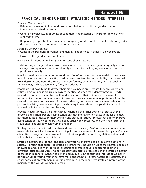## **PRACTICAL GENDER NEEDS, STRATEGIC GENDER INTERESTS**

*Practical Gender Needs:*

- Relate to the responsibilities and tasks associated with traditional gender roles or to immediate perceived necessity
- Generally involve issues of access or condition—the material circumstances in which men and women live
- Responding to practical needs can improve quality of life, but it does not challenge gender divisions or men's and women's position in society

*Strategic Gender Interests:* 

- Concern the positions of women and men in relation to each other in a given society
- Linked to the gender division of labor
- May involve decision-making power or control over resources
- Addressing strategic interests assists women and men to achieve greater equality and to change existing gender roles and stereotypes, thereby challenging women's and men's positions in society

Practical needs are related to one's condition. *Condition* refers to the material circumstances in which men and women live. If you ask a person to describe her or his life, that person will likely describe conditions: the kind of work performed, type of housing, and personal and family needs, such as clean water, food, and education.

People do not have to be told what their practical needs are. Because they are urgent and critical, practical needs are usually easy to identify.. Women may identify practical needs related to food and water, the health and education of their children, or the need for increased income. A community in which women must carry water a long distance from the nearest river has a practical need for a well. Meeting such needs can be a relatively short-term process, involving development inputs, such as equipment (hand pumps, clinics, a credit scheme) technical expertise, and training.

Practical needs can usually be met without changing the social position or status of the affected population. People's living conditions may improve when practical needs are met, but there is little impact on their position and status in society. Projects that aim to improve living conditions by meeting practical needs usually only preserve, and often reinforce, the traditional relations between women and men.

Strategic interests are linked to status and position in society. *Position* refers to women's and men's relative social and economic standing. It can be measured, for example, by male/female disparities in wages and employment opportunities, participation in legislative bodies, and vulnerability to poverty and violence.

Strategic interests look to the long term and work to improve people's relative positions in society. A project that addresses strategic interests may include activities that increase people's knowledge and skills; work for legal protection; or create equal opportunities among different social groups. Access to participatory democratic processes is in the strategic interest of the poor in general. Gender equity and equality are in the strategic interest of women in particular. Empowering women to have more opportunities, greater access to resources, and equal participation with men in decision-making is in the long-term strategic interest of the majority of the world's women and men.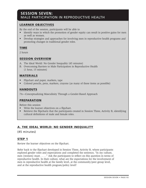## **SESSION SEVEN:**  MALE PARTICIPATION IN REPRODUCTIVE HEALTH

## **LEARNER OBJECTIVES**

By the end of the session, participants will be able to

- Identify ways in which the promotion of gender equity can result in positive gains for men as well as women.
- Develop strategies and approaches for involving men in reproductive health programs and promoting changes in traditional gender roles.

## **TIME**

2 hours

## **SESSION OVERVIEW**

- A. The Ideal World: No Gender Inequality (45 minutes)
- B. Overcoming Barriers to Male Participation in Reproductive Health (1 hour, 15 minutes)

### **MATERIALS**

- Flipchart and paper, markers, tape
- Colored pencils, pens, markers, crayons (as many of these items as possible)

## **HANDOUTS**

7A—Conceptualizing Masculinity Through a Gender-Based Approach

### **PREPARATION**

Before this session

- Write the learner objectives on a flipchart.
- Retrieve the flipcharts that the participants created in Session Three, Activity B, identifying cultural definitions of male and female roles.

## **A. THE IDEAL WORLD: NO GENDER INEQUALITY**

(45 minutes)

### **STEP 1**

Review the learner objectives on the flipchart.

Refer back to the flipchart developed in Session Three, Activity B, where participants explored gender roles and expectations and completed the sentence, "In my culture, men (women) must . . . ." Ask the participants to reflect on this question in terms of reproductive health. In their culture, what are the expectations for the involvement of men in reproductive health at the family level, at the community/peer group level, and at the reproductive health program/policy level?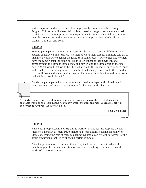Write responses under those three headings (Family, Community/Peer Group, Program/Policy) on a flipchart. Ask probing questions to get clear statements. Ask participants what the impact of these expectations is on women, children, and the men themselves. Write their responses on another flipchart with the headings Women, Children, and Men.

## **STEP 2**

Remind participants of the previous session's theme—that gender differences are socially constructed and learned. Ask them to close their eyes for a minute and try to imagine a world where gender inequalities no longer exist—where men and women have the same rights; the same possibilities for education, employment, and advancement; the same income-generating power; and the same decision-making power. What would that world be like? What would the impact of such gender equity and equality be on the reproductive health of that society? How would the reproductive health roles and responsibilities within the family shift? What would those roles be like? Who would benefit?

Divide the participants into four groups and distribute paper and colored pencils, pens, markers, and crayons. Ask them to do the task on Flipchart 7A.

On flipchart paper, draw a picture representing the group's vision of the effect of a genderequitable world on the reproductive health of women, children, and men. Be creative, artistic, and symbolic. Give your work of art a title.

Time: 20 minutes

**FLIPCHART 7A**

### **STEP 3**

Have each group present and explain its work of art and its title. Capture the key ideas on a flipchart as each group makes its presentations, focusing especially on ideas concerning the role of men in a gender-equitable society. Ask for details of the group discussions that led to choosing certain symbols.

After the presentations, comment that an equitable society is one in which all members gain. It is a win-win situation and not something to be feared. Post the works of art around the room.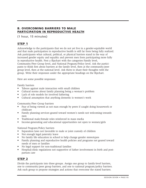## **B. OVERCOMING BARRIERS TO MALE PARTICIPATION IN REPRODUCTIVE HEALTH**

(1 hour, 15 minutes)

## **STEP 1**

Acknowledge to the participants that we do not yet live in a gender-equitable world and that male participation in reproductive health is still far from being fully realized. Ask participants what cultural, political, or physical barriers stand in the way of increased gender equity and equality and prevent men from participating more fully in reproductive health. Post a flipchart with the categories Family level, Community/Peer Group level, and National Program/Policy level. Ask the participants to think first about barriers at the family level, then at the community/peer group level, then at the national level. Ask them to share their thoughts with the group. Write their responses under the appropriate headings on the flipchart.

Here are some possible responses:

Family barriers

- Taboos against male interaction with small children
- Cultural norms about family planning being a woman's problem
- Lack of role models for involved fathering
- Cultural assumption that anything domestic is women's work

Community/Peer Group barriers

- Fear of being viewed as not man enough by peers if caught doing housework or childcare
- Family planning services geared toward women's needs not welcoming towards men
- Traditional male/female roles reinforced in mass media
- Income-generating and educational opportunities not open to women/girls

National Program/Policy barriers

- Separation laws not favorable to male or joint custody of children
- Not enough legal paternity leave
- No family life education in school to help change gender stereotypes
- Family planning and reproductive health policies and programs not geared toward needs of men or families
- No legal support for non-traditional families
- Hospital/clinic regulations not supportive of father involvement in birth and postpartum care

## **STEP 2**

Divide the participants into three groups. Assign one group to family-level barriers, one to community/peer group barriers, and one to national program/policy barriers. Ask each group to propose strategies and actions that overcome the stated barriers.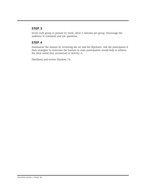## **STEP 3**

Invite each group to present its work; allow 5 minutes per group. Encourage the audience to comment and ask questions.

## **STEP 4**

Summarize the session by reviewing the art and the flipcharts. Ask the participants if their strategies to overcome the barriers to male participation would help to achieve the ideal world they envisioned in Activity A.

Distribute and review Handout 7A.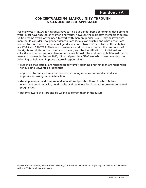### **CONCEPTUALIZING MASCULINITY THROUGH A GENDER-BASED APPROACH15**

For many years, NGOs in Nicaragua have carried out gender-based community development work. Most have focused on women and youth; however, the male staff members of several NGOs became aware of the need to work with men on gender issues. They believed that men should consider how gender identities are socially constructed and what actions are needed to contribute to more equal gender relations. Two NGOs involved in this initiative are CISAS and CANTERA. Their work centers around two main themes: the promotion of the rights and duties of both men and women, and the identification of individual and collective actions to promote changes in the traditional roles and responsibilities assigned to men and women. In August 1997, 45 participants in a CISAS workshop recommended the following to help men improve paternal responsibility:

- recognize that couples are responsible for family planning and that men are responsible for avoiding unwanted pregnancies
- improve intra-family communication by becoming more communicative and less impulsive in taking immediate action
- develop an open and comprehensive relationship with children in which fathers encourage good behavior, good habits, and sex education in order to prevent unwanted pregnancies
- become aware of errors and be willing to correct them in the future

 $\overline{\phantom{a}}$ 

<sup>&</sup>lt;sup>15</sup> Royal Tropical Institute, Sexual Health Exchange (Amsterdam, Netherlands: Royal Tropical Institute and Southern Africa AIDS Dissemination Services).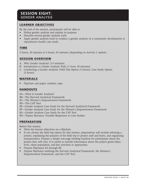## **SESSION EIGHT:**  GENDER ANALYSIS

## **LEARNER OBJECTIVES**

By the end of the session, participants will be able to

- Define gender analysis and explain its purpose.
- Describe several gender analysis tools.
- Apply gender analysis tools to conduct a gender analysis of a community development or reproductive health case study.

## **TIME**

5 hours, 30 minutes or 4 hours, 45 minutes (depending on Activity C option)

### **SESSION OVERVIEW**

- A. Why Gender Analysis? (15 minutes)
- B. Introduction to Gender Analysis Tools (1 hour, 30 minutes)
- C. Conducting a Gender Analysis: Field Trip Option (5 hours); Case Study Option (3 hours)

## **MATERIALS**

• Flipchart and paper, markers, tape

## **HANDOUTS**

- 8A—What Is Gender Analysis?
- 8B—The Harvard Analytical Framework
- 8C—The Women's Empowerment Framework
- 8D—The CAP Tool
- 8E—Gender Analysis Case Study for the Harvard Analytical Framework
- 8F—Gender Analysis Case Study for the Women's Empowerment Framework

8G—Gender Analysis Case Study for the CAP Tool

8H—Trainer Resource: Possible Responses to Case Studies

### **PREPARATION**

Before this session

- Write the learner objectives on a flipchart.
- If you choose the field trip option for this session, preparations will include selecting a project, explaining the purpose of the field trip to project staff and hosts, and organizing transportation. Prepare a simple one-page briefing handout for participants about the project they will visit. It is useful to include information about the project goals/objectives, client population, and key activities or approaches.
- Prepare Flipcharts 8A through 8E.
- Prepare flipcharts outlining the Harvard Analytical Framework, the Women's Empowerment Framework, and the CAP Tool.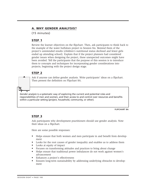## **A. WHY GENDER ANALYSIS?**

(15 minutes)

## **STEP 1**

Review the learner objectives on the flipchart. Then, ask participants to think back to the example of the water buffaloes project in Session Six. Remind them of the project's unintended results (children's nutritional status declined and fewer girls ended up attending school). Explain that if the project planners had considered gender issues when designing the project, these unexpected outcomes might have been avoided. Tell the participants that the purpose of this session is to introduce them to concepts and techniques for incorporating gender considerations into projects, beginning with the project design stage.

## **STEP 2**

Ask if anyone can define gender analysis. Write participants' ideas on a flipchart. Then present the definition on Flipchart 8A.

*Gender analysis* is a systematic way of exploring the current and potential roles and responsibilities of men and women, and their access to and control over resources and benefits within a particular setting (project, household, community, or other).

**FLIPCHART 8A**

## **STEP 3**

Ask participants why development practitioners should use gender analysis. Note their ideas on a flipchart.

Here are some possible responses:

- Helps ensure that both women and men participate in and benefit from development
- Looks for the root causes of gender inequality and enables us to address them
- Looks at equity of impact
- Focuses on transforming attitudes and practices to bring about change
- Helps ensure that traditional power imbalances do not work against women's advancement
- Enhances a project's effectiveness
- Ensures long-term sustainability by addressing underlying obstacles to development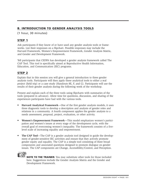## **B. INTRODUCTION TO GENDER ANALYSIS TOOLS**

(1 hour, 30 minutes)

## **STEP 1**

Ask participants if they know of or have used any gender analysis tools or frameworks. List their responses on a flipchart. Possible responses may include the Harvard Framework, Women's Empowerment Framework, Gender Analysis Matrix, and Gender and Development Framework.

Tell participants that CEDPA has developed a gender analysis framework called The CAP Tool. This tool is specifically aimed at Reproductive Health Information, Education, and Communication (IEC) programs.

## **STEP 2**

Explain that in this session you will give a general introduction to three gender analysis tools. Participants will then apply these analytical tools to either a real project (field trip) or a case study (Handouts 8E, F, and G). Participants will use the results of their gender analysis during the following week of the workshop.

Present and explain each of the three tools using flipcharts with summaries of the tools (prepared in advance). Allow time for questions, discussion, and sharing of the experiences participants have had with the various tools.

- **Harvard Analytical Framework**—One of the first gender analysis models, it uses three diagnostic tools to develop a description and analysis of gender roles and relations in a community. A fourth component applies the gender analysis to a needs assessment, proposal, project, evaluation, or other activity.
- **Women's Empowerment Framework**—This model emphasizes women's participation and women's issues at every stage of the development cycle, with the overall goal of overcoming women's inequality. The framework consists of a fivelevel scale of increasing equality and empowerment.
- **The CAP Tool**—The CAP is a gender analysis tool designed to guide the development of gender-sensitive IEC activities and ensure that they actively promote gender equity and equality. The CAP is a simple tool consisting of three broad components and associated questions designed to promote dialogue on gender issues. The CAP components are Change, Accessibility/Control, and Perception.

**NOTE TO THE TRAINER:** You may substitute other tools for those included here. Suggestions include the Gender Analysis Matrix and the Gender and Development Framework.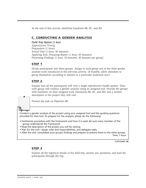At the end of this activity, distribute handouts 8B, 8C, and 8D.

## **C. CONDUCTING A GENDER ANALYSIS**

### **Field Trip Option (1 day)**

*Approximate Timing:* Preparation (1 hour) Actual Visit (1 hour, 30 minutes) Applying Tool, Preparing Report (1 hour, 30 minutes) Presenting Findings (1 hour, 30 minutes; 30 minutes per group)

### **STEP 1**

Divide participants into three groups. Assign to each group one of the three gender analysis tools introduced in the previous activity. (If feasible, allow attendees to group themselves according to interest in a particular analytical tool.)

### **STEP 2**

Explain that all the participants will visit a single reproductive health project. Then each group will conduct a gender analysis using its assigned tool. Provide the groups with handouts on their assigned tools (Handouts 8B, 8C, and 8D) and a written description of the project they will visit.

Present the task on Flipchart 8B.

Conduct a gender analysis of the project using your assigned tool and the guiding questions provided for that tool. To prepare for the analysis, please do the following:

- Familiarize yourselves with the framework and how it is used. Be sure every member of the group understands the framework.
- Read the description of the project you will be visiting.
- Plan for the visit—assign roles and responsibilities, and delegate tasks.
- After the visit, consolidate your group's findings and prepare to present them to the other groups. Time: 1 hour

**FLIPCHART 8B**

### **STEP 3**

Explain all the logistical details of the field trip, answer any questions, and lead the participants through the trip.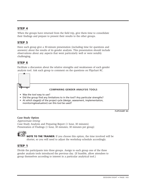## **STEP 4**

When the groups have returned from the field trip, give them time to consolidate their findings and prepare to present their results to the other groups.

## **STEP 5**

Have each group give a 30-minute presentation (including time for questions and answers) about the results of its gender analysis. This presentation should include observations about any aspects that went particularly well or were notably challenging.

## **STEP 6**

Facilitate a discussion about the relative strengths and weaknesses of each gender analysis tool. Ask each group to comment on the questions on Flipchart 8C.



**FLIPCHART 8C**

#### **Case Study Option**

*Approximate timing:* Case Study Analysis and Preparing Report (1 hour, 30 minutes) Presentation of Findings (1 hour, 30 minutes; 30 minutes per group)



**NOTE TO THE TRAINER:** If you choose this option, the time involved will be shorter, so you will need to adjust the workshop schedule accordingly.

### **STEP 1**

Divide the participants into three groups. Assign to each group one of the three gender analysis tools introduced the previous day. (If feasible, allow attendees to group themselves according to interest in a particular analytical tool.)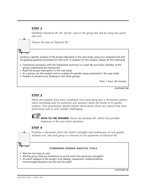## **STEP 2**

Distribute Handouts 8E, 8F, and 8G, each to the group that will be using that particular tool.



Present the task on Flipchart 8D.

Conduct a gender analysis of the project described in the case study using your assigned tool and the guiding questions provided for that tool. To prepare for the analysis, please do the following:

- Familiarize yourselves with the framework and how it is used. Be sure every member of the group understands the framework.
- Read the project description in the case study.
- As a group, use the analysis tool to analyze the gender issues presented in the case study.
- Prepare to present your findings to the other groups.

Time: 1 hour, 30 minutes

**FLIPCHART 8D**

## **STEP 3**

When the analyses have been completed, have each group give a 30-minutes presentation (including time for questions and answers) about the results of its gender analysis. This presentation should include observations about any aspects that went particularly well or were notably challenging.



**NOTE TO THE TRAINER:** Please see Handout 8H, which lists possible responses to the case study questions.

### **STEP 4**

Facilitate a discussion about the relative strengths and weaknesses of each gender analysis tool. Ask each group to comment on the questions on Flipchart 8E.

#### **COMPARING GENDER ANALYSIS TOOLS**

- Was the tool easy to use?
- Did the group find any limitations to in the tool? Any particular strengths?
- At which stage(s) of the project cycle (design, assessment, implementation, monitoring/evaluation) can this tool be used?

**FLIPCHART 8E**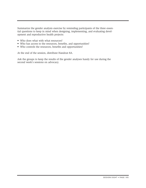Summarize the gender analysis exercise by reminding participants of the three essential questions to keep in mind when designing, implementing, and evaluating development and reproductive health projects:

- Who does what with what resources?
- Who has access to the resources, benefits, and opportunities?
- Who controls the resources, benefits and opportunities?

At the end of the session, distribute Handout 8A.

Ask the groups to keep the results of the gender analyses handy for use during the second week's sessions on advocacy.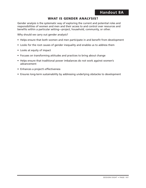## **WHAT IS GENDER ANALYSIS?**

Gender analysis is the systematic way of exploring the current and potential roles and responsibilities of women and men and their access to and control over resources and benefits within a particular setting—project, household, community, or other.

Why should we carry out gender analysis?

- Helps ensure that both women and men participate in and benefit from development
- Looks for the root causes of gender inequality and enables us to address them
- Looks at equity of impact
- Focuses on transforming attitudes and practices to bring about change
- Helps ensure that traditional power imbalances do not work against women's advancement
- Enhances a project's effectiveness
- Ensures long-term sustainability by addressing underlying obstacles to development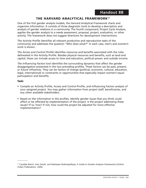## **THE HARVARD ANALYTICAL FRAMEWORK16**

One of the first gender analysis models, the Harvard Analytical Framework charts and organizes information. It consists of three diagnostic tools to develop a description and analysis of gender relations in a community. The fourth component, Project Cycle Analysis, applies the gender analysis to a needs assessment, proposal, project, evaluation, or other activity. The framework does not suggest directions for development interventions.

*The Activity Profile* identifies all relevant productive and reproductive tasks of the community and addresses the question "Who does what?" In each case, men's and women's work is shown.

*The Access and Control Profile* identifies resources and benefits associated with the roles delineated in the Activity Profile. Besides physical resources and benefits, such as land and capital, these can include access to time and education, political power, and outside income.

*The Influencing Factors* tool identifies the surrounding dynamics that affect the gender disaggregation presented in the two preceding profiles. These factors can be past, present, or future influences. They can be factors of change (political, economic, cultural, education, legal, international) or constraints or opportunities that especially impact women's equal participation and benefits.

#### **Task:**

 $\overline{\phantom{a}}$ 

- Compile an Activity Profile, Access and Control Profile, and Influencing Factors analysis of your assigned project. You may gather information from project staff, beneficiaries, and any other available stakeholders.
- Based on the information in the profiles, identify gender issues that you think could affect or be affected by implementation of the project. Is the project addressing these issues? If so, how? If not, how could the project be adjusted for more effective implementation?

<sup>&</sup>lt;sup>16</sup> Candida March, Ines Smyth, and Maitrayee Mukhopadhyay, A Guide to Gender-Analysis Frameworks (Oxford: Oxfam Publications, 1999).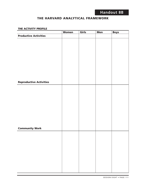## **THE HARVARD ANALYTICAL FRAMEWORK**

#### **THE ACTIVITY PROFILE**

|                                | <b>Women</b> | Girls | <b>Men</b> | <b>Boys</b> |
|--------------------------------|--------------|-------|------------|-------------|
| <b>Productive Activities</b>   |              |       |            |             |
|                                |              |       |            |             |
|                                |              |       |            |             |
|                                |              |       |            |             |
|                                |              |       |            |             |
|                                |              |       |            |             |
|                                |              |       |            |             |
|                                |              |       |            |             |
|                                |              |       |            |             |
|                                |              |       |            |             |
|                                |              |       |            |             |
|                                |              |       |            |             |
|                                |              |       |            |             |
|                                |              |       |            |             |
| <b>Reproductive Activities</b> |              |       |            |             |
|                                |              |       |            |             |
|                                |              |       |            |             |
|                                |              |       |            |             |
|                                |              |       |            |             |
|                                |              |       |            |             |
|                                |              |       |            |             |
|                                |              |       |            |             |
|                                |              |       |            |             |
|                                |              |       |            |             |
|                                |              |       |            |             |
|                                |              |       |            |             |
|                                |              |       |            |             |
|                                |              |       |            |             |
| <b>Community Work</b>          |              |       |            |             |
|                                |              |       |            |             |
|                                |              |       |            |             |
|                                |              |       |            |             |
|                                |              |       |            |             |
|                                |              |       |            |             |
|                                |              |       |            |             |
|                                |              |       |            |             |
|                                |              |       |            |             |
|                                |              |       |            |             |
|                                |              |       |            |             |
|                                |              |       |            |             |
|                                |              |       |            |             |
|                                |              |       |            |             |
|                                |              |       |            |             |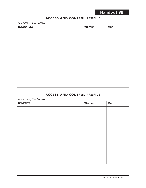## **ACCESS AND CONTROL PROFILE**

 $A = Access, C = Control$ 

| <b>RESOURCES</b> | <b>Women</b> | <b>Men</b> |
|------------------|--------------|------------|
|                  |              |            |
|                  |              |            |
|                  |              |            |
|                  |              |            |
|                  |              |            |
|                  |              |            |
|                  |              |            |
|                  |              |            |
|                  |              |            |
|                  |              |            |
|                  |              |            |

## **ACCESS AND CONTROL PROFILE**

 $A = Access, C = Control$ 

| <b>BENEFITS</b> | <b>Women</b> | <b>Men</b> |
|-----------------|--------------|------------|
|                 |              |            |
|                 |              |            |
|                 |              |            |
|                 |              |            |
|                 |              |            |
|                 |              |            |
|                 |              |            |
|                 |              |            |
|                 |              |            |
|                 |              |            |
|                 |              |            |
|                 |              |            |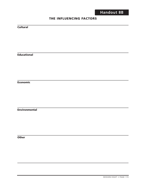## **THE INFLUENCING FACTORS**

### **Cultural**

**Educational**

**Economic**

**Environmental**

**Other**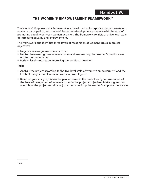## **THE WOMEN'S EMPOWERMENT FRAMEWORK17**

The Women's Empowerment Framework was developed to incorporate gender awareness, women's participation, and women's issues into development programs with the goal of promoting equality between women and men. The framework consists of a five-level scale of increasing equality and empowerment.

The framework also identifies three levels of recognition of women's issues in project objectives:

- Negative level—ignores women's issues
- Neutral level—recognizes women's issues and ensures only that women's positions are not further undermined
- Positive level—focuses on improving the position of women

#### **Task:**

- Analyze the project according to the five-level scale of women's empowerment and the levels of recognition of women's issues in project goals.
- Based on your analysis, discuss the gender issues in the project and your assessment of the level of recognition of women's issues in the project's objectives. Make suggestions about how the project could be adjusted to move it up the women's empowerment scale.

 $17$  ibid.

 $\overline{\phantom{a}}$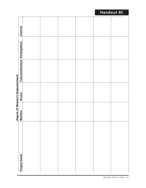|                                      | Control                 |  |  |  |
|--------------------------------------|-------------------------|--|--|--|
|                                      | Participation           |  |  |  |
|                                      | <b>Conscientization</b> |  |  |  |
| <b>Aspect of Women's Empowerment</b> | <b>Access</b>           |  |  |  |
|                                      | Welfare                 |  |  |  |
|                                      | <b>Project Goals</b>    |  |  |  |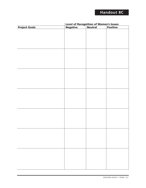| <b>Project Goals</b> | <u><b>Level of Recognition of Women's Issues<br/>Negative Reutral Positive</b></u> |  |
|----------------------|------------------------------------------------------------------------------------|--|
|                      |                                                                                    |  |
|                      |                                                                                    |  |
|                      |                                                                                    |  |
|                      |                                                                                    |  |
|                      |                                                                                    |  |
|                      |                                                                                    |  |
|                      |                                                                                    |  |
|                      |                                                                                    |  |
|                      |                                                                                    |  |
|                      |                                                                                    |  |
|                      |                                                                                    |  |
|                      |                                                                                    |  |
|                      |                                                                                    |  |
|                      |                                                                                    |  |
|                      |                                                                                    |  |
|                      |                                                                                    |  |
|                      |                                                                                    |  |
|                      |                                                                                    |  |
|                      |                                                                                    |  |
|                      |                                                                                    |  |
|                      |                                                                                    |  |
|                      |                                                                                    |  |
|                      |                                                                                    |  |
|                      |                                                                                    |  |
|                      |                                                                                    |  |
|                      |                                                                                    |  |
|                      |                                                                                    |  |
|                      |                                                                                    |  |
|                      |                                                                                    |  |
|                      |                                                                                    |  |
|                      |                                                                                    |  |
|                      |                                                                                    |  |
|                      |                                                                                    |  |
|                      |                                                                                    |  |
|                      |                                                                                    |  |
|                      |                                                                                    |  |
|                      |                                                                                    |  |
|                      |                                                                                    |  |
|                      |                                                                                    |  |
|                      |                                                                                    |  |
|                      |                                                                                    |  |
|                      |                                                                                    |  |
|                      |                                                                                    |  |
|                      |                                                                                    |  |
|                      |                                                                                    |  |
|                      |                                                                                    |  |
|                      |                                                                                    |  |
|                      |                                                                                    |  |
|                      |                                                                                    |  |
|                      |                                                                                    |  |
|                      |                                                                                    |  |
|                      |                                                                                    |  |
|                      |                                                                                    |  |
|                      |                                                                                    |  |
|                      |                                                                                    |  |

# **Level of Recognition of Women's Issues**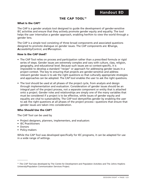## **THE CAP TOOL18**

### **What Is the CAP?**

The CAP is a gender analysis tool designed to guide the development of gender-sensitive IEC activities and ensure that they actively promote gender equity and equality. The tool helps the user internalize a gender approach, enabling her/him to view the world through a gender lens.

The CAP is a simple tool consisting of three broad components and associated questions designed to promote dialogue on gender issues. The CAP components are: **C**hange, **A**ccessibility/Control, and **P**erception.

#### **How Is the CAP Used?**

- The CAP Tool relies on process and participation rather than a prescribed formula or rigid series of steps. Gender issues are extremely complex and vary with culture, class, religion, geography, and educational level. Because such issues are so context-specific, it is impossible to develop a standard "recipe" or approach for addressing gender issues in a project context. The key to ensuring that projects are gender-sensitive and address relevant gender issues is to ask the right questions so that culturally appropriate strategies and approaches can be adopted. The CAP tool enables the user to ask the right questions.
- The tool should be used at all phases of the project cycle, from analysis and design through implementation and evaluation. Consideration of gender issues should be an integral part of the project process, not a separate component or entity that is attached onto a project. Gender roles and relationships are simply one of the many variables that must be considered if a project is to be effective, while issues of gender equity and equality are vital to sustainability. The CAP tool demystifies gender by enabling the user to ask the right questions at all phases of the project process—questions that ensure that gender issues are taken into consideration.

#### **Who Should Use the CAP?**

The CAP Tool can be used by

- Project designers, planners, implementers, and evaluators
- IEC Practitioners
- Donors

 $\overline{\phantom{a}}$ 

• Policy-makers

While the CAP Tool was developed specifically for IEC programs, it can be adapted for use in a wide range of settings.

<sup>&</sup>lt;sup>18</sup> The CAP Tool was developed by The Centre for Development and Population Activities and The Johns Hopkins University/Population Communication Services Project.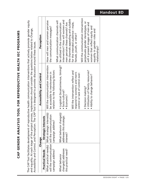The CAP Tool facilitates development of reproductive health communication interventions that actively promote gender equity The CAP Tool facilitates development of reproductive health communication interventions that actively promote gender equity and equality. At each stage of the project process, implementers should consider the questions below related to Change, and equality. At each stage of the project process, implementers should consider the questions below related to Change, Accessibility and Control, and Perception. The CAP Tool is designed to provoke discussion around these issues. Accessibility and Control, and Perception. The CAP Tool is designed to provoke discussion around these issues.

Г

**CAP GENDER ANALYSIS TOOL FOR REPRODUCTIVE HEALTH IEC PROGRAMS**

CAP GENDER ANALYSIS TOOL FOR REPRODUCTIVE HEALTH IEC PROGRAMS

|                        | Change                                            | Accessibility and Control              | Perception                          |
|------------------------|---------------------------------------------------|----------------------------------------|-------------------------------------|
| <b>Practical Needs</b> | Strategic Interests                               |                                        |                                     |
|                        | What practical need(s) What strategic interest(s) | Will the communication intervention    | How will men and women perceive     |
|                        | will the communication will the communication     | be accessible to men/women in          | the communication messages?         |
| campaign address?      | campaign address?                                 | relation to the following factors:     |                                     |
|                        |                                                   |                                        | What communication channels will    |
| What behavior          | What behavior change(s)                           | · Logistical (location/venue, timing)? | be utilized in the communication    |
| change(s) addresses    | addresses this strategic                          | • Socio-cultural?                      | intervention? How will women and    |
| this practical need?   | interest?                                         | $\bullet$ Economic?                    | men perceive these channels? Are    |
|                        |                                                   |                                        | the channels appealing and suitable |
|                        |                                                   | Will the intervention reflect and      | for the intended audience—male,     |
|                        |                                                   | respond to women's and men's           | female, youth, or other?            |
|                        |                                                   | control or lack of control over:       |                                     |
|                        |                                                   |                                        | Will the communication intervention |
|                        |                                                   | · Decision making?                     | perpetuate gender stereotypes, or   |
|                        |                                                   | • Utilization of family resources?     | will it present images of men and   |
|                        |                                                   | • Ability to change behavior?          | women that reflect equity and       |
|                        |                                                   |                                        | equality in gender roles and        |
|                        |                                                   |                                        | relationships?                      |

# **Handout 8D**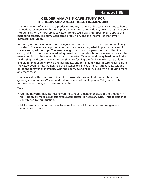## **GENDER ANALYSIS CASE STUDY FOR THE HARVARD ANALYTICAL FRAMEWORK**

The government of a rich, cacao-producing country wanted to increase its exports to boost the national economy. With the help of a major international donor, access roads were built through 80% of the rural areas so cacao farmers could easily transport their crops to the marketing centers. This stimulated cacao production, and the incomes of the farmers increased measurably.

In this region, women do most of the agricultural work, both on cash crops and on family foodstuffs. The men are responsible for decisions concerning what to plant where and for the marketing of the crops. The men belong to cash crop cooperatives that collect the cacao, sell it to international marketing boards and then distribute the revenue back to the men according to the amount brought in to market. Women work long, hard hours in the fields using hand tools. They are responsible for feeding the family, making sure children eligible for school are enrolled and participate, and for all family health care needs. Before the cacao boom, a few women had small stands to sell basic items, such as soap, salt and oil, to the community members. With the boom, everyone is involved with producing more and more cacao.

Four years after the roads were built, there was extensive malnutrition in these cacaogrowing communities. Women and children were noticeably poorer. Yet greater cash incomes were coming into these communities.

#### **Task:**

- Use the Harvard Analytical Framework to conduct a gender analysis of the situation in this case study. Make assumptions/educated guesses if necessary. Discuss the factors that contributed to this situation.
- Make recommendations on how to revise the project for a more positive, genderequitable outcome.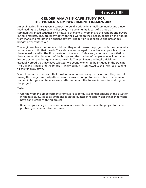## **GENDER ANALYSIS CASE STUDY FOR THE WOMEN'S EMPOWERMENT FRAMEWORK**

An engineering firm is given a contract to build a bridge in a small community and a new road leading to a larger town miles away. This community is part of a group of communities linked together by a network of markets. Women are the vendors and buyers in these markets. They travel by foot with their wares on their heads, babies on their backs, from market to market in an ancient pattern. The terrain is dangerous and precarious bridges often washed out.

The engineers from the firm are told that they must discuss the project with the community to make sure it fills their needs. They also are encouraged to employ local people and train them in various skills. The firm meets with the local officials and, after much negotiation, they agree on the placement of the bridge and the number of people who will be trained in construction and bridge-maintenance skills. The engineers and local officials are especially proud that they have selected two young women to be included in the training. The training is held, and the bridge is finally built. It is connected to the new road leading to the far-away town.

Soon, however, it is noticed that most women are not using the new road. They are still taking the dangerous footpath to cross the ravine and go to market. Also, the women trained in bridge maintenance seem, after some months, to lose interest in working on the project.

#### **Task:**

- Use the Women's Empowerment Framework to conduct a gender analysis of the situation in the case study. Make assumptions/educated guesses if necessary. List things that might have gone wrong with this project.
- Based on your analysis, make recommendations on how to revise the project for more positive, gender-equitable outcomes.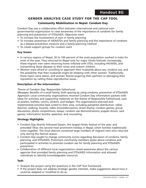## **GENDER ANALYSIS CASE STUDY FOR THE CAP TOOL**

### **Community Mobilization in Nepal: Condom Day**

Condom Day was a collaborative effort between international and national nongovernmental organization to raise awareness of the importance of condoms for family planning and prevention of STDs/AIDS. Objectives were

- To increase the involvement of men in family planning
- To increase awareness of AIDS/STDs and family planning and the importance of condoms as a disease-prevention measure and a family-planning method
- To create support groups for condom users

### **Key Issues:**

- In various regions of Nepal, 50 to 100 percent of the male population worked in India for most of the year. They returned to Nepal only for major Hindu festivals. Increasingly, these migrant men were returning home infected with STDs, including HIV/AIDS, and transmitting these diseases to their wives and unborn children.
- Women were afraid or unwilling to approach their husbands about sex, condom use, and the possibility that their husbands might be sleeping with other women. Traditionally, these topics were taboo, and women feared angering their partners or damaging their reputation by raising these reproductive issues.

### **Description of the Intervention:**

#### *Theme of Condom Day:* Responsible fatherhood

*Messages:* Benefits of a small family; birth spacing by using condoms; prevention of STDs/AIDS. *Approach:* Local community organizations received Condom Day information packets with ideas for activities and supporting materials on the theme of Responsible Fatherhood, such as posters, leaflets, comics, stickers, and badges. The organizations planned and implemented activities best suited to their area, including pamphlet distribution; rallies (banner, walking, bicycle); video shows/discussions; street drama; condom games; group discussions; photo competitions; essays; condom use demonstrations; puppet shows; card games; information booths; speeches; and counseling.

#### **Strategy Highlights:**

- Condom Day directly followed Dasain, the largest Hindu festival of the year, and preceded Tihar, the second most prominent holiday in Nepal, when families traditionally come together. The focal districts contained large numbers of migrant men who returned only during the festival season.
- Condom Day sought to change community norms regarding discussion of condoms, family planning, and STDs/AIDS. Prominent community members spoke about condoms and participated in activities to promote condom use for family planning and STDs/AIDS prevention.
- Collaboration of different local organizations raised awareness about the various agencies that provided family planning and STDs/AIDS information and allowed individuals to identify knowledgeable resources.

#### **Task:**

- Analyze the project using the questions in the CAP Tool framework.
- If the project does not address strategic gender interests, make suggestions about how it could be adapted or modified to do so.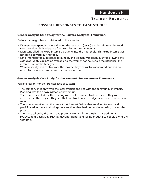## **Trainer Resource**

## **POSSIBLE RESPONSES TO CASE STUDIES**

#### **Gender Analysis Case Study for the Harvard Analytical Framework**

Factors that might have contributed to the situation:

- Women were spending more time on the cash crop (cacao) and less time on the food crops, resulting in inadequate food supplies in the community.
- Men controlled the extra income that came into the household. This extra income was not going toward buying food.
- Land intended for subsistence farming by the women was taken over for growing the cash crop. With less income available to the women for household maintenance, the income level of the family fell.
- Women usually had control over the income they themselves generated but had no access to the men's income from cacao production.

#### **Gender Analysis Case Study for the Women's Empowerment Framework**

Possible reasons for the project's lack of success:

- The company met only with the local officials and not with the community members. Planning was top-down instead of bottom-up.
- The women selected for the training were not consulted to determine if they were interested in the project. They felt that construction and bridge-maintenance were men's roles.
- The women working on the project lost interest. While they received training and participated in the actual bridge construction, they had no decision-making role on the project.
- The route taken by the new road prevents women from carrying out traditional socioeconomic activities, such as meeting friends and selling produce to people along the footpath.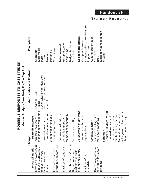|                                             |                           |                        |                       |                                         |                            |                           |                        |                                             |                           |                       |                      |                        |                                         |                            |                       |                                            |                       | Trai                                            | n e r                    |                                        | R                        |                                                |                        | esource                                                  |
|---------------------------------------------|---------------------------|------------------------|-----------------------|-----------------------------------------|----------------------------|---------------------------|------------------------|---------------------------------------------|---------------------------|-----------------------|----------------------|------------------------|-----------------------------------------|----------------------------|-----------------------|--------------------------------------------|-----------------------|-------------------------------------------------|--------------------------|----------------------------------------|--------------------------|------------------------------------------------|------------------------|----------------------------------------------------------|
|                                             | Perception                |                        | <b>Channels</b>       | Mass media<br>Posters                   | Shows                      | <b>Banners</b>            | Pamphlets              | Video shows                                 | Interpersonal             | Group discussion      | Counseling           | Badge distribution     | Speeches                                | Social Mobilization        | Group mobilization    | Demonstration of condom use<br>Puppet show | Cultural presentation | Speeches<br>Rally                               | Message was held in high | esteem                                 |                          |                                                |                        |                                                          |
| Gender Analysis Case Study For The Cap Tool | Accessibility and Control |                        | Logistical issues     | Socio-cultural considerations<br>Timing | Both men and women were in | control                   |                        |                                             |                           |                       |                      |                        |                                         |                            |                       |                                            |                       |                                                 |                          |                                        |                          |                                                |                        |                                                          |
|                                             | Change                    | Strategic<br>Interests | Increased involvement | of men in family planning               | Increased acceptance       | a method<br>of condoms as | of family planning and | disease prevention                          | Involvement of districts, | politically important | members of community |                        | Condom Launch Day                       | Collaboration of different | local communities and | organizations                              | Advocacy to lessen    | hesitance of villagers to<br>talk about condoms |                          | Reduction of STDs/HIV/AIDS<br>Behavior | Increased involvement of | family planning method<br>men in condom use as | Responsible fatherhood | Willingness of chiefs to talk<br>freely<br>about condoms |
|                                             |                           | <b>Practical Needs</b> | Creation of awareness | about STDs/HIV/AIDS<br>to men who were  | staying away from          | home                      |                        | group for condom use<br>Creation of support |                           | Purchase of condoms   |                      | Distribution of Condom | packets to districts<br>Day information | around the country         |                       | Purchase of IEC<br>materials               |                       | shyness to talk about<br>Overcoming of initial  | condoms                  |                                        |                          |                                                |                        |                                                          |

POSSIBLE RESPONSES TO CASE STUDES **POSSIBLE RESPONSES TO CASE STUDES**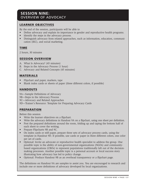## **SESSION NINE:**  OVERVIEW OF ADVOCACY

## **LEARNER OBJECTIVES**

By the end of the session, participants will be able to

- Define advocacy and explain its importance in gender and reproductive health programs.
- Identify the steps in the advocacy process.
- Distinguish advocacy from related approaches, such as information, education, communication (IEC), and social marketing.

## **TIME**

2 hours, 30 minutes

### **SESSION OVERVIEW**

- A. What Is Advocacy? (45 minutes)
- B. Steps in the Advocacy Process (1 hour)
- C. Advocacy and Related Concepts (45 minutes)

### **MATERIALS**

- Flipchart and paper, markers, tape
- Blank index cards or sheets of paper (three different colors, if possible)

## **HANDOUTS**

- 9A—Sample Definitions of Advocacy
- 9B—Steps in the Advocacy Process
- 9C—Advocacy and Related Approaches
- 9D—Trainer's Resource: Template for Preparing Advocacy Cards

## **PREPARATION**

Before this session

- Write the learner objectives on a flipchart.
- Write the advocacy definitions in Handout 9A on a flipchart, using one sheet per definition.
- Post the prepared definitions around the room, folding up and taping the bottom half of each sheet to cover the writing.
- Prepare Flipcharts 9B and 9C.
- On index cards or stiff paper, prepare three sets of advocacy process cards, using the template in Handout 9D. If possible, use cards or paper in three different colors, one color per set of cards.
- Optional: Invite an advocate or reproductive health specialist to address the group. One possible topic is the ability of non-governmental organizations (NGOs) and communitybased organizations (CBOs) to represent populations traditionally left out of the decisionmaking processes. Another possible topic is a personal account or local success story illustrating how advocacy has led to policy change.
- Optional: Produce Handout 9B as an overhead transparency or a flipchart page.

The definitions on Handout 9A are samples to assist you. You are encouraged to research and include one or more definitions of advocacy developed by local organizations.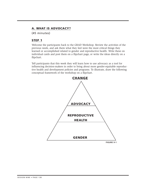## **A. WHAT IS ADVOCACY?**

(45 minutes)

## **STEP 1**

Welcome the participants back to the GRAD Workshop. Review the activities of the previous week, and ask them what they feel were the most critical things they learned or accomplished related to gender and reproductive health. Write these on individual cards and post them on a flipchart page, or write the ideas directly on a flipchart.

Tell participants that this week they will learn how to use advocacy as a tool for influencing decision-makers in order to bring about more gender-equitable reproductive health and development policies and programs. To illustrate, draw the following conceptual framework of the workshop on a flipchart.

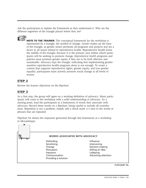Ask the participants to explain the framework as they understand it. Why are the different segments of the triangle placed where they are?



**NOTE TO THE TRAINER:** The conceptual framework for the workshop is represented by a triangle, the symbol of change. *Gender* makes up the base of the triangle, as gender issues permeate all programs and projects and are a factor in all issues related to reproductive health. Reproductive health forms the middle of the triangle, because it is the primary area within which participants will be seeking to promote change. *Reproductive health* programs and policies must promote gender equity if they are to be both effective and sustainable. *Advocacy* tops the triangle, indicating that implementing gendersensitive reproductive health programs alone is not enough. To create a context that supports reproductive rights, gender equity, and true gender equality, participants must actively promote social change at all levels of society.

## **STEP 2**

Review the learner objectives on the flipchart.

## **STEP 3**

As a first step, the group will agree on a working definition of *advocacy*. Many participants will come to the workshop with a solid understanding of advocacy. As a starting point, lead the participants in a brainstorm of words they associate with advocacy. Record these words on a flipchart, being careful to include all contributions. Repetition is not a problem: simply add a check mark  $(\checkmark)$  next to the words or phrases that are repeated.

Flipchart 9A shows the responses generated through this brainstorm at a workshop in Mozambique.

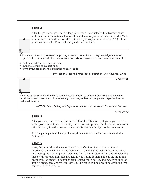### **STEP 4**

After the group has generated a long list of terms associated with advocacy, share with them some definitions developed by different organizations and networks. Walk around the room and uncover the definitions you copied from Handout 9A (or from your own research). Read each sample definition aloud.

Advocacy is the act or process of supporting a cause or issue. An advocacy campaign is a set of targeted actions in support of a cause or issue. We advocate a cause or issue because we want to:

- build support for that cause or issue;
- influence others to support it; or
- try to influence or change legislation that affects it.

—International Planned Parenthood Federation, *IPPF Advocacy Guide*

**FLIPCHART 9B**

Advocacy is speaking up, drawing a community's attention to an important issue, and directing decision-makers toward a solution. Advocacy is working with other people and organizations to make a difference.

—CEDPA, *Cairo, Beijing and Beyond: A Handbook on Advocacy for Women Leaders*

**FLIPCHART 9C**

#### **STEP 5**

After you have uncovered and reviewed all of the definitions, ask participants to look at the posted definitions and identify the terms that appeared on the initial brainstorm list. Use a bright marker to circle the concepts that were unique to the brainstorm.

Ask the participants to identify the key differences and similarities among all the definitions.

### **STEP 6**

Next, the group should agree on a working definition of advocacy to be used throughout the remainder of the workshop. If there is time, you can lead the group in choosing the most important elements from the brainstormed list and complement those with concepts from existing definitions. If time is more limited, the group can begin with the preferred definition from among those posted, and modify it until the group's preferences are well-represented. The result will be a working definition that can be perfected over time.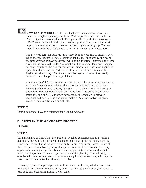

**NOTE TO THE TRAINER:** CEDPA has facilitated advocacy workshops in many non-English-speaking countries. Workshops have been conducted in Arabic, Spanish, Russian, French, Portuguese, Hindi, and other languages. CEDPA trainers consult with local advocacy groups to determine the most appropriate term to express advocacy in the indigenous language. Trainers then check with the participants to confirm or validate the selected term.

The preferred term for advocacy may vary from one country to another, even when the two countries share a common language. For example, one hears the term *defensa pública* in Mexico, while in neighboring Guatemala the term *incidencia* is preferred. Colleagues point out that in some Romance-languagespeaking countries, there is concern about using terms—such as *abrogacia* in Spanish and *advocacia* in Portuguese—that are direct translations of the English word *advocacy*. The Spanish and Portugues terms are too closely connected with lawyers and legal defense.

It is often helpful for the trainer to point out that the word *advocacy,* and its Romance-language equivalents, share the common root of *voc*- or *voz*-, meaning voice. In that context, *advocacy* means giving voice to a group or population that has traditionally been voiceless. This point further illustrates the role of NGO advocacy networks as intermediaries between marginalized populations and policy-makers. Advocacy networks give a voice to their constituents and clients.

## **STEP 7**

Distribute Handout 9A as a reference for defining *advocacy*.

## **B. STEPS IN THE ADVOCACY PROCESS**

(1 hour)

### **STEP 1**

Tell participants that now that the group has reached consensus about a working definition, they will look at the various steps that make up the advocacy process. Experience shows that advocacy is very rarely an ordered, linear process. Some of the most successful advocacy networks operate in a chaotic environment, seizing opportunites as they arise. The ability to seize opportunities, however, does not reduce the importance of a sound process and careful planning. The following exercise will demonstrate that looking at advocacy in a systematic way will help the participants to plan effective advocacy activities.

To begin, organize the participants into three teams. To do this, ask the participants to count off by three or to count off by color according to the color of your advocacy card sets. Seat each team around a work table.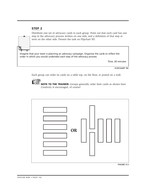### **STEP 2**

Distribute one set of advocacy cards to each group. Point out that each card has one step in the advocacy process written on one side, and a definition of that step or term on the other side. Present the task on Flipchart 9D.

Imagine that your team is planning an advocacy campaign. Organize the cards to reflect the order in which you would undertake each step of the advocacy process.

Time: 20 minutes

**FLIPCHART 9D**

Each group can order its cards on a table top, on the floor, or posted on a wall.



**NOTE TO THE TRAINER:** Groups generally order their cards as shown here. Creativity is encouraged, of course!



**FIGURE 9-2**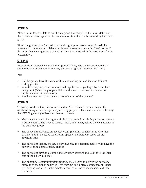After 20 minutes, circulate to see if each group has completed the task. Make sure that each team has organized its cards in a location that can be viewed by the whole group.

When the groups have finished, ask the first group to present its work. Ask the presenters if there was any debate or discussion over certain cards. Check to see if the others have any questions or need clarification. Proceed to the next group for its presentation.

#### **STEP 4**

After all three groups have made their presentations, lead a discussion about the similarities and differences in the way the various groups arranged their steps.

 $Ask^{\cdot}$ 

- Did the groups have the same or different starting points? Same or different ending points?
- Were there any steps that were ordered together as a "package" by more than one group? (Often the groups will link audience + message + channels or implementation + evaluation.)
- Are there any important steps that were left out of the process?

#### **STEP 5**

To synthesize the activity, distribute Handout 9B. If desired, present this on the overhead transparency or flipchart previously prepared. This handout shows the way that CEDPA generally orders the advocacy process.

- The advocates generally begin with the *issue* around which they want to promote a policy change. The issue is focused, clear, and widely felt by the constituents of the advocacy group.
- The advocates articulate an advocacy *goal* (medium- or long-term, vision for change) and an objective (short-term, specific, measurable) based on the advocacy issue.
- The advocates identify the key policy *audience* the decision-makers who have the power to bring about a policy change.
- The advocates develop a compelling advocacy *message* and tailor it to the interests of the policy audience.
- The appropriate *communication channels* are selected to deliver the advocacy message to the policy audience. This may include a press conference, an executive briefing packet, a public debate, a conference for policy-makers, and other channels.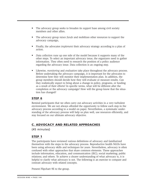- The advocacy group seeks to broaden its *support* base among civil society members and other allies.
- The advocacy group *raises funds* and mobilizes other resources to support the advocacy campaign,
- Finally, the advocates *implement* their advocacy strategy according to a plan of action.
- *Data collection* runs up one side of the model because it supports many of the other steps. To select an important advocacy issue, the organizers need to gather information. They often need to research the position of a policy audience regarding the advocacy issue. Data collection is an ongoing step.
- Likewise, *monitoring* and *evaluation* take place throughout the advocacy process. Before undertaking the advocacy campaign, it is important for the advocates to determine how they will monitor their implementation plan. In addition, the group members should decide how they will evaluate or measure results. Can they realistically expect to bring about a change in policy, programs, or funding as a result of their efforts? In specific terms, what will be different after the completion or the advocacy campaign? How will the group know that the situation has changed?

Remind participants that we often carry out advocacy activities in a very turbulent environment. We are not always afforded the opportunity to follow each step in the advocacy process according to a model on paper. Nevertheless, a systematic understanding of the advocacy process will help us plan well, use resources efficiently, and stay focused on our ultimate advocacy objective.

#### **C. ADVOCACY AND RELATED APPROACHES**

(45 minutes)

#### **STEP 1**

The participants have reviewed various definitions of advocacy and familiarized themselves with the steps in the advocacy process. Reproductive health NGOs have been using advocacy skills and techniques for years. Nevertheless, advocacy is often confused with other approaches that share common elements. These approaches include information, education, and communication (IEC); social marketing; public relations; and others. To achieve a clearer understanding of what advocacy is, it is helpful to clarify what advocacy is not. The following is an exercise to compare and contrast advocacy with related concepts.

Present Flipchart 9E to the group.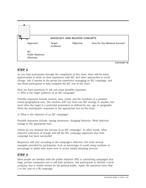

As you lead participants through the completion of this chart, there will be many opportunities to draw on their experience with IEC and other approaches to social change. Ask if anyone in the group has experience managing an IEC campaign, and use those participants to help complete the IEC row of the chart.

Here are three questions to ask and some possible responses: 1) Who is the target audience of an IEC campaign?

Possible responses include women, men, youth, and the members of a predetermined geographical area. The answers will vary from one IEC strategy to another, but most often the target is a particular population as defined by sex, age, or geography. Write the participants' responses in the appropriate box on the chart.

2) What is the objective of an IEC campaign?

Possible responses include: raising awareness, changing behavior. Write behavior change in the appropriate box.

3)How do you measure the success of an IEC campaign? In other words, what objective indicators of change will tell the IEC campaign organizers that their campaign has been successful?

Responses will vary according to the campaign's objective, but write several examples provided by participants, such as percentage of youth using condoms or percentage of adults who know how to access family planning services.

#### **STEP 3**

Most people are familiar with the public relations (PR) or advertising campaigns that large, private companies use to sell their products. Ask participants to identify a local company that is widely known by the general public. Apply the questions from Step 2 to the case of a PR campaign.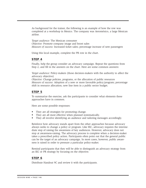As background for the trainer, the following is an example of how the row was completed at a workshop in Mexico. The company was Aeroméxico, a large Mexican airline.

*Target audience:* The Mexican consumer *Objective:* Promote company image and boost sales *Measure of success:* Increased ticket sales; percentage increase of new passengers

Using this local example, complete the PR row in the chart.

#### **STEP 4**

Finally, help the group consider an advocacy campaign. Repeat the questions from Step 2, and fill in the answers on the chart. Here are some common answers:

*Target audience:* Policy-makers (those decision-makers with the authority to affect the advocacy objective)

*Objective:* Change policies, programs, or the allocation of public resources *Measure of success:* Adoption of a new or more favorable policy/program; percentage shift in resource allocation; new line item in a public sector budget.

#### **STEP 5**

To summarize the exercise, ask the participants to consider what elements these approaches have in common.

Here are some possible responses:

- They are all strategies for promoting change.
- They are all most effective when planned systematically.
- They all involve identifying an audience and tailoring messages accordingly.

Reinforce how advocacy stands apart from the other approaches because advocacy always seeks to change a policy or program. Like IEC, advocacy requires the intermediate step of raising the awareness of key audiences. However, advocacy does not stop at awareness-raising. The advocacy process is complete when a decision-maker takes a prescribed policy action. Participants often point out that the general public can be the target of an advocacy campaign. In most cases, however, public awareness is raised in order to pressure a particular policy-maker.

Remind participants that they will be able to distinguish an advocacy strategy from an IEC or PR strategy by focusing on the objective.

#### **STEP 6**

Distribute Handout 9C and review it with the participants.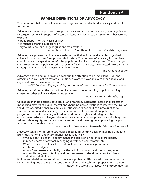#### **SAMPLE DEFINITIONS OF ADVOCACY**

The definitions below reflect how several organizations understand advocacy and put it into action.

Advocacy is the act or process of supporting a cause or issue. An advocacy campaign is a set of targeted actions in support of a cause or issue. We advocate a cause or issue because we want to:

- build support for that cause or issue;
- influence others to support it; or
- try to influence or change legislation that affects it.

—International Planned Parenthood Federation, *IPPF Advocacy Guide*

Advocacy is a process that involves a series of political actions conducted by organized citizens in order to transform power relationships. The purpose of advocacy is to achieve specific policy changes that benefit the population involved in this process. These changes can take place in the public or private sector. Effective advocacy is conducted according to a strategic plan and within a reasonable time frame.

—The Arias Foundation

Advocacy is speaking up, drawing a community's attention to an important issue, and directing decision-makers toward a solution. Advocacy is working with other people and organizations to make a difference."

—CEDPA: *Cairo, Beijing and Beyond: A Handbook on Advocacy for Women Leaders*

Advocacy is defined as the promotion of a cause or the influencing of policy, funding streams or other politically determined activity.

—Advocates for Youth, *Advocacy 101*

Colleagues in India describe advocacy as an organized, systematic, intentional process of influencing matters of public interest and changing power relations to improve the lives of the disenfranchised. Other colleagues in Latin America define it as a process of social transformation aimed at shaping the direction of public participation, policies, and programs to benefit the marginalized, uphold human rights, and safeguard the environment. African colleagues describe their advocacy as being pro-poor, reflecting core values such as equity, justice, and mutual respect, and focusing on empowering the poor and being accountable to them.

—Institute for Development Research, *Advocacy Sourcebook*

Advocacy consists of different strategies aimed at influencing decision-making at the local, provincial, national, and international levels, specifically:

*Who decides*—elections, appointments and selection of policy-makers, judges, minister, boards of advisors, managing directors, administrators, etc.

*What is decided*—policies, laws, national priorities, services, programmes, institutions, budgets.

*How it is decided*—accessibility of citizens to information and the process, extent of consultation, accountability and responsiveness of decision-makers to citizens and other stakeholders.

Policies and decisions are solutions to concrete problems. Effective advocacy requires sharp understanding and analysis of a concrete problem, and a coherent proposal for a solution." —InterAction, *Women's Advocacy Workshop* materials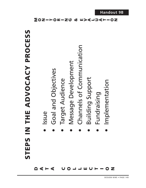| N THE ADVOCACY PROCESS | <b>ISSUe</b> | Goal and Objectives | Target Audience | Message Development | Channels of Communication | <b>Building Support</b> | Fundraising | Implementation |  |
|------------------------|--------------|---------------------|-----------------|---------------------|---------------------------|-------------------------|-------------|----------------|--|
| <b>S</b><br>TEP<br>U   |              |                     |                 |                     |                           | D                       |             |                |  |
|                        |              | DATA UOJJWUT-OZ     |                 |                     |                           |                         |             |                |  |

**Handout 9B**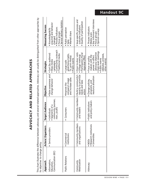# ADVOCACY AND RELATED APPROACHES **ADVOCACY AND RELATED APPROACHES**

**Handout 9C**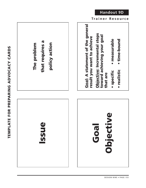

**Trainer Resource**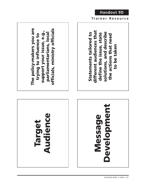



The policy-makers you are **The policy-makers you are** officials, ministry officials **officials, ministry officials** support your issue, e.g., **support your issue, e.g., trying to influence to parliamentarians, local** parliamentarians, local trying to influence to

different audiences that **different audiences that solutions, and describe**  solutions, and describe Statements tailored to **Statements tailored to the actions that need**  define the issue, state **define the issue, state** the actions that need to be taken **to be taken**

**Trainer Resource**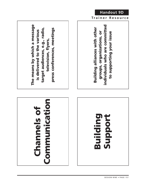





**The means by which a message**  The means by which a message target audiences, e.g., radio, press conferences, meetings **target audiences, e.g., radio, press conferences, meetings is delivered to the various**  is delivered to the various **television, flyers,**  television, flyers,



**Trainer Resource** 

**Handout 9D**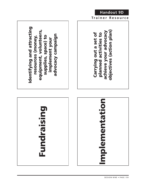



**Carrying out a set of** 

Carrying out a set of planned activities to

**planned activities to** 

**achieve your advocacy**

achieve your advocacy

**objectives (action plan)**

objectives (action plan)

**Handout 9D**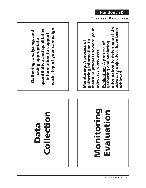## Collection **Collection Data**

### **Monitoring**  Monitoring Evaluation **Evaluation**

quantitative and qualitative **quantitative and qualitative** each step of your campaign **each step of your campaign Gathering, analyzing, and**  Gathering, analyzing, and **information to support**  information to support **using appropriate**  using appropriate

measure progress toward your<br>advocacy objectives **measure progress toward your** gathering information to **gathering information to** Monitoring: A process of **Monitoring: A process of advocacy objectives**

information to determine if the **information to determine if the** advocacy objectives have been **advocacy objectives have been** gathering and analyzing **gathering and analyzing Evaluation: A process of Evaluation: A process of** achieved **achieved**

**Trainer Resource**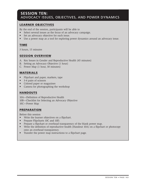#### **SESSION TEN:**  ADVOCACY ISSUES, OBJECTIVES, AND POWER DYNAMICS

#### **LEARNER OBJECTIVES**

By the end of the session, participants will be able to

- Select several issues as the focus of an advocacy campaign.
- Set an advocacy objective for each issue.
- Use a power map as a tool for exploring power dynamics around an advocacy issue.

#### **TIME**

3 hours, 15 minutes

#### **SESSION OVERVIEW**

- A. Key Issues in Gender and Reproductive Health (45 minutes)
- B. Setting an Advocacy Objective (1 hour)
- C. Power Map (1 hour, 30 minutes)

#### **MATERIALS**

- Flipchart and paper, markers, tape
- 3-4 pairs of scissors
- Colored paper or magazines
- Camera for photographing the workshop

#### **HANDOUTS**

10A—Definition of Reproductive Health 10B—Checklist for Selecting an Advocacy Objective 10C—Power Map

#### **PREPARATION**

Before this session

- Write the learner objectives on a flipchart.
- Prepare Flipcharts 10C and 10D.
- Prepare a flipchart or overhead transparency of the blank power map.
- Write the definition of reproductive health (Handout 10A) on a flipchart or photocopy onto an overhead transparency.
- Transfer the power map instructions to a flipchart page.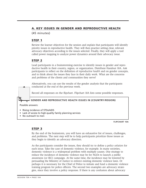#### **A. KEY ISSUES IN GENDER AND REPRODUCTIVE HEALTH**

(45 minutes)

#### **STEP 1**

Review the learner objectives for the session and explain that participants will identify priority issues in reproductive health. They will then practice setting clear, relevant advocacy objectives according to the issues selected. Finally, they will apply a tool called power mapping to analyze power dynamics around their advocacy issue.

#### **STEP 2**

Lead participants in a brainstorming exercise to identify issues in gender and reproductive health in their country, region, or organization. Distribute Handout 10A. Ask participants to reflect on the definition of *reproductive health* and on gender concepts, and to think about the issues they face in their daily work. What are the concerns and problems of the clients and communities they serve?

Alternatively, you can use the results of the gender analysis that the participants conducted at the end of the previous week.

Record all responses on the flipchart. Flipchart 10A lists some possible responses.

#### **GENDER AND REPRODUCTIVE HEALTH ISSUES IN (COUNTRY/REGION)**

Possible answers:

- Rising incidence of STDs/AIDS
- Lack of access to high-quality family planning services
- No outreach to men

**FLIPCHART 10A**

#### **STEP 3**

By the end of the brainstorm, you will have an exhaustive list of issues, challenges, and problems. The next step will be to help participants prioritize those issues as they begin to identify an advocacy direction.

As the participants consider the issues, they should try to define a *policy solution* for each issue. Take the case of domestic violence, for example. In many societies, domestic violence is a widespread problem with multiple causes. One strategy to reduce the incidence of domestic violence may be for NGOs to launch a public awareness (or IEC) campaign. At the same time, the incidence may be lowered by persuading the Ministry of Justice to enforce existing domestic violence laws. Or perhaps it is necessary for the Chief of Police to initiate and fund a domestic violence training program for police officers. The second two examples are advocacy strategies, since they involve a policy response. If there is any confusion about advocacy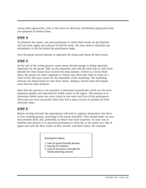versus other approaches, refer to the chart on Advocacy and Related Approaches that you prepared in Session Nine.

#### **STEP 4**

To prioritize the issues, ask each participant to check three issues on the flipchart that are most urgent and relevant to her/his work. You may need to eliminate any redundancy in the list before the participants begin.

Give the group several minutes to approach the board and check off their issues.

#### **STEP 5**

At the end of the voting process, some issues should emerge as being especially important for the group. Tally up the responses and note the total next to each issue. Identify the three issues that received the most interest. If there is a tie for third place, the group can either negotiate to choose one above the other or work on a total of four advocacy issues for the remainder of the workshop. The workshop sessions are timed based on only three issues. Adding a fourth issue will require extra time for most sessions.

Note that the process is not intended to determine scientifically which are the most important gender and reproductive health issues in the region. The purpose is to determine which issues are most critical to the work and lives of the participants. Advocates are most successful when they feel a deep concern or passion for their advocacy issue.

#### **STEP 6**

Before moving forward, the participants will need to organize themselves into three or four working groups, according to the issues identified. They should select an area that interests them and, preferably, in which they have expertise. An easy way to facilitate this process is to ask each participant to write her or his name on a slip of paper and rank the three issues as first, second, and third choice. For example:

Participant's Name

- 1. Lack of youth-friendly services
- 2. Scarcity of condoms
- 3. Lack of insurance coverage for family-planning services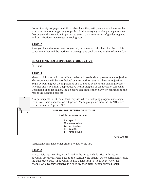Collect the slips of paper and, if possible, have the participants take a break so that you have time to arrange the groups. In addition to trying to give participants their first or second choice, it is important to seek a balance in terms of gender, regions, and organizations represented in each group.

#### **STEP 7**

After you have the issue teams organized, list them on a flipchart. Let the participants know they will be working in these groups until the end of the following day.

#### **B. SETTING AN ADVOCACY OBJECTIVE**

(1 hour)

#### **STEP 1**

Many participants will have wide experience in establishing programmatic objectives. This experience will be very helpful as they work on setting advocacy objectives. Begin by pointing out the importance of a sound objective to the planning process whether one is planning a reproductive health program or an advocacy campaign. Depending upon its quality, the objective can bring either clarity or confusion to the rest of the planning process.

Ask participants to list the criteria they use when developing programmatic objectives. Note their responses on a flipchart. Many groups mention the SMART objectives, shown on Flipchart 10B.

#### **CRITERIA FOR SETTING OBJECTIVES**

Possible responses include:

- **S** specific
- **M** measurable
- **A** achievable
- **R** realistic
- **T** time-bound

**FLIPCHART 10B**

Participants may have other criteria to add to the list.

#### **STEP 2**

Ask participants how they would modify the list to include criteria for setting advocacy objectives. Refer back to the Session Nine activity where participants sorted the advocacy cards. An advocacy goal is a long-term (5- to 10-year) vision for change. An advocacy objective is a specific, short-term, action-oriented target.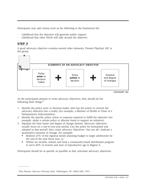Participants may add criteria such as the following to the brainstorm list:

- Likelihood that the objective will generate public support
- Likelihood that other NGOs will rally around the objective

#### **STEP 3**

 $\overline{\phantom{a}}$ 

A good advocacy objective contains several other elements. Present Flipchart 10C to the group.



**FLIPCHART 10C**

As the participants prepare to write advocacy objectives, they should do the following three things: $19$ 

- 1. Identify the policy actor or decision-maker who has the power to convert the advocacy objective into a reality (for example, a Minister of Health or Chair of a Parliamentary Subcommittee).
- 2. Identify the specific policy action or response required to fulfill the objective (for example, adopt a certain policy or allocate funds to support an initiative).
- 3. Stipulate the time frame and degree of change desired. Advocacy objectives usually focus on a one-to-two-year period. Can the policy be formulated and adopted in that period? Also, some advocacy objectives—but not all—indicate a quantitative measure of change. For example:
	- Redirect 25% of the regional family planning budget to target adolescents by the end of the next fiscal year; or
	- Within six months, initiate and fund a community-based distribution program to serve 40% of women and men of reproductive age in Region X.

Participants should be as specific as possible as they articulate advocacy objectives.

<sup>19</sup> Ritu Sharma, *Advocacy Training Guide.* (Washington, DC: SARA/AED, 1997).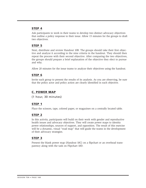Ask participants to work in their teams to develop two distinct advocacy objectives that outline a policy response to their issue. Allow 15 minutes for the groups to draft two objectives.

#### **STEP 5**

Next, distribute and review Handout 10B. The groups should take their first objective and analyze it according to the nine criteria in the handout. They should then repeat the process with their second objective. After comparing the two objectives, the groups should prepare a brief explanation of the objective they elect to pursue and why.

Allow 20 minutes for the issue teams to analyze their objectives using the handout.

#### **STEP 6**

Invite each group to present the results of its analysis. As you are observing, be sure that the policy actor and policy action are clearly identified in each objective.

#### **C. POWER MAP**

(1 hour, 30 minutes)

#### **STEP 1**

Place the scissors, tape, colored paper, or magazines on a centrally located table.

#### **STEP 2**

In this activity, participants will build on their work with gender and reproductive health issues and advocacy objectives. They will create power maps to identity power relationships, sources of support, and opposition. The result of this exercise will be a dynamic, visual "road map" that will guide the teams in the development of their advocacy strategies.

#### **STEP 3**

Present the blank power map (Handout 10C) on a flipchart or an overhead transparency along with the task on Flipchart 10D.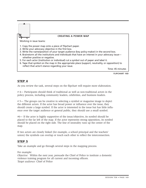

As you review the task, several steps on the flipchart will require more elaboration.

# 4— Participants should think of traditional as well as non-traditional actors in the policy process, including community leaders, celebrities, and business leaders.

# 5— The groups can be creative in selecting a symbol or magazine image to depict the different actors. If the actor has broad power or influence over the issue, they should create a large symbol. If the actor is interested in the issue but has little influence over the target audience or general public, they should use a small symbol.

#6— If the actor is highly supportive of the issue/objective, its symbol should be placed to the far left of the map. If the actor represents strong opposition, its symbol should be placed on the right side. The line of neutrality runs up the center of the map.

If two actors are closely linked (for example, a school principal and the teachers' union) the symbols can overlap or touch each other to reflect the interconnection.

#### **STEP 5**

Take an example and go through several steps in the mapping process.

For example:

*Objective:* Within the next year, persuade the Chief of Police to institute a domestic violence training program for all current and incoming officers. *Target audience:* Chief of Police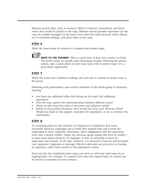Mention several allies, such as women's NGOs or lawyers' associations, and show where they would be placed on the map. Mention several possible opponents (in this case, the middle managers on the police force who lose staff resources while officers are in extended training), and place them on the map.

#### **STEP 6**

Allow the issue teams 45 minutes to complete their power maps.



**NOTE TO THE TRAINER:** This is a good time to have your camera on hand. The power maps are usually quite interesting visually. Following the presentations, take a quick photo of each issue team with its power maps—it's a good photo opportunity.

#### **STEP 7**

When the teams have finished working, ask each one to present its power map to the group.

Following each presentation, pose several questions to the whole group to maximize learning.

- Are there any additional allies that belong on the map? Any additional opponents?
- Does the map capture the interconnections between different actors?
- Where on this map does most of the power and influence reside?
- Based on these power dynamics, how would you focus your advocacy effort? Would you build on the support, neutralize the opposition, or try to convince the undecideds?

#### **STEP 8**

As a learning point for this exercise, it is important to emphasize that many successful advocacy campaigns opt to build their support base and convert the undecideds to their viewpoint. Sometimes, direct engagement with the opposition turns into a heated conflict. Unless the advocacy group desires this level of conflict to raise mass media attention, for example—it may be advisable to focus on supporters and neutrals. In all cases, however, it is essential to forecast and anticipate your opponent's argument or message. Effective advocates are pro-active in framing an argument, rather than reactive to the opposition's stance.

Point out that the completed power maps can serve as advocacy road maps on an ongoing basis. For example, if a neutral actor joins the support base, its symbol can be moved to represent the new position.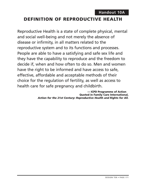#### **DEFINITION OF REPRODUCTIVE HEALTH**

Reproductive Health is a state of complete physical, mental and social well-being and not merely the absence of disease or infirmity, in all matters related to the reproductive system and to its functions and processes. People are able to have a satisfying and safe sex life and they have the capability to reproduce and the freedom to decide if, when and how often to do so. Men and women have the right to be informed and have access to safe, effective, affordable and acceptable methods of their choice for the regulation of fertility, as well as access to health care for safe pregnancy and childbirth.

> **— ICPD Programme of Action Quoted in Family Care International,**  *Action for the 21st Century: Reproductive Health and Rights for All.*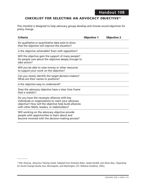#### **CHECKLIST FOR SELECTING AN ADVOCACY OBJECTIVE20**

This checklist is designed to help advocacy groups develop and choose sound objectives for policy change.

| <b>Criteria</b>                                                                                                                                                                                             | <b>Objective 1</b> | <b>Objective 2</b> |
|-------------------------------------------------------------------------------------------------------------------------------------------------------------------------------------------------------------|--------------------|--------------------|
| Do qualitative or quantitative data exist to show<br>that the objective will improve the situation?                                                                                                         |                    |                    |
| Is the objective achievable? Even with opposition?                                                                                                                                                          |                    |                    |
| Will the objective gain the support of many people?<br>Do people care about the objective deeply enough to<br>take action?                                                                                  |                    |                    |
| Will you be able to raise money or other resources<br>to support your work on the objective?                                                                                                                |                    |                    |
| Can you clearly identify the target decision-makers?<br>What are their names or positions?                                                                                                                  |                    |                    |
| Is the objective easy to understand?                                                                                                                                                                        |                    |                    |
| Does the advocacy objective have a clear time frame<br>that is realistic?                                                                                                                                   |                    |                    |
| Do you have the necessary alliances with key<br>individuals or organizations to reach your advocacy<br>objective? How will the objective help build alliances<br>with other NGOs, leaders, or stakeholders? |                    |                    |
| Will working on the advocacy objective provide<br>people with opportunities to learn about and<br>become involved with the decision-making process?                                                         |                    |                    |

 $\overline{\phantom{a}}$ 

<sup>&</sup>lt;sup>20</sup> Ritu Sharma, Advocacy Training Guide. Adapted from Kimberly Bobo, Jackie Kenfall, and Steve Max, Organizing for Social Change (Santa Ana, Minneapolis, and Washington, DC: Midwest Academy, 1991).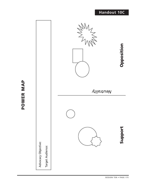#### **Handout 10C**



**POWER MAP**

POWER MAP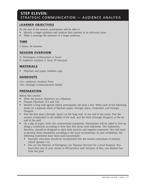#### **STEP ELEVEN:** STRATEGIC COMMUNICATION — AUDIENCE ANALYSIS

#### **LEARNER OBJECTIVES**

By the end of the session, participants will be able to

- Identify a target audience and analyze their interest in an advocacy issue.
- Tailor a message the interests of a target audience.

#### **TIME**

2 hours, 30 minutes

#### **SESSION OVERVIEW**

- A. Techniques of Persuasion (1 hour)
- B. Audience Analysis (1 hour, 30 minutes)

#### **MATERIALS**

• Flipchart and paper, markers, tape

#### **HANDOUTS**

11A—Audience Analysis Form 11B—Strategic Communication Model

#### **PREPARATION**

Before this session

- Write the learner objectives on a flipchart.
- Prepare Flipcharts 11A and 11B.
- Identify a long wall against which participants can form a line. Write each of the following terms on a separate sheet of flipchart paper: *Strongly Agree, Undecided*, and *Strongly Disagree.*
- Post the first sheet *(Strongly Agree)* on the long wall, at one end of the room. Post the second *(Undecided)* in the middle of the wall, and the third (*Strongly Disagree*) at the far end of the wall.
- On a slip of paper, write two controversial statements. Participants will be asked to line up along a continuum according to how they feel about each statement. The statements, therefore, should be designed to elicit both positive and negative responses. You will need to develop these statements according to the local environment. In past workshops, the following statements have been used successfully:
	- Sexuality education should be incorporated into the formal curriculum of primary school (grades 1-6).
	- You are the Director of Emergency (or Trauma) Services for a local hospital. You learn that one of your nurses is HIV-positive and, because of this, you dismiss her from her post.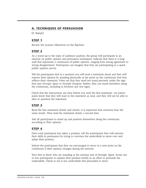#### **A. TECHNIQUES OF PERSUASION**

(1 hour)

#### **STEP 1**

Review the Learner Objectives on the flipchart.

#### **STEP 2**

As a warm-up to the topic of audience analysis, the group will participate in an exercise on public opinion and persuasive techniques. Indicate that there is a long wall that represents a continuum of public opinion, ranging from strong agreement to strong disagreement. Participants can imagine that they are participating in a quick public opinion survey.

Tell the participants that in a moment you will read a statement aloud and they will express their opinion by standing physically at the point on the continuum that best reflects their viewpoint. Point out that they need not stand precisely under the sign that says *Strongly Agree* or *Strongly Disagree*. Rather, they can stand anywhere along the continuum, including in between any two signs.

Check that the instructions are clear before you read the first statement. Let participants know that they will react to the statement as read, and they will not be able to alter or question the statement.

#### **STEP 3**

Read the first statement slowly and clearly; it is important that everyone hear the same words. Then read the statement slowly a second time.

Ask all participants to stand up and position themselves along the continuum according to their opinion.

#### **STEP 4**

Once each participant has taken a position, tell the participants they will exercise their skills in persuasion by trying to convince the undecideds to move over and adopt their position.

Inform the participants that they are encouraged to move to a new point on the continuum if their opinion changes during the exercise.

Turn first to those who are standing at the extreme end of Strongly Agree. Invite one or two participants to explain their position briefly in an effort to persuade the undecideds. Check to see if any undecideds feel persuaded to move.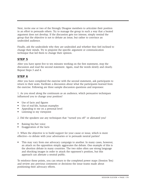Next, invite one or two of the Strongly Disagree members to articulate their position in an effort to persuade others. Try to manage the group in such a way that a heated argument does not develop. If the discussion gets too intense, simply remind the group that the objective is not to debate an issue, but rather to convince an undecided audience.

Finally, ask the undecideds why they are undecided and whether they feel inclined to change their minds. Try to pinpoint the specific argument or communication technique that led them to change their opinion.

#### **STEP 5**

After you have spent five to ten minutes working on the first statement, stop the discussion and read the second statement. Again, read the words slowly and clearly. Repeat Steps 3 and 4.

#### **STEP 6**

After you have completed the exercise with the second statement, ask participants to return to their seats. Facilitate a discussion about what the participants learned from the exercise. Following are three sample discussion questions and responses:

1. As you stood along the continuum as an audience, which persuasive techniques influenced you to change your position?

- Use of facts and figures
- Use of real-life, human examples
- Appealing to me on a personal level
- Listening to my viewpoint

2. Did the speakers use any techniques that "turned you off" or alienated you?

- Raising his/her voice
- Exaggeration of the facts

3. When the objective is to build support for your cause or issue, which is more effective—to debate with your adversaries or to persuade neutral parties?

• This may vary from one advocacy campaign to another. In many cases, however, an attack on the opposition simply aggravates the debate. One example of this is the abortion debate in many countries. The two sides often use strong language and shocking images in order to attack the opponent's position, but this approach can alienate a neutral public.

To reinforce these points, you can return to the completed power maps (Session Ten) and review any previous comments or decisions the issue teams made about positioning their advocacy efforts.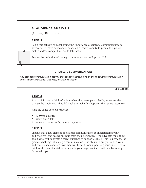#### **B. AUDIENCE ANALYSIS**

(1 hour, 30 minutes)

#### **STEP 1**

Begin this activity by highlighting the importance of strategic communication in advocacy. Effective advocacy depends on a leader's ability to persuade a policymaker and/or compel him/her to take action.

Review the definition of strategic communication on Flipchart 11A.

#### **STRATEGIC COMMUNICATION:**

Any planned communication activity that seeks to achieve one of the following communication goals: Inform, Persuade, Motivate, or Move to Action

**FLIPCHART 11A**

#### **STEP 2**

Ask participants to think of a time when they were persuaded by someone else to change their opinion. What did it take to make this happen? Elicit some responses.

Here are some possible responses:

- A credible source
- Convincing data
- A story of someone's personal experience

#### **STEP 3**

Explain that a key element of strategic communication is understanding your audience well and seeing an issue from their perspective. The advocate must think about what will motivate a target audience to support a cause. This is, perhaps, the greatest challenge of strategic communication—the ability to put yourself in your audience's shoes and see how they will benefit from supporting your cause. Try to think of the potential risks and rewards your target audience will face by joining forces with you.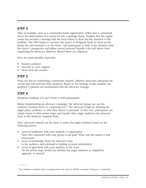Take an example, such as a community-based organization (CBO) that is concerned about the deterioration of a vacant lot into a garbage dump. Imagine that the organization has secured a meeting with the local mayor to draw her/his attention to the problem. The CBO hopes to convince the mayor to designate funds to clean up the dump site and maintain it in the future. Ask participants to look at the situation from the mayor's perspective and define several personal benefits s/he will derive from supporting the advocacy objective. Record these on a flipchart.

Here are some possible responses:

- Positive publicity
- Increase in voter support
- Short-term job creation

#### **STEP 5**

Point out that by conducting a systematic analysis, effective advocates anticipate the factors that will motivate their audience. Based on the findings of this analysis, the audience's interests are incorporated into the advocacy strategy.

#### **STEP 6**

 $\overline{\phantom{a}}$ 

Distribute Handout 11A and review it with participants.

Before implementing an advocacy campaign, the advocacy group can use the Audience Analysis Form as a planning tool.<sup>21</sup> The advocates begin by defining the target policy audience, or who they intend to persuade. In this case, participants can simply return to their power maps and transfer their target audience and advocacy issue to the Audience Analysis Form.

Next, advocates should use the form to assess the target audience based on the following factors:

- Level of familiarity with your network or organization Have they interacted with your group in the past? What was the nature of that interaction?
- Level of knowledge about the advocacy issue Is the audience well-informed or lacking accurate information?
- Level of agreement with your position on the issue On the power map, would you identify the target audience as supportive, opposed, or neutral?

<sup>&</sup>lt;sup>21</sup> The Audience Analysis Form is adapted from the work of CEDPA consultant Thomas C. Leonhardt.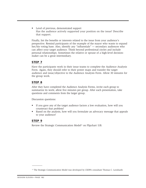• Level of previous, demonstrated support Has the audience actively supported your position on the issue? Describe that support.

Finally, list the benefits or interests related to the issue from your audience's perspective. Remind participants of the example of the mayor who wants to expand her/his voting base. Also, identify any "influentials" — secondary audiences who can affect your target audience. Think beyond professional circles and include personal relationships. Sometimes the relative or spouse of a high-level decisionmaker can be a great intermediary.

#### **STEP 7**

Have the participants work in their issue teams to complete the Audience Analysis Form. Again, they should refer to their power maps and transfer the target audience and issue/objective to the Audience Analysis Form. Allow 30 minutes for the group work.

#### **STEP 8**

After they have completed the Audience Analysis Forms, invite each group to summarize its work; allow five minutes per group. After each presentation, take questions and comments from the larger group.

Discussion questions:

- If you gave any of the target audience factors a low evaluation, how will you counteract that problem?
- Based on the analysis, how will you formulate an advocacy message that appeals to your audience?

#### **STEP 9**

Review the Strategic Communication Model<sup>22</sup> on Flipchart 11B.

 $\overline{\phantom{a}}$ 

<sup>&</sup>lt;sup>22</sup> The Strategic Communication Model was developed by CEDPA consultant Thomas C. Leonhardt.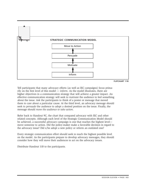

**FLIPCHART 11B**

Tell participants that many advocacy efforts (as well as IEC campaigns) focus primarily on the first level of this model — *inform*. As the model illustrates, there are higher objectives in a communication strategy that will achieve a greater impact. An effective communication strategy will seek to *motivate* the audience to feel something about the issue. Ask the participants to think of a poster or message that moved them to care about a particular cause. At the third level, an advocacy message should seek to *persuade* the audience to adopt a desired position on the issue. Finally, the message should *move the audience to take action*.

Refer back to Handout 9C, the chart that compared advocacy with IEC and other related concepts. Although each level of the Strategic Communication Model should be achieved, a successful advocacy campaign is one that reaches the highest level move someone to action. Did the policy-maker make a favorable decision in regard to the advocacy issue? Did s/he adopt a new policy or reform an outdated one?

Every strategic communication effort should seek to reach the highest possible level on the model. As the participants prepare to develop advocacy messages, they should consider how they will move their audiences to act on the advocacy issues.

Distribute Handout 11B to the participants.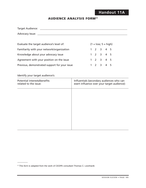#### **AUDIENCE ANALYSIS FORM23**

| Target Audience: |  |
|------------------|--|
| Advocacy Issue:  |  |

| Evaluate the target audience's level of:      |  | $(1 = low; 5 = high)$               |  |
|-----------------------------------------------|--|-------------------------------------|--|
| Familiarity with your network/organization    |  | $1 \t2 \t3 \t4 \t5$                 |  |
| Knowledge about your advocacy issue           |  | $1 \t2 \t3 \t4 \t5$                 |  |
| Agreement with your position on the issue     |  | $1 \t2 \t3 \t4 \t5$                 |  |
| Previous, demonstrated support for your issue |  | $1 \quad 2 \quad 3 \quad 4 \quad 5$ |  |

Identify your target audience's:

 $\overline{\phantom{a}}$ 

| Potential interests/benefits<br>related to the issue: | Influentials (secondary audiences who can<br>exert influence over your target audience): |
|-------------------------------------------------------|------------------------------------------------------------------------------------------|
|                                                       |                                                                                          |
|                                                       |                                                                                          |
|                                                       |                                                                                          |
|                                                       |                                                                                          |
|                                                       |                                                                                          |

<sup>&</sup>lt;sup>23</sup> This form is adapted from the work of CEDPA consultant Thomas C. Leonhardt.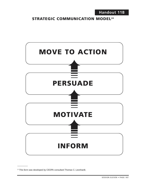#### **STRATEGIC COMMUNICATION MODEL<sup>24</sup>**



<sup>&</sup>lt;sup>24</sup> This form was developed by CEDPA consultant Thomas C. Leonhardt.

 $\overline{\phantom{a}}$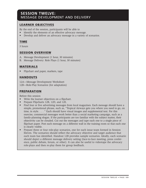#### **SESSION TWELVE:**  MESSAGE DEVELOPMENT AND DELIVERY

#### **LEARNER OBJECTIVES**

By the end of the session, participants will be able to

- Identify the elements of an effective advocacy message.
- Develop and deliver an advocacy message in a variety of scenarios.

#### **TIME**

3 hours

#### **SESSION OVERVIEW**

- A. Message Development (1 hour, 30 minutes)
- B. Message Delivery: Role Plays (1 hour, 30 minutes)

#### **MATERIALS**

• Flipchart and paper, markers, tape

#### **HANDOUTS**

12A—Message Development Worksheet 12B—Role-Play Scenarios (for adaptation)

#### **PREPARATION**

Before this session

- Write the learner objectives on a flipchart.
- Prepare Flipcharts 12B, 12D, and 12E.
- Find four or five advertising messages from local magazines. Each message should have a simple, promotional phrase, such as, "Tropical Airways gets you where you need to go, on time, in style. . . . " Each should have visual images and supplemental text. For this exercise, commercial messages work better than a social marketing campaign, such as a family-planning slogan. If the participants are too familiar with the subject matter, their objectivity can be clouded. Cut out the messages and tape each one to a single piece of flipchart paper. Post each message on a different wall in the training room so that each one is clearly visible.
- Prepare three or four role-play scenarios, one for each issue team formed in Session Eleven. The scenarios should reflect the advocacy objective and target audience that each team has identified. Handout 12B provides sample scenarios. Ideally, each scenario should depict a different message delivery setting (face-to-face meeting, press conference, public debate, forum, or other). It can also be useful to videotape the advocacy role-plays and then re-play them for group feedback.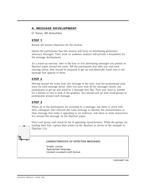#### **A. MESSAGE DEVELOPMENT**

(1 hour, 30 minutes)

#### **STEP 1**

Review the learner objectives for the session.

Inform the participants that this session will focus on developing persuasive advocacy messages. Their work on audience analysis will provide a foundation for the message development.

As a warm-up exercise, refer to the four or five advertising messages you posted on flipchart paper around the room. Tell the participants that after you read each message aloud, they should be prepared to get up and physically stand next to the message that appeals to them.

#### **STEP 2**

Moving around the room from one message to the next, read the promotional statement for each message aloud. After you have read all the messages clearly, ask participants to get up and stand by a message they like. They may want to wander for a minute or two to look at the graphics. You should end up with small groups of participants around each message.

#### **STEP 3**

When all of the participants are standing by a message, ask them to work with their colleagues who selected the same message to identify the characteristics of their message that make it appealing to an audience. Ask them to write characteristics around the message on the flipchart paper.

Have each group read aloud its list of appealing characteristics. While the groups are reading their lists, capture their points on the flipchart as shown in the example in Flipchart 12A.

#### **CHARACTERISTICS OF EFFECTIVE MESSAGES**

Simple, concise Appropriate language Content consistent with format

**FLIPCHART 12A**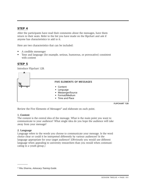After the participants have read their comments about the messages, have them return to their seats. Refer to the list you have made on the flipchart and ask if anyone has characteristics to add to it.

Here are two characteristics that can be included:

- A credible messenger
- Tone and language (for example, serious, humorous, or provocative) consistent with content

#### **STEP 5**

Introduce Flipchart 12B.



**FLIPCHART 12B**

Review the Five Elements of Messages<sup>25</sup> and elaborate on each point.

#### **1. Content**

The content is the central idea of the message. What is the main point you want to communicate to your audience? What single idea do you hope the audience will take away from your message?

#### **2. Language**

 $\overline{\phantom{a}}$ 

Language refers to the words you choose to communicate your message. Is the word choice clear or could it be interpreted differently by various audiences? Is the language appropriate for your target audience? (Obviously you would use different language when appealing to university researchers than you would when communicating to a youth group.)

<sup>&</sup>lt;sup>25</sup> Ritu Sharma, Advocacy Training Guide.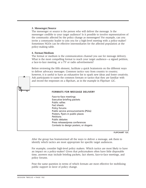#### **3. Messenger/Source**

The messenger or source is the person who will deliver the message. Is the messenger credible to your target audience? Is it possible to involve representatives of the community affected by the policy change as messengers? For example, can you invite a community leader to join you for a high-level meeting with a policy-maker? Sometimes NGOs can be effective intermediaries for the affected population at the policy-making table.

#### **4. Format/Medium**

The format or medium is the communication channel you use for message delivery. What is the most compelling format to reach your target audience—a signed petition, a face-to-face meeting, or a TV or radio advertisement?

Before reviewing the fifth element, facilitate a quick brainstorm on the different ways to deliver advocacy messages. Common tactics vary from country to country; however, it is useful to have an exhaustive list to spark new ideas and foster creativity. Ask participants to name the common formats or tactics that they are familiar with and record the responses on a flipchart, as in the example in Flipchart 12C.

#### **FORMATS FOR MESSAGE DELIVERY**

Face-to-face meetings Executive briefing packets Public rallies Fact sheets Policy forums Public service announcements (PSAs) Posters, flyers in public places **Petitions** Public debates Press releases/press conferences Contests to design posters, or slogans

**FLIPCHART 12C**

After the group has brainstormed all the ways to deliver a message, ask them to identify which tactics are most appropriate for specific target audiences.

For example, consider high-level policy makers. Which tactics are most likely to have an impact on a policy-maker? Given that policymakers often have little disposable time, answers may include briefing packets, fact sheets, face-to-face meetings, and policy forums.

Pose the same question in terms of which formats are most effective for mobilizing public support in favor of policy change.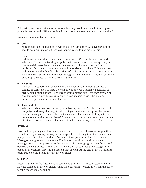Ask participants to identify several factors that they would use to select an appropriate format or tactic. What criteria will they use to choose one tactic over another?

Here are some possible responses:

#### **• Cost**

Mass media such as radio or television can be very costly. An advocacy group should seek out free or reduced-cost opportunities to use mass media.

#### **• Risk**

Risk is an element that separates advocacy from IEC or public relations work. When an NGO or a network goes public with an advocacy issue—especially a controversial one—there is always the chance that its reputation will be tarnished. Certain advocacy tactics entail more risk than others. Public debates and live forums that highlight both sides of an issue can turn into heated events. Nevertheless, risk can be minimized through careful planning, including selection of appropriate speakers and rehearsing the event.

#### **• Visibility**

An NGO or network may choose one tactic over another when it can use a contact or connection to raise the visibility of an event. Perhaps a celebrity or high-ranking public official is willing to visit a project site. This may provide an excellent opportunity to recruit other decision-makers to visit the site and promote a particular advocacy objective.

#### **5. Time and Place**

When and where will you deliver your advocacy message? Is there an electoral campaign underway that might make policy-makers more receptive than normal to your message? Are there other political events that you can link up with, to draw more attention to your issue? Some advocacy groups connect their communication strategies to events like International Women's Day or World AIDS Day.

# **STEP 6**

Now that the participants have identified characteristics of effective messages, they should develop advocacy messages that respond to their target audience's interests and position. Distribute Handout 12A, which incorporates the Five Elements of Messages, and give each issue team 30 minutes to work on developing an advocacy message. As each group works on the content of its message, group members should develop the central idea. If they think of a slogan that captures the message for a poster or a brochure, they should present that as well. At the end of the 30 minutes, each group should briefly present its worksheet.

# **STEP 7**

After the three (or four) teams have completed their work, ask each team to summarize the contents of its worksheet. Following each team's presentation, ask the others for their reactions or additions.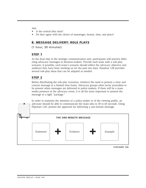Ask:

- Is the central idea clear?
- Do they agree with the choice of messenger, format, time, and place?

# **B. MESSAGE DELIVERY: ROLE PLAYS**

(1 hour, 30 minutes)

# **STEP 1**

As the final step in the strategic communication unit, participants will practice delivering advocacy messages to decision-makers. Provide each team with a role-play scenario; if possible, each team's scenario should reflect the advocacy objective and audience they have been working on for the past two days. Handout 12B provides several role-play ideas that can be adapted as needed.

# **STEP 2**

Before distributing the role-play scenarios, reinforce the need to present a clear and concise message in a limited time frame. Advocacy groups often invite journalists to be present when messages are delivered to policy-makers. If there will be a mass media presence at the advocacy event, it is all the more important to present the message in a tight "package."



**FLIPCHART 12D**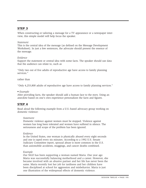When constructing or tailoring a message for a TV appearance or a newspaper interview, this simple model will help focus the speaker.

#### *Statement*

This is the central idea of the message (as defined on the Message Development Worksheet). In just a few sentences, the advocate should present the essence of the message.

#### *Evidence*

Support the statement or central idea with some facts. The speaker should use data that the audience can relate to, such as

"Only two out of five adults of reproductive age have access to family planning services."

rather than

"Only 4,253,800 adults of reproductive age have access to family planning services."

#### • *Example*

After providing facts, the speaker should add a human face to the story. Using an anecdote based on one's own experience personalizes the facts and figures.

# **STEP 4**

Read aloud the following example from a U.S.-based advocacy group working on domestic violence:

#### *Statement*

Domestic violence against women must be stopped. Violence against women has long been tolerated and women have suffered in silence. The seriousness and scope of the problem has been ignored.

#### *Evidence*

In the United States, one woman is physically abused every eight seconds and one is raped every six minutes. According to a 1992 U.S. Senate Judiciary Committee report, spousal abuse is more common in the U.S. than automobile accidents, muggings, and cancer deaths combined.

#### *Example*

Our NGO has been supporting a woman named Maria. One year ago Maria was successfully balancing motherhood and a career. However, she became involved with an abusive partner and her life has never been the same. Maria recently lost her job for tardiness and her children have been disciplined at school for aggression and misbehavior. Maria is just one illustration of the widespread effects of domestic violence.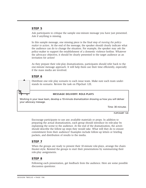Ask participants to critique the sample one-minute message you have just presented. Ask if anything is missing.

In this sample message, one missing piece is the final step of *moving the policymaker to action.* At the end of the message, the speaker should clearly indicate what the audience can do to change the situation. For example, the speaker may ask the policy-maker to support the establishment of a domestic violence hotline. Whatever the advocacy objective, it should be clearly presented to the target audience as an invitation for action!

As they prepare their role-play dramatizations, participants should refer back to the one-minute message approach. It will help them use their time efficiently, especially if the mass media are involved.

#### **STEP 6**

Distribute one role play scenario to each issue team. Make sure each team understands its scenario. Review the task on Flipchart 12E.

#### **MESSAGE DELIVERY: ROLE-PLAYS**

Working in your issue team, develop a 10-minute dramatization showing us how you will deliver your advocacy message.

Time: 30 minutes

**FLIPCHART 12E**

Encourage participants to use any available materials or props. In addition to preparing the actual dramatization, each group should introduce its role-play by explaining the scene to the audience. At the end of the dramatization, the actors should describe the follow-up steps they would take. What will they do to ensure commitment from their audience? Examples include follow-up letters or briefing packets, and distribution of results to the media.

# **STEP 7**

When the groups are ready to present their 10-minute role-plays, arrange the chairs theater-style. Remind the groups to start their presentations by summarizing their role-play assignments.

#### **STEP 8**

Following each presentation, get feedback from the audience. Here are some possible discussion questions: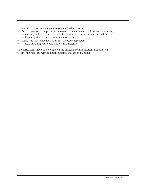- Was the central advocacy message clear? What was it?
- Put yourselves in the place of the target audience. Were you informed, motivated, persuaded, and moved to act? Which communication techniques pushed the audience up the strategic communication scale?
- What was most effective about this advocacy approach?
- Is there anything you would add or do differently?

The participants have now completed the strategic communication unit and will resume the next day with coalition-building and action planning.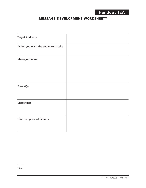# **MESSAGE DEVELOPMENT WORKSHEET<sup>26</sup>**

| <b>Target Audience</b>               |  |
|--------------------------------------|--|
| Action you want the audience to take |  |
| Message content                      |  |
| Format(s)                            |  |
| Messengers                           |  |
| Time and place of delivery           |  |

 $\overline{\phantom{a}}$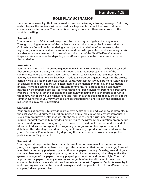# **ROLE PLAY SCENARIOS**

Here are some role-plays that can be used to practice delivering advocacy messages. Following each role-play, the audience will offer feedback to presenters about their use of different communication techniques. The trainer is encouraged to adapt these scenarios to fit the workshop setting.

#### **Scenario 1**

You represent an NGO that seeks to protect the human rights of girls and young women. Through ongoing monitoring of the parliamentary record, your organization learns that the Child Welfare Committee is considering a draft piece of legislation. After previewing the legislation, you determine that the content is consistent with your vision and advocacy goal. You are able to secure a meeting with the chair and vice chair of the Child Welfare Committee. Prepare a 10-minute role-play depicting your efforts to persuade the committee to support the legislation.

#### **Scenario 2**

Your organization works to promote gender equity in rural communities. You have discovered that an international agency has planned a water and sanitation project in one of the communities where your organization works. Through conversations with the international agency, you learn that no plans have been made to incorporate a gender focus into the project design. While you see the project's potential value, you feel that it would be more sustainable if an analysis of gender relations were integrated into the design, monitoring, and evaluation phases. The village council in the participating community has agreed to call a community hearing on the proposed project. Your organization has been invited to present its perspective. Prepare a 10-minute scenario depicting the community meeting and your efforts to convince the community of the value of gender analysis. You can ask the audience to play the role of the community; however, you may want to plant several supporters and critics in the audience to make the role-play more interesting.

#### **Scenario 3**

Your organization works to provide reproductive health care and education to adolescents. In the past year, the Ministry of Education initiated a small-scale pilot project that introduces a sexuality/reproductive health module into the secondary school curriculum. Your initial inquiries suggest that the Ministry does not intend to mainstream the education program due to perceived opposition of religious groups. In order to build public support and persuade the Ministry of Education to expand the program, your organization has organized a public debate on the advantages and disadvantages of providing reproductive health education to youth. Prepare a 10-minute role play depicting the debate. Include how you manage the participation of TV journalists.

#### **Scenario 4**

Your organization promotes the sustainable use of natural resources. For the past several years, your organization has been working with communities that border on a large, forested area that was recently purchased by a multinational paper company. One day, several of your staff members are at the airport preparing to depart for a conference, when they notice the general manager of the paper company preparing to depart on a different flight. Your staff approaches the paper company executive and urges him/her to visit some of these rural communities to learn more about their interests in the forest. Prepare a 10-minute role-play in which you try to convince the general manager to visit the people who will be affected by the company's development plan.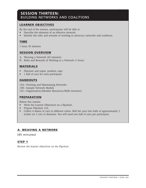# **SESSION THIRTEEN:**  BUILDING NETWORKS AND COALITIONS

# **LEARNER OBJECTIVES**

By the end of the session, participants will be able to

- Describe the elements of an effective network.
- Identify the risks and rewards of working in advocacy networks and coalitions.

# **TIME**

1 hour, 45 minutes

# **SESSION OVERVIEW**

- A. Weaving a Network (45 minutes)
- B. Risks and Rewards of Working in a Network (1 hour)

# **MATERIALS**

- Flipchart and paper, markers, tape
- 1 ball of yarn for each participant

# **HANDOUTS**

- 13A—Forming and Maintaining Networks
- 13B—Sample Network Models
- 13C—Organization/Member Resources/Skills Inventory

# **PREPARATION**

Before this session

- Write the Learner Objectives on a flipchart.
- Prepare Flipchart 13A.
- Collect 4 skeins of yarn in different colors. Roll the yarn into balls of approximately 2 inches (or 5 cm) in diameter. You will need one ball of yarn per participant.

# **A. WEAVING A NETWORK**

(45 minutes)

# **STEP 1**

Review the learner objectives on the flipchart.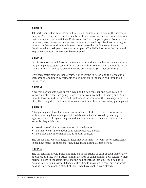Tell participants that this session will focus on the role of networks in the advocacy process. Ask if they are currently members of any networks (or less formal alliances) that conduct advocacy activities. Elicit examples from the participants. Point out that in recent years, non-governmental and community-based organizations have begun to join together around mutual interests to increase their influence on formal decision-makers. Ask participants for examples. (The NGO Forums at the Cairo and Beijing conferences are two possible examples.)

# **STEP 3**

In this exercise you will look at the dynamics of working together as a network. Ask the participants to stand up and form a circle with everyone facing the middle. If the training room is small, this exercise can be done outside (weather permitting).

Give each participant one ball of yarn. Ask everyone to tie or loop the loose end of yarn around one finger. Participants should hold on to the loose end throughout the exercise.

# **STEP 4**

Now that participants have spent a week and a half together and have gotten to know each other, they are going to weave a network symbolic of their group. Ask them to look around the circle and think about the resources their colleagues have to offer. Have they discussed any future collaboration with other workshop participants?

# **STEP 5**

After participants have had a moment to reflect, ask them to move toward others with whom they have made plans to collaborate after the workshop. As they approach these colleagues, they should state the nature of the collaboration. For example, they might say:

- We discussed sharing resources on girls' education.
- I'd like to learn more about your service delivery model.
- Let's exchange information about funding sources.

The proposal for working together need not be formal. The point is for participants to see how many "connections" they have made during a short period.

# **STEP 6**

The participants should pinch and hold on to the strand of yarn of each person they approach, and vice versa. After naming the area of collaboration, both return to their original places in the circle, unrolling the ball of yarn as they go. (Each ball goes back with its original owner.) They are then free to move on to someone else while holding onto the pinched strand of those they have spoken with already.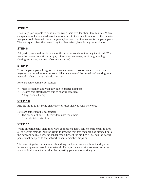Encourage participants to continue weaving their web for about ten minutes. When everyone is well connected, ask them to return to the circle formation. If the exercise has gone well, there will be a complex spider web that interconnects the participants. The web symbolizes the networking that has taken place during the workshop.

# **STEP 8**

Ask participants to describe some of the areas of collaboration they identified. What were the connections (for example, information exchange, joint programming, sharing resources, planned advocacy activities)?

# **STEP 9**

Have the participants imagine that they are going to take on an advocacy issue together and function as a network. What are some of the benefits of working as a network rather than as individual NGOs?

Here are some possible responses:

- More credibility and visibility due to greater numbers
- Greater cost-effectiveness due to sharing resources.
- A larger constituency.

# **STEP 10**

Ask the group to list some challenges or risks involved with networks.

Here are some possible responses:

- The agenda of one NGO may dominate the others.
- Networks take extra time.

# **STEP 11**

While all participants hold their yarn connections tight, ask one participant to drop all of her/his strands. Ask the group to imagine that this member has dropped out of the network because s/he no longer saw a benefit for his/her NGO. Ask the participants what happens to the network when a member drops out.

The yarn let go by that member should sag, and you can show how the departure leaves many weak links in the network. Perhaps the network also loses resources and continuity in activities that the departing person was working on.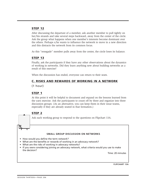After discussing the departure of a member, ask another member to pull tightly on her/his strands and take several steps backward, away from the center of the circle. Ask the group what happens when one member's interests become dominant over the others. Perhaps s/he wants to influence the network to move in a new direction and this distracts the network from its common focus.

As this "renegade" member pulls away from the center, the circle loses its balance.

# **STEP 13**

Finally, ask the participants if they have any other observations about the dynamics of working in networks. Did they learn anything new about building networks as a result of this exercise?

When the discussion has ended, everyone can return to their seats.

# **C. RISKS AND REWARDS OF WORKING IN A NETWORK**

#### (1 hour)

#### **STEP 1**

At this point it will be helpful to document and expand on the lessons learned from the yarn exercise. Ask the participants to count off by three and organize into three discussion groups. (As an alternative, you can keep them in their issue teams, especially if they are already seated in that formation.)

# **STEP 2**

Ask each working group to respond to the questions on Flipchart 13A.

#### **SMALL GROUP DISCUSSION ON NETWORKS**

- How would you define the term *network?*
- What are the benefits or rewards of working in an advocacy network?
- What are the risks of working in advocacy networks?
- If you were considering joining an advocacy network, what criteria would you use to make the decision?

Time: 20 minutes

**FLIPCHART 13A**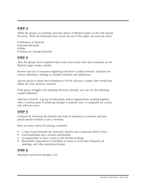While the groups are working, post four pieces of flipchart paper on the wall around the room. Write the following terms across the top of the paper, one term per sheet:

- Definition of Network
- Benefits/Rewards
- Risks
- Criteria for Joining Networks

# **STEP 4**

After the groups have completed their work, have them write their responses on the flipchart pages using a marker.

Review each set of responses beginning with how to define network. Compare the various definitions, looking at common elements and differences.

Ask the group to adapt their definitions to fit the advocacy context; how would they define the term *advocacy network*?

If the group struggles with defining advocacy network, you can use the following sample definition:

*Advocacy Network:* A group of individuals and/or organizations working together with a common goal of achieving changes in policies, laws, or programs for a particular advocacy issue.

# **STEP 5**

Continue by reviewing the benefits and risks of working in a network and how people decide whether to join a network.

Here are some criteria for joining a network:

- A clear match between the network's mission and a particular NGO's focus
- Good leadership and a diverse membership
- An opportunity to have a voice in the decision-making
- Reasonable expectations of members in terms of work load, frequency of meetings, and other operational issues

# **STEP 6**

Distribute and review Handout 13A.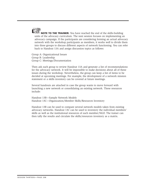**NOTE TO THE TRAINER:** You have reached the end of the skills-building units of the advocacy curriculum. The next session focuses on implementing an advocacy campaign. If the participants are considering forming an actual advocacy network with the workshop participants as members, it works well to divide them into three groups to discuss different aspects of network functioning. You can refer back to Handout 13A and assign discussion topics as follows:

Group A: Organizational Issues Group B: Leadership Group C: Meetings/Documentation

Then ask each group to review Handout 13A and generate a list of recommendations for the advocacy network. It will be impossible to make decisions about all of these issues during the workshop. Nevertheless, the group can keep a list of items to be decided at upcoming meetings. For example, the development of a network mission statement or a skills inventory can be covered at future meetings.

Several handouts are attached in case the group wants to move forward with launching a new network or consolidating an existing network. These resources include:

Handout 13B—Sample Network Models Handout 13C—Organization/Member Skills/Resources Inventory

Handout 13B can be used to compare several network models taken from existing advocacy networks. Handout 13C can be used to inventory the individual members' skills as well as the institutional resources of each member/NGO. The trainer can then tally the results and circulate the skills/resources inventory as a matrix.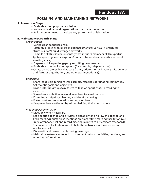# **FORMING AND MAINTAINING NETWORKS**

#### **A. Formation Stage**

- Establish a clear purpose or mission.
- Involve individuals and organizations that share the mission.
- Build a commitment to participatory process and collaboration.

#### **B. Maintenance/Growth Stage**

*Organization*

- Define clear, specialized roles.
- Establish a loose or fluid organizational structure; vertical, hierarchical structures don't build stronger networks.
- Compile a skills/resources inventory that includes members' skills/expertise (public speaking, media exposure) and institutional resources (fax, internet, meeting space).
- Prepare to fill expertise gaps by recruiting new members.
- Establish a communication system (for example, telephone tree).
- Create an NGO member database (name, address, organization's mission, type and focus of organization, and other pertinent details).

#### *Leadership*

- Share leadership functions (for example, rotating coordinating committee).
- Set realistic goals and objectives.
- Divide into sub-groups/task forces to take on specific tasks according to expertise.
- Spread responsibilities across all members to avoid burnout.
- Promote participatory planning and decision-making.
- Foster trust and collaboration among members.
- Keep members motivated by acknowledging their contributions.

#### *Meetings/Documentation*

- Meet only when necessary.
- Set a specific agenda and circulate it ahead of time; follow the agenda and keep meetings brief; finish meetings on time; rotate meeting facilitation role.
- Keep attendance list and record meeting minutes to disseminate afterwards.
- Use members' facilitation skills to help the network reach consensus and resolve conflict.
- Discuss difficult issues openly during meetings.
- Maintain a network notebook to document network activities, decisions, and other key information.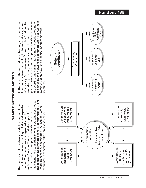# SAMPLE NETWORK MODELS **SAMPLE NETWORK MODELS**

The coordinating committee consists of four members, one The coordinating committee consists of four members, one The members of this network divide themselves into four committees or teams, according to individual expertise or mplements the action plan among its stakeholder group. committees or teams, according to individual expertise or implements the action plan among its stakeholder group. The members of this network divide themselves into four eader from each sub-committee. The members of the audience or function. The network develop a vision, a leader from each sub-committee. The members of the audience or function. The network develop a vision, a interest. The committees are organized according to interest. The committees are organized according to mission, and an action plan, and each committee mission, and an action plan, and each committee coordinating committee rotate on a yearly basis. coordinating committee rotate on a yearly basis.

plan. An elected chairperson represents each issue team on plan. An elected chairperson represents each issue team on the coordinating committee. A single network coordinator s elected by the network to coordinate activities, facilitate is elected by the network to coordinate activities, facilitate the coordinating committee. A single network coordinator In the case of this network, members organize themselves of advocacy. Each "issue team" is responsible for doing its In the case of this network, members organize themselves into thematic teams according to the network's key areas of advocacy. Each "issue team" is responsible for doing its into thematic teams according to the network's key areas own data gathering, communications plan, and action own data gathering, communications plan, and action communication flow, and organize monthly network communication flow, and organize monthly network meetings.



**Handout 13B**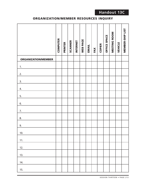# **ORGANIZATION/MEMBER RESOURCES INQUIRY**

|                            | <b>COMPUTER</b> | <b>PRINTER</b> | <b>SCANNER</b> | <b>INTERNET</b> | WEB PAGE | <b>EMAIL</b> | FAX | <b>COPIER</b> | OFFICE SPACE | MEETING ROOM | <b>VEHICLE</b> | <b>MEMBER-SHIP LIST</b> |
|----------------------------|-----------------|----------------|----------------|-----------------|----------|--------------|-----|---------------|--------------|--------------|----------------|-------------------------|
| <b>ORGANIZATION/MEMBER</b> |                 |                |                |                 |          |              |     |               |              |              |                |                         |
| 1.                         |                 |                |                |                 |          |              |     |               |              |              |                |                         |
| 2.                         |                 |                |                |                 |          |              |     |               |              |              |                |                         |
| 3.                         |                 |                |                |                 |          |              |     |               |              |              |                |                         |
| 4.                         |                 |                |                |                 |          |              |     |               |              |              |                |                         |
| 5.                         |                 |                |                |                 |          |              |     |               |              |              |                |                         |
| 6.                         |                 |                |                |                 |          |              |     |               |              |              |                |                         |
| 7.                         |                 |                |                |                 |          |              |     |               |              |              |                |                         |
| 8.                         |                 |                |                |                 |          |              |     |               |              |              |                |                         |
| 9.                         |                 |                |                |                 |          |              |     |               |              |              |                |                         |
| 10.                        |                 |                |                |                 |          |              |     |               |              |              |                |                         |
| 11.                        |                 |                |                |                 |          |              |     |               |              |              |                |                         |
| 12.                        |                 |                |                |                 |          |              |     |               |              |              |                |                         |
| 13.                        |                 |                |                |                 |          |              |     |               |              |              |                |                         |
| 14.                        |                 |                |                |                 |          |              |     |               |              |              |                |                         |
| 15.                        |                 |                |                |                 |          |              |     |               |              |              |                |                         |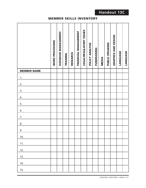**Handout 13C**

# **MEMBER SKILLS INVENTORY**

|                    | WORD PROCESSING | DATABASE MANAGEMENT | TRAINING | <b>RESEARCH</b> | FINANCIAL MANAGEMENT | <b>LEGAL/REGULATORY ISSUES</b> | POLICY ANALYSIS | <b>FUNDRAISING</b> | <b>MEDIA</b> | PUBLIC SPEAKING | GRAPHICS AND DESIGN | <b>LANGUAGE</b> | LANGUAGE |
|--------------------|-----------------|---------------------|----------|-----------------|----------------------|--------------------------------|-----------------|--------------------|--------------|-----------------|---------------------|-----------------|----------|
| <b>MEMBER NAME</b> |                 |                     |          |                 |                      |                                |                 |                    |              |                 |                     |                 |          |
| 1.                 |                 |                     |          |                 |                      |                                |                 |                    |              |                 |                     |                 |          |
| 2.                 |                 |                     |          |                 |                      |                                |                 |                    |              |                 |                     |                 |          |
| 3.                 |                 |                     |          |                 |                      |                                |                 |                    |              |                 |                     |                 |          |
| 4.                 |                 |                     |          |                 |                      |                                |                 |                    |              |                 |                     |                 |          |
| 5.                 |                 |                     |          |                 |                      |                                |                 |                    |              |                 |                     |                 |          |
| 6.                 |                 |                     |          |                 |                      |                                |                 |                    |              |                 |                     |                 |          |
| 7.                 |                 |                     |          |                 |                      |                                |                 |                    |              |                 |                     |                 |          |
| 8.                 |                 |                     |          |                 |                      |                                |                 |                    |              |                 |                     |                 |          |
| 9.                 |                 |                     |          |                 |                      |                                |                 |                    |              |                 |                     |                 |          |
| 10.                |                 |                     |          |                 |                      |                                |                 |                    |              |                 |                     |                 |          |
| 11.                |                 |                     |          |                 |                      |                                |                 |                    |              |                 |                     |                 |          |
| 12.                |                 |                     |          |                 |                      |                                |                 |                    |              |                 |                     |                 |          |
| 13.                |                 |                     |          |                 |                      |                                |                 |                    |              |                 |                     |                 |          |
| 14.                |                 |                     |          |                 |                      |                                |                 |                    |              |                 |                     |                 |          |
| 15.                |                 |                     |          |                 |                      |                                |                 |                    |              |                 |                     |                 |          |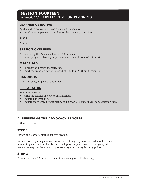# **SESSION FOURTEEN:**  ADVOCACY IMPLEMENTATION PLANNING

# **LEARNER OBJECTIVE**

By the end of the session, participants will be able to

• Develop an implementation plan for the advocacy campaign.

# **TIME**

2 hours

# **SESSION OVERVIEW**

- A. Reviewing the Advocacy Process (20 minutes)
- B. Developing an Advocacy Implementation Plan (1 hour, 40 minutes)

# **MATERIALS**

- Flipchart and paper, markers, tape
- Overhead transparency or flipchart of Handout 9B (from Session Nine)

# **HANDOUTS**

14A—Advocacy Implementation Plan

# **PREPARATION**

Before this session

- Write the learner objectives on a flipchart.
- Prepare Flipchart 14A.
- Prepare an overhead transparency or flipchart of Handout 9B (from Session Nine).

# **A. REVIEWING THE ADVOCACY PROCESS**

(20 minutes)

# **STEP 1**

Review the learner objective for this session.

In this session, participants will convert everything they have learned about advocacy into an implementation plan. Before developing the plan, however, the group will review the steps in the advocacy process to synthesize key learning points.

# **STEP 2**

Present Handout 9B on an overhead transparency or a flipchart page.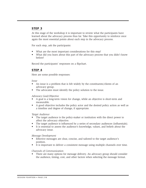At this stage of the workshop it is important to review what the participants have learned about the advocacy process thus far. Take this opportunity to reinforce once again the most essential points about each step in the advocacy process.

For each step, ask the participants:

- What are the most important considerations for this step?
- What did you learn about this part of the advocacy process that you didn't know before?

Record the participants' responses on a flipchart.

# **STEP 4**

Here are some possible responses:

#### *Issue*

- An issue is a problem that is felt widely by the constituents/clients of an advocacy group.
- The advocates must identify the policy solution to the issue.

#### *Advocacy Goal/Objective*

- A goal is a long-term vision for change, while an objective is short-term and measurable.
- A good objective includes the policy actor and the desired policy action as well as a timeline and degree of change, if appropriate.

#### *Target Audience*

- The target audience is the policy-maker or institution with the direct power to affect the advocacy objective.
- The target audience is influenced by a series of secondary audiences (influentials).
- It is essential to assess the audience's knowledge, values, and beliefs about the advocacy issue.

#### *Message Development*

- Effective messages are clear, concise, and tailored to the target audience's position.
- It is important to deliver a consistent message using multiple channels over time.

#### *Channels of Communication*

• There are many options for message delivery. An advocacy group should consider the audience, timing, cost, and other factors when selecting the message format.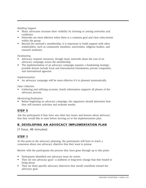#### *Building Support*

- Many advocates increase their visibility by forming or joining networks and coalitions.
- Networks are most effective when there is a common goal and clear roles/norms within the group.
- Beyond the network's membership, it is important to build support with other stakeholders, such as community members, universities, religious leaders, and research institutes.

#### *Fundraising*

- Advocacy requires resources, though many networks share the cost of an advocacy campaign across the membership.
- The implementation of an advocacy campaign requires a fundraising strategy; possible donors include local and international foundations, private companies, and international agencies.

#### *Implementation*

• An advocacy campaign will be most effective if it is planned systematically.

#### *Data Collection*

Gathering and utilizing accurate, timely information supports all phases of the advocacy process.

#### *Monitoring/Evaluation*

• Before beginning an advocacy campaign, the organizers should determine how they will monitor activities and evaluate results.

# **STEP 5**

Ask the participants if they have any other key issues and lessons about advocacy that they would like to raise before moving on to the implementation plan.

# **B. DEVELOPING AN ADVOCACY IMPLEMENTATION PLAN**

(1 hour, 40 minutes)

# **STEP 1**

At this point in the advocacy planning, the participants will have to reach a consensus about one advocacy objective that they want to pursue.

Review with the participants the process they have gone through up to this point:

- Participants identified one advocacy issue for action.
- They set one advocacy goal—a midterm or long-term change that they hoped to bring about.
- They set three specific advocacy objectives that would contribute toward the advocacy goal.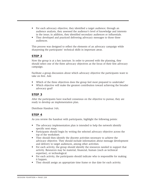- For each advocacy objective, they identified a target audience; through an audience analysis, they assessed the audience's level of knowledge and interests in the issue; in addition, they identified secondary audiences or influentials.
- They developed and practiced delivering advocacy messages to those three audiences.

This process was designed to reflect the elements of an advocacy campaign while sharpening the participants' technical skills in important areas.

# **STEP 2**

Now the group is at a key juncture. In order to proceed with the planning, they should select one of the three advocacy objectives as the focus of their first advocacy campaign.

Facilitate a group discussion about which advocacy objective the participants want to take on first. Ask:

- Which of the three objectives does the group feel most prepared to undertake?
- Which objective will make the greatest contribution toward achieving the broader advocacy goal?

# **STEP 3**

After the participants have reached consensus on the objective to pursue, they are ready to develop an implementation plan.

Distribute Handout 14A.

# **STEP 4**

As you review the handout with participants, highlight the following points:

- The advocacy implementation plan is intended to help the network identify specific next steps.
- Participants should begin by writing the selected advocacy objective across the top of the worksheet.
- They should then identify the discrete activities necessary to achieve the advocacy objective. They should include information about message development and delivery to target audiences, among other activities.
- For each activity, the group should identify the resources needed to support that activity. Resources may be material, financial, human (such as technical expertise), or technological.
- For each activity, the participants should indicate who is responsible for making it happen.
- They should assign an appropriate time frame or due date for each activity.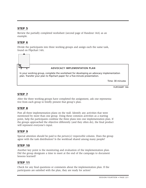Review the partially completed worksheet (second page of Handout 14A) as an example.

# **STEP 6**

Divide the participants into three working groups and assign each the same task, found on Flipchart 14A.



# **STEP 7**

After the three working groups have completed the assignment, ask one representative from each group to briefly present that group's plan.

# **STEP 8**

Post all three implementation plans on the wall. Identify any activities that were mentioned by more than one group. Using these common activities as a starting point, help the participants combine the three plans into one implementation plan. If the groups approached the objective differently (and they often do), the final product will represent everyone's input.

# **STEP 9**

Special attention should be paid to the *person(s) responsible* column. Does the group agree with the task distribution? Is the workload shared among many people?

# **STEP 10**

Another key point is the monitoring and evaluation of the implementation plan. Did the group designate a time to meet at the end of the campaign to document lessons learned?

# **STEP 11**

Check for any final questions or comments about the implementation plan. If the participants are satisfied with the plan, they are ready for action!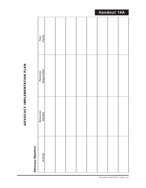# ADVOCACY IMPLEMENTATION PLAN **ADVOCACY IMPLEMENTATION PLAN**

# **Advocacy Objective: Advocacy Objective:**

| Time<br>Frame            |  |  |  |  |
|--------------------------|--|--|--|--|
| Person(s)<br>Responsible |  |  |  |  |
| Resources<br>Needed      |  |  |  |  |
| Activity                 |  |  |  |  |

# **Handout 14A**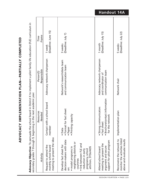Advocacy Objective: To persuade the school board in District X to implement a pilot family life education (FLE) curriculum in **Advocacy Objective:** To persuade the school board in District X to implement a pilot family life education (FLE) curriculum in secondary grades 7 through 9, beginning in the next academic year.

**ADVOCACY IMPLEMENTATION PLAN—PARTIALLY COMPLETED**

ADVOCACY IMPLEMENTATION PLAN-PARTIALLY COMPLETED

| (Deadline: July 22)<br>5 weeks<br>Network chair<br>Implementation plan<br>monitor the activities listed<br>Reconvene the network to |
|-------------------------------------------------------------------------------------------------------------------------------------|
|-------------------------------------------------------------------------------------------------------------------------------------|

# **Handout 14A**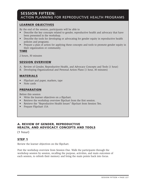# **SESSION FIFTEEN:**  ACTION PLANNING FOR REPRODUCTIVE HEALTH PROGRAMS

# **LEARNER OBJECTIVES**

By the end of the session, participants will be able to

- Describe the key concepts related to gender, reproductive health and advocacy that have been presented in the workshop.
- Describe the tools for developing or advocating for gender equity in reproductive health policies and programs.
- Prepare a plan of action for applying these concepts and tools to promote gender equity in their organization or community.

#### **TIME**

2 hours, 30 minutes

# **SESSION OVERVIEW**

- A. Review of Gender, Reproductive Health, and Advocacy Concepts and Tools (1 hour)
- B. Developing Organizational and Personal Action Plans (1 hour, 30 minutes)

# **MATERIALS**

- Flipchart and paper, markers, tape
- Note cards

# **PREPARATION**

Before this session

- Write the learner objectives on a flipchart.
- Retrieve the workshop overview flipchart from the first session.
- Retrieve the "Reproductive Health Issues" flipchart from Session Ten.
- Prepare Flipchart 15A

# **A. REVIEW OF GENDER, REPRODUCTIVE HEALTH, AND ADVOCACY CONCEPTS AND TOOLS**

(1 hour)

# **STEP 1**

Review the learner objectives on the flipchart.

Post the workshop overview from Session One. Walk the participants through the workshop session by session, recalling the purpose, activities, and main outcomes of each session, to refresh their memory and bring the main points back into focus.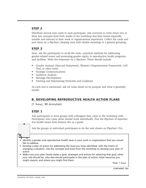Distribute several note cards to each participant. Ask everyone to write down two or three key concepts from both weeks of the workshop that they found especially notable and relevant to their work or organizational experience. Collect the cards and post them on a flipchart, keeping ones with similar meanings in a general grouping.

# **STEP 3**

Next, ask the participants to recall the tools—practical methods for addressing gender-related issues and promoting gender equity in reproductive health programs and facilities. Write the responses on a flipchart. These should include

- Gender Analysis (Harvard Framework, Women's Empowerment Framework, CAP Tool, or other tools)
- Strategic Communications
- Audience Analysis
- Message Development
- Forming and Maintaining Networks and Coalitions

As each tool is mentioned, ask for some detail on its purpose and what it generally entails.

# **B. DEVELOPING REPRODUCTIVE HEALTH ACTION PLANS**

(1 hour, 30 minutes)

# **STEP 1**

Ask participants to form groups with colleagues they came to the workshop with. Participants who came alone should work individually. Post the flipchart of reproductive health issues from Session Ten as a guide.

Ask the groups or individual participants to do the task shown on Flipchart 15A.

- Identify a gender and reproductive health issue in your work or organization that you would like to address.
- Develop a plan of action for addressing the issue you have identified, with the intent of changing a situation. Use the concepts and tools from the workshop to develop your plan of action.
- Make sure your plan clearly states a goal, strategies and actions for attaining that goal, what your role should be, who else should participate in this plan of action, what resources you might require, and where you might find them.

Time: 1 hour

**FLIPCHART 15A**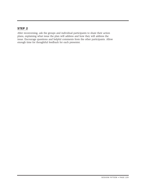After reconvening, ask the groups and individual participants to share their action plans, explaining what issue the plan will address and how they will address the issue. Encourage questions and helpful comments from the other participants. Allow enough time for thoughtful feedback for each presenter.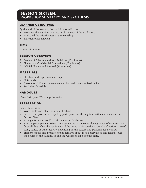# **SESSION SIXTEEN:**  WORKSHOP SUMMARY AND SYNTHESIS

# **LEARNER OBJECTIVES**

By the end of the session, the participants will have

- Reviewed the activities and accomplishments of the workshop.
- Evaluated the effectiveness of the workshop.
- Bid each other farewell.

# **TIME**

1 hour, 10 minutes

# **SESSION OVERVIEW**

- A. Review of Schedule and Key Activities (10 minutes)
- B. Shared and Confidential Evaluations (25 minutes)
- C. Official Closing and Farewell (35 minutes)

# **MATERIALS**

- Flipchart and paper, markers, tape
- Note cards
- International Context posters created by participants in Session Two
- Workshop Schedule

# **HANDOUTS**

16A—Participant Workshop Evaluation

# **PREPARATION**

Before this session

- Write the learner objectives on a flipchart.
- Retrieve the posters developed by participants for the key international conferences in Session Two.
- Arrange for a speaker if an official closing is planned.
- Ask the participants to select a representative to say some closing words of synthesis and farewell that reflect the sentiments of the group. This could also be a brief performance of song, dance, or other activity, depending on the culture and personalities involved.
- Trainers should also prepare closing remarks about their observations and feelings over the course of the training, to end the workshop on a positive note.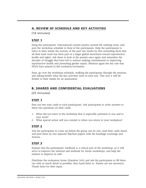# **A. REVIEW OF SCHEDULE AND KEY ACTIVITIES**

(10 minutes)

# **STEP 1**

Hang the participants' international context posters around the training room, and post the workshop schedule in front of the participants. Help the participants to relive in their minds the journey of the past two weeks by first reminding them that all their hard work has been part of a larger global movement toward reproductive health and rights. Ask them to look at the posters once again and remember the decades of struggle that have led to nations making commitments to improving reproductive health and promoting gender equity. Mention again the key role that NGOs have played in this evolution/revolution.

Next, go over the workshop schedule, walking the participants through the sessions and asking briefly what the key activities were in each one. This way it will be fresher in their minds for an assessment.

# **B. SHARED AND CONFIDENTIAL EVALUATIONS**

(25 minutes)

# **STEP 1**

Pass out two note cards to each participants. Ask participants to write answers to these two questions on their cards:

- 1. What did you learn in the workshop that is especially pertinent to you and to your work?
- 2. What special action will you commit to when you return to your workplace?

# **STEP 2**

Ask the participants to come up before the group one by one, read their cards aloud, and post them on two separate flipchart papers with the headings Learnings and Actions.

# **STEP 3**

Explain that the participants' feedback is a critical part of the workshop, as it will serve to improve the material and methods for future workshops, and help the trainers to improve as well.

Distribute the evaluation forms (Handout 16A) and ask the participants to fill them out with as much detail as possible, then hand them in. Names are not necessary. Thank them for their input.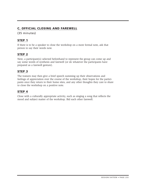# **C. OFFICIAL CLOSING AND FAREWELL**

# (35 minutes)

# **STEP 1**

If there is to be a speaker to close the workshop on a more formal note, ask that person to say their words now.

# **STEP 2**

Next, a participant(s) selected beforehand to represent the group can come up and say some words of synthesis and farewell (or do whatever the participants have prepared as a farewell gesture).

# **STEP 3**

The trainers may then give a brief speech summing up their observations and feelings of appreciation over the course of the workshop, their hopes for the participants once they return to their home sites, and any other thoughts they care to share to close the workshop on a positive note.

# **STEP 4**

Close with a culturally appropriate activity, such as singing a song that reflects the mood and subject matter of the workshop. Bid each other farewell.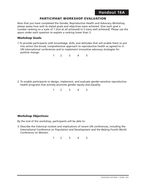# **PARTICIPANT WORKSHOP EVALUATION**

Now that you have completed the Gender, Reproductive Health and Advocacy Workshop, please assess how well its stated goals and objectives were achieved. Give each goal a number ranking on a scale of 1 (not at all achieved) to 5 (very well achieved). Please use the space under each question to explain a ranking lower than 3.

#### **Workshop Goals:**

1.To provide participants with knowledge, skills, and attitudes that will enable them to put into action the broad, comprehensive approach to reproductive health as agreed to in UN international conferences and to implement innovative advocacy strategies for positive change.

1 2 3 4 5

2. To enable participants to design, implement, and evaluate gender-sensitive reproductive health programs that actively promote gender equity and equality.

1 2 3 4 5

#### **Workshop Objectives:**

By the end of the workshop, participants will be able to:

3. Describe the historical context and implications of recent UN conferences, including the International Conference on Population and Development and the Beijing Fourth World Conference on Women.

1 2 3 4 5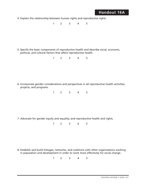# **Handout 16A**

4. Explain the relationship between human rights and reproductive rights.

1 2 3 4 5

5. Specify the basic components of reproductive health and describe social, economic, political, and cultural factors that affect reproductive health.

1 2 3 4 5

6. Incorporate gender considerations and perspectives in all reproductive health activities, projects, and programs.

1 2 3 4 5

7. Advocate for gender equity and equality, and reproductive health and rights.

1 2 3 4 5

8. Establish and build linkages, networks, and coalitions with other organizations working in population and development in order to work more effectively for social change.

1 2 3 4 5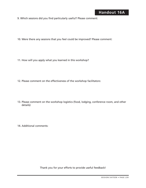- 9. Which sessions did you find particularly useful? Please comment:
- 10. Were there any sessions that you feel could be improved? Please comment:
- 11. How will you apply what you learned in this workshop?
- 12. Please comment on the effectiveness of the workshop facilitators:
- 13. Please comment on the workshop logistics (food, lodging, conference room, and other details):
- 14. Additional comments:

Thank you for your efforts to provide useful feedback!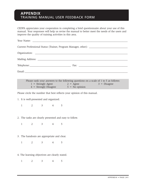# **APPENDIX**  TRAINING MANUAL USER FEEDBACK FORM

CEDPA appreciates your cooperation in completing a brief questionnaire about your use of this manual. Your responses will help us revise the manual to better meet the needs of the users and improve the quality of training activities in this area.

| Telephone: The Contract of Table 2014 and 2014 and 2014 and 2014 and 2014 and 2014 and 2014 and 2014 and 2014 and 2014 and 2014 and 2014 and 2014 and 2014 and 2014 and 2014 and 2014 and 2014 and 2014 and 2014 and 2014 and |  |
|-------------------------------------------------------------------------------------------------------------------------------------------------------------------------------------------------------------------------------|--|
|                                                                                                                                                                                                                               |  |

| Please rank your answers to the following questions on a scale of 1 to 5 as follows: |                    |                |
|--------------------------------------------------------------------------------------|--------------------|----------------|
| $1 =$ Strongly Agree                                                                 | $2 = \text{Agree}$ | $3 = Disagree$ |
| $4 =$ Strongly Disagree                                                              | $5 = No$ opinion   |                |

Please circle the number that best reflects your opinion of this manual.

1. It is well-presented and organized.

1 2 3 4 5

2. The tasks are clearly presented and easy to follow.

1 2 3 4 5

3. The handouts are appropriate and clear.

1 2 3 4 5

4. The learning objectives are clearly stated.

1 2 3 4 5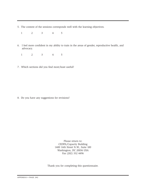5. The content of the sessions corresponds well with the learning objectives.

1 2 3 4 5

- 6. I feel more confident in my ability to train in the areas of gender, reproductive health, and advocacy.
	- 1 2 3 4 5
- 7. Which sections did you find most/least useful?

8. Do you have any suggestions for revisions?

Please return to: CEDPA/Capacity Building 1400 16th Street N.W., Suite 100 Washington, DC 20036 USA Fax (202) 332 4496

Thank you for completing this questionnaire.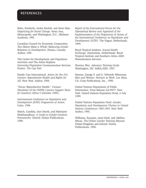# **REFERENCES**

Bobo, Kimberly, Jackie Kenfall, and Steve Max. *Organizing for Social Change.* Santa Ana, Minneapolis, and Washington, D.C.: Midwest Academy, 1991.

Canadian Council for Economic Cooperation. *Two Halves Make a Whole: Balancing Gender Relations in Development.* Ottawa, Canada: Author, 1991.

The Centre for Development and Population Activities and The Johns Hopkins University/Population Communication Services Project. *The Cap Tool.*

Family Care International. *Action for the 21st Century: Reproductive Health and Rights for All.* New York: Author, 1994.

"Focus: Reproductive Health." *Contact: Newsletter of the UNFPA Country Support Team for Southern Africa* 5 (October 1995).

*International Conference on Population and Development (ICPD) Programme of Action.* Cairo, 1994.

March, Candida, Ines Smyth, and Maitrayee Mukhopadhyay. *A Guide to Gender-Analysis Frameworks.* Oxford: Oxfam Publications, 1999.

*Report of the International Forum for the Operational Review and Appraisal of the Implementation of the Programme of Action of the International Conference on Population and Development (ICPD).* The Hague, Netherlands, 1999.

Royal Tropical Institute. *Sexual Health Exchange.* Amsterdam, Netherlands: Royal Tropical Institute and Southern Africa AIDS Dissemination Services.

Sharma, Ritu. *Advocacy Training Guide.* Washington, DC: SARA/AED, 1997.

Simons, George F. and G. Deborah Weissman. *Men and Women: Partners at Work.* Los Altos, CA: Crisp Publications, Inc., 1990.

United Nations Department of Public Information. Press Release GA/9577. New York: United Nations Population Fund, 2 July 1999.

United Nations Population Fund. *Gender, Population and Development Themes in United Nations Conferences 1985-1995.* New York: Author, 1995.

Williams, Suzanne, Janet Seed, and Adelina Mwau. *The Oxfam Gender Training Manual.* United Kingdom and Ireland: Oxfam Publications, 1994.